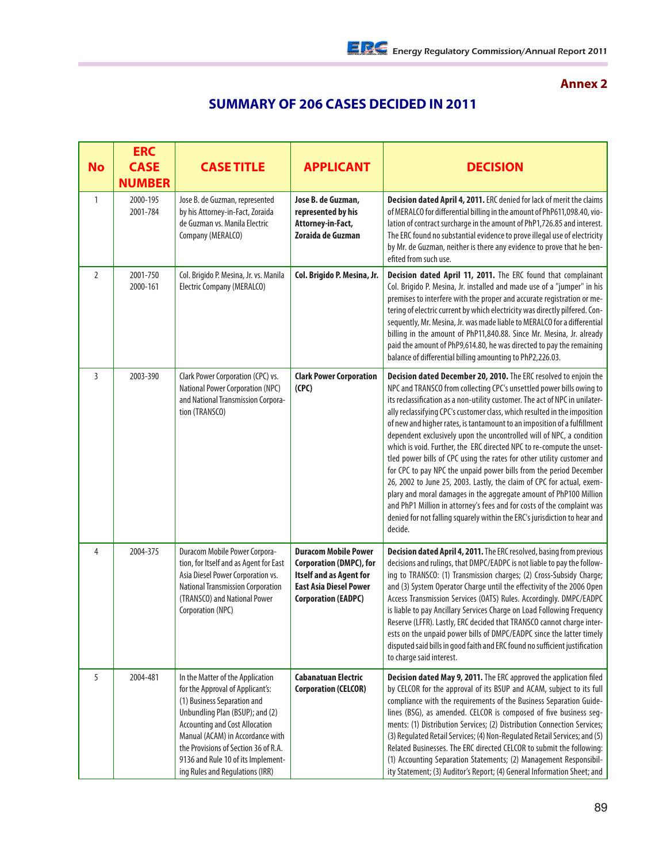## **Annex 2**

## **SUMMARY OF 206 CASES DECIDED IN 2011**

| <b>No</b>      | <b>ERC</b><br><b>CASE</b><br><b>NUMBER</b> | <b>CASE TITLE</b>                                                                                                                                                                                                                                                                                                                    | <b>APPLICANT</b>                                                                                                                                               | <b>DECISION</b>                                                                                                                                                                                                                                                                                                                                                                                                                                                                                                                                                                                                                                                                                                                                                                                                                                                                                                                                                                                   |
|----------------|--------------------------------------------|--------------------------------------------------------------------------------------------------------------------------------------------------------------------------------------------------------------------------------------------------------------------------------------------------------------------------------------|----------------------------------------------------------------------------------------------------------------------------------------------------------------|---------------------------------------------------------------------------------------------------------------------------------------------------------------------------------------------------------------------------------------------------------------------------------------------------------------------------------------------------------------------------------------------------------------------------------------------------------------------------------------------------------------------------------------------------------------------------------------------------------------------------------------------------------------------------------------------------------------------------------------------------------------------------------------------------------------------------------------------------------------------------------------------------------------------------------------------------------------------------------------------------|
| $\mathbf{1}$   | 2000-195<br>2001-784                       | Jose B. de Guzman, represented<br>by his Attorney-in-Fact, Zoraida<br>de Guzman vs. Manila Electric<br>Company (MERALCO)                                                                                                                                                                                                             | Jose B. de Guzman,<br>represented by his<br>Attorney-in-Fact,<br>Zoraida de Guzman                                                                             | Decision dated April 4, 2011. ERC denied for lack of merit the claims<br>of MERALCO for differential billing in the amount of PhP611,098.40, vio-<br>lation of contract surcharge in the amount of PhP1,726.85 and interest.<br>The ERC found no substantial evidence to prove illegal use of electricity<br>by Mr. de Guzman, neither is there any evidence to prove that he ben-<br>efited from such use.                                                                                                                                                                                                                                                                                                                                                                                                                                                                                                                                                                                       |
| $\overline{2}$ | 2001-750<br>2000-161                       | Col. Brigido P. Mesina, Jr. vs. Manila<br><b>Electric Company (MERALCO)</b>                                                                                                                                                                                                                                                          | Col. Brigido P. Mesina, Jr.                                                                                                                                    | Decision dated April 11, 2011. The ERC found that complainant<br>Col. Brigido P. Mesina, Jr. installed and made use of a "jumper" in his<br>premises to interfere with the proper and accurate registration or me-<br>tering of electric current by which electricity was directly pilfered. Con-<br>sequently, Mr. Mesina, Jr. was made liable to MERALCO for a differential<br>billing in the amount of PhP11,840.88. Since Mr. Mesina, Jr. already<br>paid the amount of PhP9,614.80, he was directed to pay the remaining<br>balance of differential billing amounting to PhP2,226.03.                                                                                                                                                                                                                                                                                                                                                                                                        |
| $\overline{3}$ | 2003-390                                   | Clark Power Corporation (CPC) vs.<br><b>National Power Corporation (NPC)</b><br>and National Transmission Corpora-<br>tion (TRANSCO)                                                                                                                                                                                                 | <b>Clark Power Corporation</b><br>(CPC)                                                                                                                        | Decision dated December 20, 2010. The ERC resolved to enjoin the<br>NPC and TRANSCO from collecting CPC's unsettled power bills owing to<br>its reclassification as a non-utility customer. The act of NPC in unilater-<br>ally reclassifying CPC's customer class, which resulted in the imposition<br>of new and higher rates, is tantamount to an imposition of a fulfillment<br>dependent exclusively upon the uncontrolled will of NPC, a condition<br>which is void. Further, the ERC directed NPC to re-compute the unset-<br>tled power bills of CPC using the rates for other utility customer and<br>for CPC to pay NPC the unpaid power bills from the period December<br>26, 2002 to June 25, 2003. Lastly, the claim of CPC for actual, exem-<br>plary and moral damages in the aggregate amount of PhP100 Million<br>and PhP1 Million in attorney's fees and for costs of the complaint was<br>denied for not falling squarely within the ERC's jurisdiction to hear and<br>decide. |
| 4              | 2004-375                                   | Duracom Mobile Power Corpora-<br>tion, for Itself and as Agent for East<br>Asia Diesel Power Corporation vs.<br><b>National Transmission Corporation</b><br>(TRANSCO) and National Power<br>Corporation (NPC)                                                                                                                        | <b>Duracom Mobile Power</b><br><b>Corporation (DMPC), for</b><br><b>Itself and as Agent for</b><br><b>East Asia Diesel Power</b><br><b>Corporation (EADPC)</b> | Decision dated April 4, 2011. The ERC resolved, basing from previous<br>decisions and rulings, that DMPC/EADPC is not liable to pay the follow-<br>ing to TRANSCO: (1) Transmission charges; (2) Cross-Subsidy Charge;<br>and (3) System Operator Charge until the effectivity of the 2006 Open<br>Access Transmission Services (OATS) Rules. Accordingly. DMPC/EADPC<br>is liable to pay Ancillary Services Charge on Load Following Frequency<br>Reserve (LFFR). Lastly, ERC decided that TRANSCO cannot charge inter-<br>ests on the unpaid power bills of DMPC/EADPC since the latter timely<br>disputed said bills in good faith and ERC found no sufficient justification<br>to charge said interest.                                                                                                                                                                                                                                                                                       |
| 5              | 2004-481                                   | In the Matter of the Application<br>for the Approval of Applicant's:<br>(1) Business Separation and<br>Unbundling Plan (BSUP); and (2)<br><b>Accounting and Cost Allocation</b><br>Manual (ACAM) in Accordance with<br>the Provisions of Section 36 of R.A.<br>9136 and Rule 10 of its Implement-<br>ing Rules and Regulations (IRR) | <b>Cabanatuan Electric</b><br><b>Corporation (CELCOR)</b>                                                                                                      | Decision dated May 9, 2011. The ERC approved the application filed<br>by CELCOR for the approval of its BSUP and ACAM, subject to its full<br>compliance with the requirements of the Business Separation Guide-<br>lines (BSG), as amended. CELCOR is composed of five business seq-<br>ments: (1) Distribution Services; (2) Distribution Connection Services;<br>(3) Regulated Retail Services; (4) Non-Regulated Retail Services; and (5)<br>Related Businesses. The ERC directed CELCOR to submit the following:<br>(1) Accounting Separation Statements; (2) Management Responsibil-<br>ity Statement; (3) Auditor's Report; (4) General Information Sheet; and                                                                                                                                                                                                                                                                                                                             |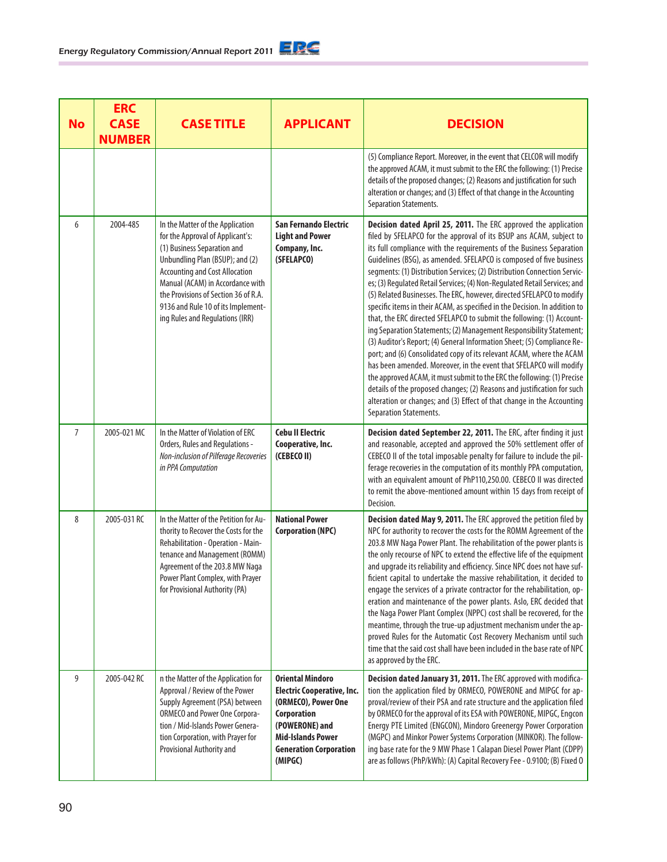| <b>No</b>      | <b>ERC</b><br><b>CASE</b><br><b>NUMBER</b> | <b>CASE TITLE</b>                                                                                                                                                                                                                                                                                                                    | <b>APPLICANT</b>                                                                                                                                                                             | <b>DECISION</b>                                                                                                                                                                                                                                                                                                                                                                                                                                                                                                                                                                                                                                                                                                                                                                                                                                                                                                                                                                                                                                                                                                                                                                                                                          |
|----------------|--------------------------------------------|--------------------------------------------------------------------------------------------------------------------------------------------------------------------------------------------------------------------------------------------------------------------------------------------------------------------------------------|----------------------------------------------------------------------------------------------------------------------------------------------------------------------------------------------|------------------------------------------------------------------------------------------------------------------------------------------------------------------------------------------------------------------------------------------------------------------------------------------------------------------------------------------------------------------------------------------------------------------------------------------------------------------------------------------------------------------------------------------------------------------------------------------------------------------------------------------------------------------------------------------------------------------------------------------------------------------------------------------------------------------------------------------------------------------------------------------------------------------------------------------------------------------------------------------------------------------------------------------------------------------------------------------------------------------------------------------------------------------------------------------------------------------------------------------|
|                |                                            |                                                                                                                                                                                                                                                                                                                                      |                                                                                                                                                                                              | (5) Compliance Report. Moreover, in the event that CELCOR will modify<br>the approved ACAM, it must submit to the ERC the following: (1) Precise<br>details of the proposed changes; (2) Reasons and justification for such<br>alteration or changes; and (3) Effect of that change in the Accounting<br>Separation Statements.                                                                                                                                                                                                                                                                                                                                                                                                                                                                                                                                                                                                                                                                                                                                                                                                                                                                                                          |
| 6              | 2004-485                                   | In the Matter of the Application<br>for the Approval of Applicant's:<br>(1) Business Separation and<br>Unbundling Plan (BSUP); and (2)<br><b>Accounting and Cost Allocation</b><br>Manual (ACAM) in Accordance with<br>the Provisions of Section 36 of R.A.<br>9136 and Rule 10 of its Implement-<br>ing Rules and Regulations (IRR) | San Fernando Electric<br><b>Light and Power</b><br>Company, Inc.<br>(SFELAPCO)                                                                                                               | Decision dated April 25, 2011. The ERC approved the application<br>filed by SFELAPCO for the approval of its BSUP ans ACAM, subject to<br>its full compliance with the requirements of the Business Separation<br>Guidelines (BSG), as amended. SFELAPCO is composed of five business<br>segments: (1) Distribution Services; (2) Distribution Connection Servic-<br>es; (3) Regulated Retail Services; (4) Non-Regulated Retail Services; and<br>(5) Related Businesses. The ERC, however, directed SFELAPCO to modify<br>specific items in their ACAM, as specified in the Decision. In addition to<br>that, the ERC directed SFELAPCO to submit the following: (1) Account-<br>ing Separation Statements; (2) Management Responsibility Statement;<br>(3) Auditor's Report; (4) General Information Sheet; (5) Compliance Re-<br>port; and (6) Consolidated copy of its relevant ACAM, where the ACAM<br>has been amended. Moreover, in the event that SFELAPCO will modify<br>the approved ACAM, it must submit to the ERC the following: (1) Precise<br>details of the proposed changes; (2) Reasons and justification for such<br>alteration or changes; and (3) Effect of that change in the Accounting<br>Separation Statements. |
| $\overline{7}$ | 2005-021 MC                                | In the Matter of Violation of ERC<br>Orders, Rules and Regulations -<br>Non-inclusion of Pilferage Recoveries<br>in PPA Computation                                                                                                                                                                                                  | <b>Cebu II Electric</b><br>Cooperative, Inc.<br>(CEBECO II)                                                                                                                                  | Decision dated September 22, 2011. The ERC, after finding it just<br>and reasonable, accepted and approved the 50% settlement offer of<br>CEBECO II of the total imposable penalty for failure to include the pil-<br>ferage recoveries in the computation of its monthly PPA computation,<br>with an equivalent amount of PhP110,250.00. CEBECO II was directed<br>to remit the above-mentioned amount within 15 days from receipt of<br>Decision.                                                                                                                                                                                                                                                                                                                                                                                                                                                                                                                                                                                                                                                                                                                                                                                      |
| 8              | 2005-031 RC                                | In the Matter of the Petition for Au-<br>thority to Recover the Costs for the<br>Rehabilitation - Operation - Main-<br>tenance and Management (ROMM)<br>Agreement of the 203.8 MW Naga<br>Power Plant Complex, with Prayer<br>for Provisional Authority (PA)                                                                         | <b>National Power</b><br><b>Corporation (NPC)</b>                                                                                                                                            | Decision dated May 9, 2011. The ERC approved the petition filed by<br>NPC for authority to recover the costs for the ROMM Agreement of the<br>203.8 MW Naga Power Plant. The rehabilitation of the power plants is<br>the only recourse of NPC to extend the effective life of the equipment<br>and upgrade its reliability and efficiency. Since NPC does not have suf-<br>ficient capital to undertake the massive rehabilitation, it decided to<br>engage the services of a private contractor for the rehabilitation, op-<br>eration and maintenance of the power plants. Aslo, ERC decided that<br>the Naga Power Plant Complex (NPPC) cost shall be recovered, for the<br>meantime, through the true-up adjustment mechanism under the ap-<br>proved Rules for the Automatic Cost Recovery Mechanism until such<br>time that the said cost shall have been included in the base rate of NPC<br>as approved by the ERC.                                                                                                                                                                                                                                                                                                             |
| 9              | 2005-042 RC                                | n the Matter of the Application for<br>Approval / Review of the Power<br>Supply Agreement (PSA) between<br><b>ORMECO and Power One Corpora-</b><br>tion / Mid-Islands Power Genera-<br>tion Corporation, with Prayer for<br>Provisional Authority and                                                                                | <b>Oriental Mindoro</b><br><b>Electric Cooperative, Inc.</b><br>(ORMECO), Power One<br>Corporation<br>(POWERONE) and<br><b>Mid-Islands Power</b><br><b>Generation Corporation</b><br>(MIPGC) | Decision dated January 31, 2011. The ERC approved with modifica-<br>tion the application filed by ORMECO, POWERONE and MIPGC for ap-<br>proval/review of their PSA and rate structure and the application filed<br>by ORMECO for the approval of its ESA with POWERONE, MIPGC, Engcon<br>Energy PTE Limited (ENGCON), Mindoro Greenergy Power Corporation<br>(MGPC) and Minkor Power Systems Corporation (MINKOR). The follow-<br>ing base rate for the 9 MW Phase 1 Calapan Diesel Power Plant (CDPP)<br>are as follows (PhP/kWh): (A) Capital Recovery Fee - 0.9100; (B) Fixed O                                                                                                                                                                                                                                                                                                                                                                                                                                                                                                                                                                                                                                                       |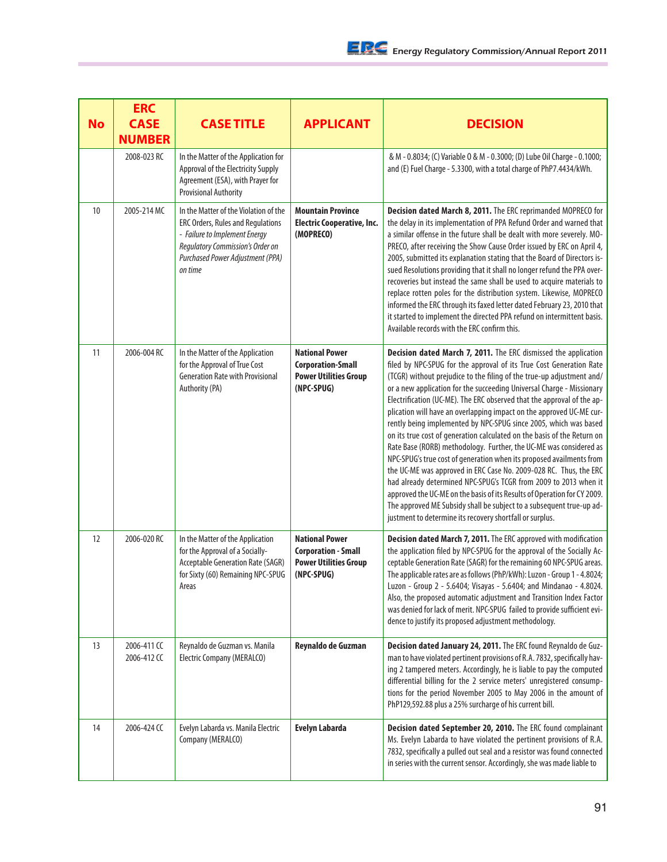| <b>No</b> | <b>ERC</b><br><b>CASE</b><br><b>NUMBER</b> | <b>CASE TITLE</b>                                                                                                                                                                              | <b>APPLICANT</b>                                                                                  | <b>DECISION</b>                                                                                                                                                                                                                                                                                                                                                                                                                                                                                                                                                                                                                                                                                                                                                                                                                                                                                                                                                                                                                                                                                  |
|-----------|--------------------------------------------|------------------------------------------------------------------------------------------------------------------------------------------------------------------------------------------------|---------------------------------------------------------------------------------------------------|--------------------------------------------------------------------------------------------------------------------------------------------------------------------------------------------------------------------------------------------------------------------------------------------------------------------------------------------------------------------------------------------------------------------------------------------------------------------------------------------------------------------------------------------------------------------------------------------------------------------------------------------------------------------------------------------------------------------------------------------------------------------------------------------------------------------------------------------------------------------------------------------------------------------------------------------------------------------------------------------------------------------------------------------------------------------------------------------------|
|           | 2008-023 RC                                | In the Matter of the Application for<br>Approval of the Electricity Supply<br>Agreement (ESA), with Prayer for<br><b>Provisional Authority</b>                                                 |                                                                                                   | & M - 0.8034; (C) Variable 0 & M - 0.3000; (D) Lube Oil Charge - 0.1000;<br>and (E) Fuel Charge - 5.3300, with a total charge of PhP7.4434/kWh.                                                                                                                                                                                                                                                                                                                                                                                                                                                                                                                                                                                                                                                                                                                                                                                                                                                                                                                                                  |
| 10        | 2005-214 MC                                | In the Matter of the Violation of the<br>ERC Orders, Rules and Regulations<br>- Failure to Implement Energy<br>Regulatory Commission's Order on<br>Purchased Power Adjustment (PPA)<br>on time | <b>Mountain Province</b><br><b>Electric Cooperative, Inc.</b><br>(MOPRECO)                        | Decision dated March 8, 2011. The ERC reprimanded MOPRECO for<br>the delay in its implementation of PPA Refund Order and warned that<br>a similar offense in the future shall be dealt with more severely. MO-<br>PRECO, after receiving the Show Cause Order issued by ERC on April 4,<br>2005, submitted its explanation stating that the Board of Directors is-<br>sued Resolutions providing that it shall no longer refund the PPA over-<br>recoveries but instead the same shall be used to acquire materials to<br>replace rotten poles for the distribution system. Likewise, MOPRECO<br>informed the ERC through its faxed letter dated February 23, 2010 that<br>it started to implement the directed PPA refund on intermittent basis.<br>Available records with the ERC confirm this.                                                                                                                                                                                                                                                                                                |
| 11        | 2006-004 RC                                | In the Matter of the Application<br>for the Approval of True Cost<br><b>Generation Rate with Provisional</b><br>Authority (PA)                                                                 | <b>National Power</b><br><b>Corporation-Small</b><br><b>Power Utilities Group</b><br>(NPC-SPUG)   | Decision dated March 7, 2011. The ERC dismissed the application<br>filed by NPC-SPUG for the approval of its True Cost Generation Rate<br>(TCGR) without prejudice to the filing of the true-up adjustment and/<br>or a new application for the succeeding Universal Charge - Missionary<br>Electrification (UC-ME). The ERC observed that the approval of the ap-<br>plication will have an overlapping impact on the approved UC-ME cur-<br>rently being implemented by NPC-SPUG since 2005, which was based<br>on its true cost of generation calculated on the basis of the Return on<br>Rate Base (RORB) methodology. Further, the UC-ME was considered as<br>NPC-SPUG's true cost of generation when its proposed availments from<br>the UC-ME was approved in ERC Case No. 2009-028 RC. Thus, the ERC<br>had already determined NPC-SPUG's TCGR from 2009 to 2013 when it<br>approved the UC-ME on the basis of its Results of Operation for CY 2009.<br>The approved ME Subsidy shall be subject to a subsequent true-up ad-<br>justment to determine its recovery shortfall or surplus. |
| 12        | 2006-020 RC                                | In the Matter of the Application<br>for the Approval of a Socially-<br>Acceptable Generation Rate (SAGR)<br>for Sixty (60) Remaining NPC-SPUG<br>Areas                                         | <b>National Power</b><br><b>Corporation - Small</b><br><b>Power Utilities Group</b><br>(NPC-SPUG) | Decision dated March 7, 2011. The ERC approved with modification<br>the application filed by NPC-SPUG for the approval of the Socially Ac-<br>ceptable Generation Rate (SAGR) for the remaining 60 NPC-SPUG areas.<br>The applicable rates are as follows (PhP/kWh): Luzon - Group 1 - 4.8024;<br>Luzon - Group 2 - 5.6404; Visayas - 5.6404; and Mindanao - 4.8024.<br>Also, the proposed automatic adjustment and Transition Index Factor<br>was denied for lack of merit. NPC-SPUG failed to provide sufficient evi-<br>dence to justify its proposed adjustment methodology.                                                                                                                                                                                                                                                                                                                                                                                                                                                                                                                 |
| 13        | 2006-411 CC<br>2006-412 CC                 | Reynaldo de Guzman vs. Manila<br><b>Electric Company (MERALCO)</b>                                                                                                                             | Reynaldo de Guzman                                                                                | Decision dated January 24, 2011. The ERC found Reynaldo de Guz-<br>man to have violated pertinent provisions of R.A. 7832, specifically hav-<br>ing 2 tampered meters. Accordingly, he is liable to pay the computed<br>differential billing for the 2 service meters' unregistered consump-<br>tions for the period November 2005 to May 2006 in the amount of<br>PhP129,592.88 plus a 25% surcharge of his current bill.                                                                                                                                                                                                                                                                                                                                                                                                                                                                                                                                                                                                                                                                       |
| 14        | 2006-424 CC                                | Evelyn Labarda vs. Manila Electric<br>Company (MERALCO)                                                                                                                                        | <b>Evelyn Labarda</b>                                                                             | Decision dated September 20, 2010. The ERC found complainant<br>Ms. Evelyn Labarda to have violated the pertinent provisions of R.A.<br>7832, specifically a pulled out seal and a resistor was found connected<br>in series with the current sensor. Accordingly, she was made liable to                                                                                                                                                                                                                                                                                                                                                                                                                                                                                                                                                                                                                                                                                                                                                                                                        |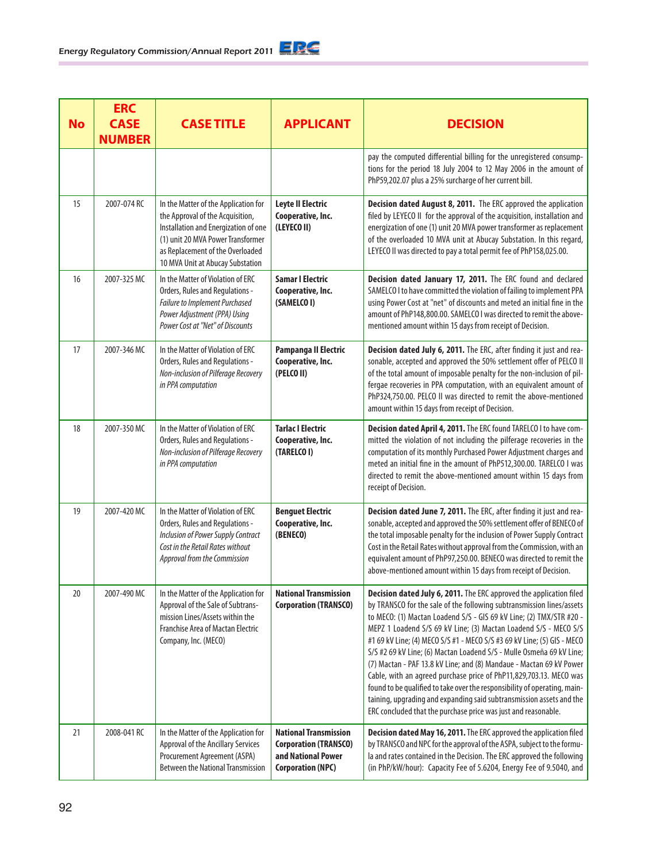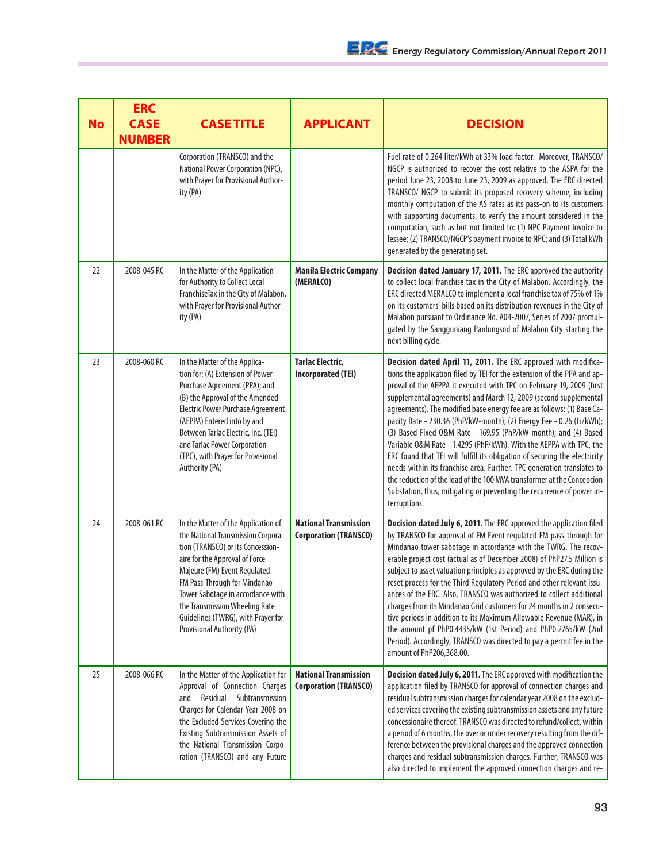| <b>No</b> | <b>ERC</b><br><b>CASE</b><br><b>NUMBER</b> | <b>CASE TITLE</b>                                                                                                                                                                                                                                                                                                                                           | <b>APPLICANT</b>                                             | <b>DECISION</b>                                                                                                                                                                                                                                                                                                                                                                                                                                                                                                                                                                                                                                                                                                                                                                                                                                                                                              |
|-----------|--------------------------------------------|-------------------------------------------------------------------------------------------------------------------------------------------------------------------------------------------------------------------------------------------------------------------------------------------------------------------------------------------------------------|--------------------------------------------------------------|--------------------------------------------------------------------------------------------------------------------------------------------------------------------------------------------------------------------------------------------------------------------------------------------------------------------------------------------------------------------------------------------------------------------------------------------------------------------------------------------------------------------------------------------------------------------------------------------------------------------------------------------------------------------------------------------------------------------------------------------------------------------------------------------------------------------------------------------------------------------------------------------------------------|
|           |                                            | Corporation (TRANSCO) and the<br>National Power Corporation (NPC),<br>with Prayer for Provisional Author-<br>ity (PA)                                                                                                                                                                                                                                       |                                                              | Fuel rate of 0.264 liter/kWh at 33% load factor. Moreover, TRANSCO/<br>NGCP is authorized to recover the cost relative to the ASPA for the<br>period June 23, 2008 to June 23, 2009 as approved. The ERC directed<br>TRANSCO/ NGCP to submit its proposed recovery scheme, including<br>monthly computation of the AS rates as its pass-on to its customers<br>with supporting documents, to verify the amount considered in the<br>computation, such as but not limited to: (1) NPC Payment invoice to<br>lessee; (2) TRANSCO/NGCP's payment invoice to NPC; and (3) Total kWh<br>generated by the generating set.                                                                                                                                                                                                                                                                                          |
| 22        | 2008-045 RC                                | In the Matter of the Application<br>for Authority to Collect Local<br>FranchiseTax in the City of Malabon,<br>with Prayer for Provisional Author-<br>ity (PA)                                                                                                                                                                                               | <b>Manila Electric Company</b><br>(MERALCO)                  | Decision dated January 17, 2011. The ERC approved the authority<br>to collect local franchise tax in the City of Malabon. Accordingly, the<br>ERC directed MERALCO to implement a local franchise tax of 75% of 1%<br>on its customers' bills based on its distribution revenues in the City of<br>Malabon pursuant to Ordinance No. A04-2007, Series of 2007 promul-<br>gated by the Sangguniang Panlungsod of Malabon City starting the<br>next billing cycle.                                                                                                                                                                                                                                                                                                                                                                                                                                             |
| 23        | 2008-060 RC                                | In the Matter of the Applica-<br>tion for: (A) Extension of Power<br>Purchase Agreement (PPA); and<br>(B) the Approval of the Amended<br><b>Electric Power Purchase Agreement</b><br>(AEPPA) Entered into by and<br>Between Tarlac Electric, Inc. (TEI)<br>and Tarlac Power Corporation<br>(TPC), with Prayer for Provisional<br>Authority (PA)             | <b>Tarlac Electric,</b><br><b>Incorporated (TEI)</b>         | Decision dated April 11, 2011. The ERC approved with modifica-<br>tions the application filed by TEI for the extension of the PPA and ap-<br>proval of the AEPPA it executed with TPC on February 19, 2009 (first<br>supplemental agreements) and March 12, 2009 (second supplemental<br>agreements). The modified base energy fee are as follows: (1) Base Ca-<br>pacity Rate - 230.36 (PhP/kW-month); (2) Energy Fee - 0.26 (Li/kWh);<br>(3) Based Fixed O&M Rate - 169.95 (PhP/kW-month); and (4) Based<br>Variable 0&M Rate - 1.4295 (PhP/kWh). With the AEPPA with TPC, the<br>ERC found that TEI will fulfill its obligation of securing the electricity<br>needs within its franchise area. Further, TPC generation translates to<br>the reduction of the load of the 100 MVA transformer at the Concepcion<br>Substation, thus, mitigating or preventing the recurrence of power in-<br>terruptions. |
| 24        | 2008-061 RC                                | In the Matter of the Application of<br>the National Transmission Corpora-<br>tion (TRANSCO) or its Concession-<br>aire for the Approval of Force<br>Majeure (FM) Event Regulated<br>FM Pass-Through for Mindanao<br>Tower Sabotage in accordance with<br>the Transmission Wheeling Rate<br>Guidelines (TWRG), with Prayer for<br>Provisional Authority (PA) | <b>National Transmission</b><br><b>Corporation (TRANSCO)</b> | Decision dated July 6, 2011. The ERC approved the application filed<br>by TRANSCO for approval of FM Event regulated FM pass-through for<br>Mindanao tower sabotage in accordance with the TWRG. The recov-<br>erable project cost (actual as of December 2008) of PhP27.5 Million is<br>subject to asset valuation principles as approved by the ERC during the<br>reset process for the Third Regulatory Period and other relevant issu-<br>ances of the ERC. Also, TRANSCO was authorized to collect additional<br>charges from its Mindanao Grid customers for 24 months in 2 consecu-<br>tive periods in addition to its Maximum Allowable Revenue (MAR), in<br>the amount pf PhP0.4435/kW (1st Period) and PhP0.2765/kW (2nd<br>Period). Accordingly, TRANSCO was directed to pay a permit fee in the<br>amount of PhP206,368.00.                                                                      |
| 25        | 2008-066 RC                                | In the Matter of the Application for<br>Approval of Connection Charges<br>Residual Subtransmission<br>and<br>Charges for Calendar Year 2008 on<br>the Excluded Services Covering the<br>Existing Subtransmission Assets of<br>the National Transmission Corpo-<br>ration (TRANSCO) and any Future                                                           | <b>National Transmission</b><br><b>Corporation (TRANSCO)</b> | Decision dated July 6, 2011. The ERC approved with modification the<br>application filed by TRANSCO for approval of connection charges and<br>residual subtransmission charges for calendar year 2008 on the exclud-<br>ed services covering the existing subtransmission assets and any future<br>concessionaire thereof. TRANSCO was directed to refund/collect, within<br>a period of 6 months, the over or under recovery resulting from the dif-<br>ference between the provisional charges and the approved connection<br>charges and residual subtransmission charges. Further, TRANSCO was<br>also directed to implement the approved connection charges and re-                                                                                                                                                                                                                                     |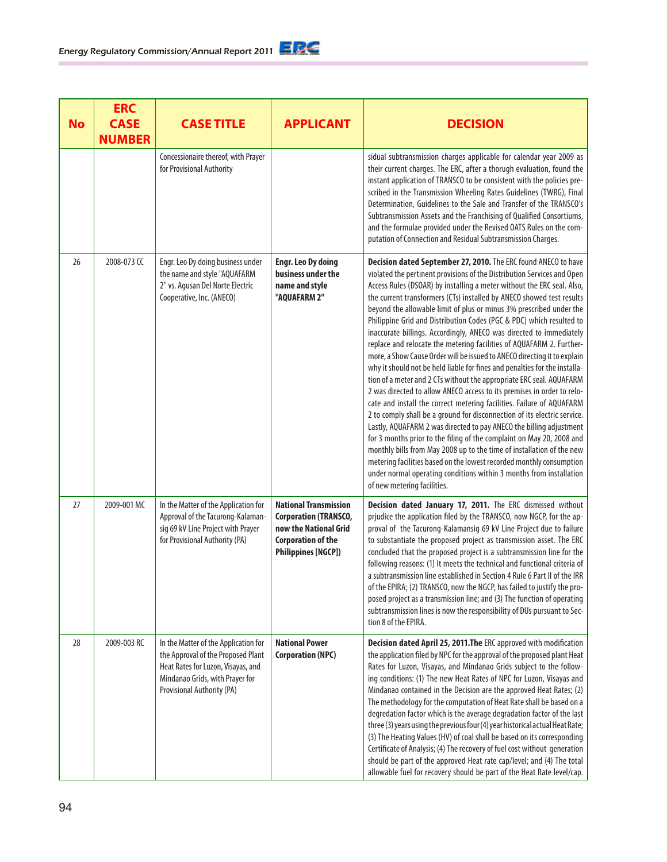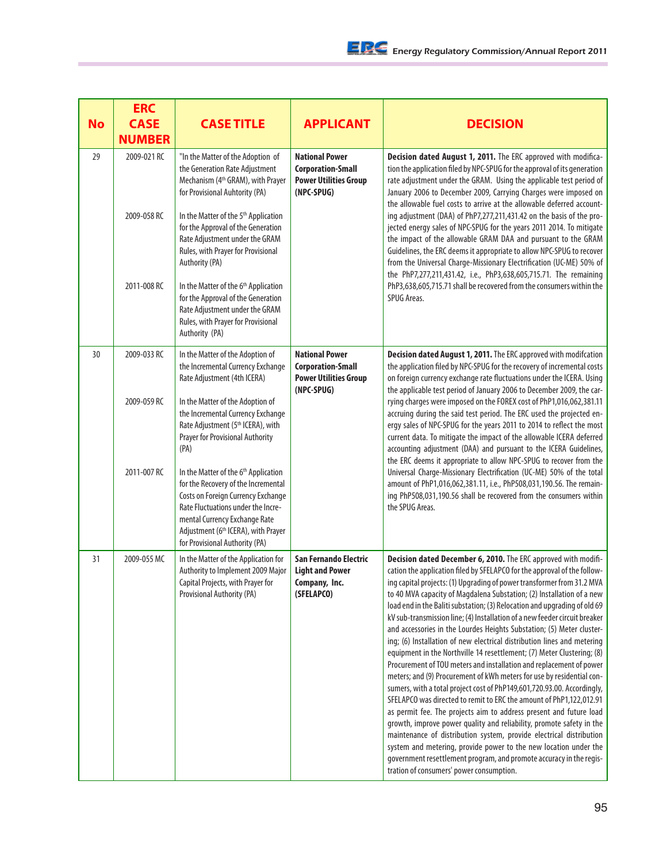| <b>No</b> | <b>ERC</b><br><b>CASE</b><br><b>NUMBER</b> | <b>CASE TITLE</b>                                                                                                                                                                                                                                                                                                                          | <b>APPLICANT</b>                                                                                | <b>DECISION</b>                                                                                                                                                                                                                                                                                                                                                                                                                                                                                                                                                                                                                                                                                                                                                                                                                                                                                                                                                                                                                                                                                                                                                                                                                                                                                                                                                                                      |
|-----------|--------------------------------------------|--------------------------------------------------------------------------------------------------------------------------------------------------------------------------------------------------------------------------------------------------------------------------------------------------------------------------------------------|-------------------------------------------------------------------------------------------------|------------------------------------------------------------------------------------------------------------------------------------------------------------------------------------------------------------------------------------------------------------------------------------------------------------------------------------------------------------------------------------------------------------------------------------------------------------------------------------------------------------------------------------------------------------------------------------------------------------------------------------------------------------------------------------------------------------------------------------------------------------------------------------------------------------------------------------------------------------------------------------------------------------------------------------------------------------------------------------------------------------------------------------------------------------------------------------------------------------------------------------------------------------------------------------------------------------------------------------------------------------------------------------------------------------------------------------------------------------------------------------------------------|
| 29        | 2009-021 RC<br>2009-058 RC                 | "In the Matter of the Adoption of<br>the Generation Rate Adjustment<br>Mechanism (4 <sup>th</sup> GRAM), with Prayer<br>for Provisional Auhtority (PA)<br>In the Matter of the 5 <sup>th</sup> Application<br>for the Approval of the Generation<br>Rate Adjustment under the GRAM<br>Rules, with Prayer for Provisional<br>Authority (PA) | <b>National Power</b><br><b>Corporation-Small</b><br><b>Power Utilities Group</b><br>(NPC-SPUG) | Decision dated August 1, 2011. The ERC approved with modifica-<br>tion the application filed by NPC-SPUG for the approval of its generation<br>rate adjustment under the GRAM. Using the applicable test period of<br>January 2006 to December 2009, Carrying Charges were imposed on<br>the allowable fuel costs to arrive at the allowable deferred account-<br>ing adjustment (DAA) of PhP7,277,211,431.42 on the basis of the pro-<br>jected energy sales of NPC-SPUG for the years 2011 2014. To mitigate<br>the impact of the allowable GRAM DAA and pursuant to the GRAM<br>Guidelines, the ERC deems it appropriate to allow NPC-SPUG to recover<br>from the Universal Charge-Missionary Electrification (UC-ME) 50% of<br>the PhP7,277,211,431.42, i.e., PhP3,638,605,715.71. The remaining                                                                                                                                                                                                                                                                                                                                                                                                                                                                                                                                                                                                 |
|           | 2011-008 RC                                | In the Matter of the 6 <sup>th</sup> Application<br>for the Approval of the Generation<br>Rate Adjustment under the GRAM<br>Rules, with Prayer for Provisional<br>Authority (PA)                                                                                                                                                           |                                                                                                 | PhP3,638,605,715.71 shall be recovered from the consumers within the<br>SPUG Areas.                                                                                                                                                                                                                                                                                                                                                                                                                                                                                                                                                                                                                                                                                                                                                                                                                                                                                                                                                                                                                                                                                                                                                                                                                                                                                                                  |
| 30        | 2009-033 RC                                | In the Matter of the Adoption of<br>the Incremental Currency Exchange<br>Rate Adjustment (4th ICERA)                                                                                                                                                                                                                                       | <b>National Power</b><br><b>Corporation-Small</b><br><b>Power Utilities Group</b><br>(NPC-SPUG) | Decision dated August 1, 2011. The ERC approved with modifcation<br>the application filed by NPC-SPUG for the recovery of incremental costs<br>on foreign currency exchange rate fluctuations under the ICERA. Using<br>the applicable test period of January 2006 to December 2009, the car-                                                                                                                                                                                                                                                                                                                                                                                                                                                                                                                                                                                                                                                                                                                                                                                                                                                                                                                                                                                                                                                                                                        |
|           | 2009-059 RC                                | In the Matter of the Adoption of<br>the Incremental Currency Exchange<br>Rate Adjustment (5th ICERA), with<br><b>Prayer for Provisional Authority</b><br>(PA)                                                                                                                                                                              |                                                                                                 | rying charges were imposed on the FOREX cost of PhP1,016,062,381.11<br>accruing during the said test period. The ERC used the projected en-<br>ergy sales of NPC-SPUG for the years 2011 to 2014 to reflect the most<br>current data. To mitigate the impact of the allowable ICERA deferred<br>accounting adjustment (DAA) and pursuant to the ICERA Guidelines,<br>the ERC deems it appropriate to allow NPC-SPUG to recover from the                                                                                                                                                                                                                                                                                                                                                                                                                                                                                                                                                                                                                                                                                                                                                                                                                                                                                                                                                              |
|           | 2011-007 RC                                | In the Matter of the 6 <sup>th</sup> Application<br>for the Recovery of the Incremental<br>Costs on Foreign Currency Exchange<br>Rate Fluctuations under the Incre-<br>mental Currency Exchange Rate<br>Adjustment (6 <sup>th</sup> ICERA), with Prayer<br>for Provisional Authority (PA)                                                  |                                                                                                 | Universal Charge-Missionary Electrification (UC-ME) 50% of the total<br>amount of PhP1,016,062,381.11, i.e., PhP508,031,190.56. The remain-<br>ing PhP508,031,190.56 shall be recovered from the consumers within<br>the SPUG Areas.                                                                                                                                                                                                                                                                                                                                                                                                                                                                                                                                                                                                                                                                                                                                                                                                                                                                                                                                                                                                                                                                                                                                                                 |
| 31        | 2009-055 MC                                | In the Matter of the Application for<br>Authority to Implement 2009 Major<br>Capital Projects, with Prayer for<br>Provisional Authority (PA)                                                                                                                                                                                               | San Fernando Electric<br><b>Light and Power</b><br>Company, Inc.<br>(SFELAPCO)                  | Decision dated December 6, 2010. The ERC approved with modifi-<br>cation the application filed by SFELAPCO for the approval of the follow-<br>ing capital projects: (1) Upgrading of power transformer from 31.2 MVA<br>to 40 MVA capacity of Magdalena Substation; (2) Installation of a new<br>load end in the Baliti substation; (3) Relocation and upgrading of old 69<br>kV sub-transmission line; (4) Installation of a new feeder circuit breaker<br>and accessories in the Lourdes Heights Substation; (5) Meter cluster-<br>ing; (6) Installation of new electrical distribution lines and metering<br>equipment in the Northville 14 resettlement; (7) Meter Clustering; (8)<br>Procurement of TOU meters and installation and replacement of power<br>meters; and (9) Procurement of kWh meters for use by residential con-<br>sumers, with a total project cost of PhP149,601,720.93.00. Accordingly,<br>SFELAPCO was directed to remit to ERC the amount of PhP1,122,012.91<br>as permit fee. The projects aim to address present and future load<br>growth, improve power quality and reliability, promote safety in the<br>maintenance of distribution system, provide electrical distribution<br>system and metering, provide power to the new location under the<br>government resettlement program, and promote accuracy in the regis-<br>tration of consumers' power consumption. |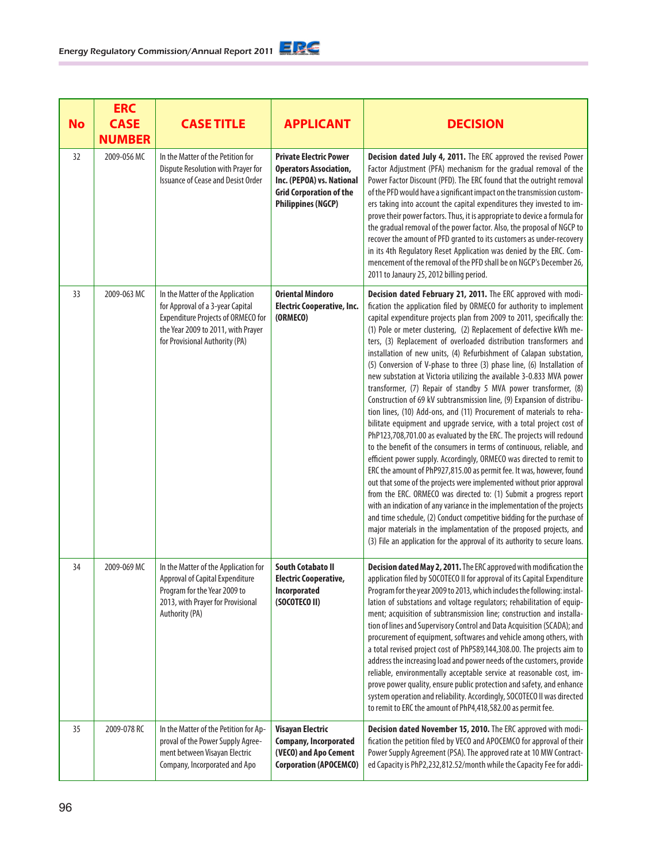|           | <b>ERC</b>                   |                                                                                                                                                                                           |                                                                                                                                                            |                                                                                                                                                                                                                                                                                                                                                                                                                                                                                                                                                                                                                                                                                                                                                                                                                                                                                                                                                                                                                                                                                                                                                                                                                                                                                                                                                                                                                                                                                                                                                                                                                                             |
|-----------|------------------------------|-------------------------------------------------------------------------------------------------------------------------------------------------------------------------------------------|------------------------------------------------------------------------------------------------------------------------------------------------------------|---------------------------------------------------------------------------------------------------------------------------------------------------------------------------------------------------------------------------------------------------------------------------------------------------------------------------------------------------------------------------------------------------------------------------------------------------------------------------------------------------------------------------------------------------------------------------------------------------------------------------------------------------------------------------------------------------------------------------------------------------------------------------------------------------------------------------------------------------------------------------------------------------------------------------------------------------------------------------------------------------------------------------------------------------------------------------------------------------------------------------------------------------------------------------------------------------------------------------------------------------------------------------------------------------------------------------------------------------------------------------------------------------------------------------------------------------------------------------------------------------------------------------------------------------------------------------------------------------------------------------------------------|
| <b>No</b> | <b>CASE</b><br><b>NUMBER</b> | <b>CASE TITLE</b>                                                                                                                                                                         | <b>APPLICANT</b>                                                                                                                                           | <b>DECISION</b>                                                                                                                                                                                                                                                                                                                                                                                                                                                                                                                                                                                                                                                                                                                                                                                                                                                                                                                                                                                                                                                                                                                                                                                                                                                                                                                                                                                                                                                                                                                                                                                                                             |
| 32        | 2009-056 MC                  | In the Matter of the Petition for<br>Dispute Resolution with Prayer for<br><b>Issuance of Cease and Desist Order</b>                                                                      | <b>Private Electric Power</b><br><b>Operators Association,</b><br>Inc. (PEPOA) vs. National<br><b>Grid Corporation of the</b><br><b>Philippines (NGCP)</b> | Decision dated July 4, 2011. The ERC approved the revised Power<br>Factor Adjustment (PFA) mechanism for the gradual removal of the<br>Power Factor Discount (PFD). The ERC found that the outright removal<br>of the PFD would have a significant impact on the transmission custom-<br>ers taking into account the capital expenditures they invested to im-<br>prove their power factors. Thus, it is appropriate to device a formula for<br>the gradual removal of the power factor. Also, the proposal of NGCP to<br>recover the amount of PFD granted to its customers as under-recovery<br>in its 4th Regulatory Reset Application was denied by the ERC. Com-<br>mencement of the removal of the PFD shall be on NGCP's December 26,<br>2011 to Janaury 25, 2012 billing period.                                                                                                                                                                                                                                                                                                                                                                                                                                                                                                                                                                                                                                                                                                                                                                                                                                                    |
| 33        | 2009-063 MC                  | In the Matter of the Application<br>for Approval of a 3-year Capital<br><b>Expenditure Projects of ORMECO for</b><br>the Year 2009 to 2011, with Prayer<br>for Provisional Authority (PA) | <b>Oriental Mindoro</b><br><b>Electric Cooperative, Inc.</b><br>(ORMECO)                                                                                   | Decision dated February 21, 2011. The ERC approved with modi-<br>fication the application filed by ORMECO for authority to implement<br>capital expenditure projects plan from 2009 to 2011, specifically the:<br>(1) Pole or meter clustering, (2) Replacement of defective kWh me-<br>ters, (3) Replacement of overloaded distribution transformers and<br>installation of new units, (4) Refurbishment of Calapan substation,<br>(5) Conversion of V-phase to three (3) phase line, (6) Installation of<br>new substation at Victoria utilizing the available 3-0.833 MVA power<br>transformer, (7) Repair of standby 5 MVA power transformer, (8)<br>Construction of 69 kV subtransmission line, (9) Expansion of distribu-<br>tion lines, (10) Add-ons, and (11) Procurement of materials to reha-<br>bilitate equipment and upgrade service, with a total project cost of<br>PhP123,708,701.00 as evaluated by the ERC. The projects will redound<br>to the benefit of the consumers in terms of continuous, reliable, and<br>efficient power supply. Accordingly, ORMECO was directed to remit to<br>ERC the amount of PhP927,815.00 as permit fee. It was, however, found<br>out that some of the projects were implemented without prior approval<br>from the ERC. ORMECO was directed to: (1) Submit a progress report<br>with an indication of any variance in the implementation of the projects<br>and time schedule, (2) Conduct competitive bidding for the purchase of<br>major materials in the implamentation of the proposed projects, and<br>(3) File an application for the approval of its authority to secure loans. |
| 34        | 2009-069 MC                  | In the Matter of the Application for<br>Approval of Capital Expenditure<br>Program for the Year 2009 to<br>2013, with Prayer for Provisional<br>Authority (PA)                            | <b>South Cotabato II</b><br>Electric Cooperative,<br>Incorporated<br>(SOCOTECO II)                                                                         | Decision dated May 2, 2011. The ERC approved with modification the<br>application filed by SOCOTECO II for approval of its Capital Expenditure<br>Program for the year 2009 to 2013, which includes the following: instal-<br>lation of substations and voltage regulators; rehabilitation of equip-<br>ment; acquisition of subtransmission line; construction and installa-<br>tion of lines and Supervisory Control and Data Acquisition (SCADA); and<br>procurement of equipment, softwares and vehicle among others, with<br>a total revised project cost of PhP589,144,308.00. The projects aim to<br>address the increasing load and power needs of the customers, provide<br>reliable, environmentally acceptable service at reasonable cost, im-<br>prove power quality, ensure public protection and safety, and enhance<br>system operation and reliability. Accordingly, SOCOTECO II was directed<br>to remit to ERC the amount of PhP4,418,582.00 as permit fee.                                                                                                                                                                                                                                                                                                                                                                                                                                                                                                                                                                                                                                                               |
| 35        | 2009-078 RC                  | In the Matter of the Petition for Ap-<br>proval of the Power Supply Agree-<br>ment between Visayan Electric<br>Company, Incorporated and Apo                                              | <b>Visayan Electric</b><br><b>Company, Incorporated</b><br>(VECO) and Apo Cement<br><b>Corporation (APOCEMCO)</b>                                          | Decision dated November 15, 2010. The ERC approved with modi-<br>fication the petition filed by VECO and APOCEMCO for approval of their<br>Power Supply Agreement (PSA). The approved rate at 10 MW Contract-<br>ed Capacity is PhP2,232,812.52/month while the Capacity Fee for addi-                                                                                                                                                                                                                                                                                                                                                                                                                                                                                                                                                                                                                                                                                                                                                                                                                                                                                                                                                                                                                                                                                                                                                                                                                                                                                                                                                      |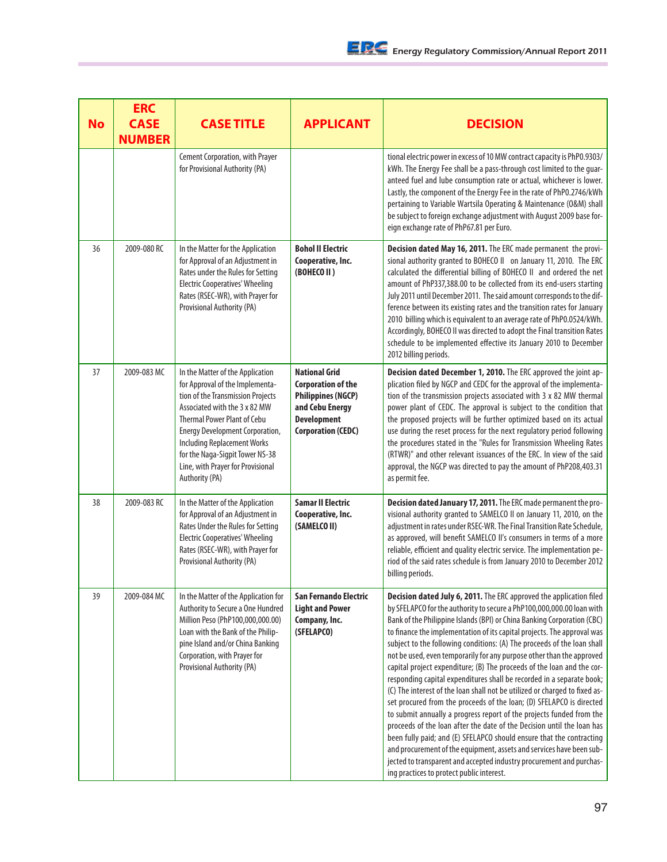| <b>No</b> | <b>ERC</b><br><b>CASE</b><br><b>NUMBER</b> | <b>CASE TITLE</b>                                                                                                                                                                                                                                                                                                                                         | <b>APPLICANT</b>                                                                                                                                     | <b>DECISION</b>                                                                                                                                                                                                                                                                                                                                                                                                                                                                                                                                                                                                                                                                                                                                                                                                                                                                                                                                                                                                                                                                                                                                                                        |
|-----------|--------------------------------------------|-----------------------------------------------------------------------------------------------------------------------------------------------------------------------------------------------------------------------------------------------------------------------------------------------------------------------------------------------------------|------------------------------------------------------------------------------------------------------------------------------------------------------|----------------------------------------------------------------------------------------------------------------------------------------------------------------------------------------------------------------------------------------------------------------------------------------------------------------------------------------------------------------------------------------------------------------------------------------------------------------------------------------------------------------------------------------------------------------------------------------------------------------------------------------------------------------------------------------------------------------------------------------------------------------------------------------------------------------------------------------------------------------------------------------------------------------------------------------------------------------------------------------------------------------------------------------------------------------------------------------------------------------------------------------------------------------------------------------|
|           |                                            | Cement Corporation, with Prayer<br>for Provisional Authority (PA)                                                                                                                                                                                                                                                                                         |                                                                                                                                                      | tional electric power in excess of 10 MW contract capacity is PhP0.9303/<br>kWh. The Energy Fee shall be a pass-through cost limited to the guar-<br>anteed fuel and lube consumption rate or actual, whichever is lower.<br>Lastly, the component of the Energy Fee in the rate of PhP0.2746/kWh<br>pertaining to Variable Wartsila Operating & Maintenance (O&M) shall<br>be subject to foreign exchange adjustment with August 2009 base for-<br>eign exchange rate of PhP67.81 per Euro.                                                                                                                                                                                                                                                                                                                                                                                                                                                                                                                                                                                                                                                                                           |
| 36        | 2009-080 RC                                | In the Matter for the Application<br>for Approval of an Adjustment in<br>Rates under the Rules for Setting<br><b>Electric Cooperatives' Wheeling</b><br>Rates (RSEC-WR), with Prayer for<br>Provisional Authority (PA)                                                                                                                                    | <b>Bohol II Electric</b><br>Cooperative, Inc.<br>(BOHECO II)                                                                                         | Decision dated May 16, 2011. The ERC made permanent the provi-<br>sional authority granted to BOHECO II on January 11, 2010. The ERC<br>calculated the differential billing of BOHECO II and ordered the net<br>amount of PhP337,388.00 to be collected from its end-users starting<br>July 2011 until December 2011. The said amount corresponds to the dif-<br>ference between its existing rates and the transition rates for January<br>2010 billing which is equivalent to an average rate of PhP0.0524/kWh.<br>Accordingly, BOHECO II was directed to adopt the Final transition Rates<br>schedule to be implemented effective its January 2010 to December<br>2012 billing periods.                                                                                                                                                                                                                                                                                                                                                                                                                                                                                             |
| 37        | 2009-083 MC                                | In the Matter of the Application<br>for Approval of the Implementa-<br>tion of the Transmission Projects<br>Associated with the 3 x 82 MW<br><b>Thermal Power Plant of Cebu</b><br><b>Energy Development Corporation,</b><br><b>Including Replacement Works</b><br>for the Naga-Sigpit Tower NS-38<br>Line, with Prayer for Provisional<br>Authority (PA) | <b>National Grid</b><br><b>Corporation of the</b><br><b>Philippines (NGCP)</b><br>and Cebu Energy<br><b>Development</b><br><b>Corporation (CEDC)</b> | Decision dated December 1, 2010. The ERC approved the joint ap-<br>plication filed by NGCP and CEDC for the approval of the implementa-<br>tion of the transmission projects associated with 3 x 82 MW thermal<br>power plant of CEDC. The approval is subject to the condition that<br>the proposed projects will be further optimized based on its actual<br>use during the reset process for the next regulatory period following<br>the procedures stated in the "Rules for Transmission Wheeling Rates<br>(RTWR)" and other relevant issuances of the ERC. In view of the said<br>approval, the NGCP was directed to pay the amount of PhP208,403.31<br>as permit fee.                                                                                                                                                                                                                                                                                                                                                                                                                                                                                                            |
| 38        | 2009-083 RC                                | In the Matter of the Application<br>for Approval of an Adjustment in<br>Rates Under the Rules for Setting<br><b>Electric Cooperatives' Wheeling</b><br>Rates (RSEC-WR), with Prayer for<br>Provisional Authority (PA)                                                                                                                                     | <b>Samar II Electric</b><br>Cooperative, Inc.<br>(SAMELCO II)                                                                                        | Decision dated January 17, 2011. The ERC made permanent the pro-<br>visional authority granted to SAMELCO II on January 11, 2010, on the<br>adjustment in rates under RSEC-WR. The Final Transition Rate Schedule,<br>as approved, will benefit SAMELCO II's consumers in terms of a more<br>reliable, efficient and quality electric service. The implementation pe-<br>riod of the said rates schedule is from January 2010 to December 2012<br>billing periods.                                                                                                                                                                                                                                                                                                                                                                                                                                                                                                                                                                                                                                                                                                                     |
| 39        | 2009-084 MC                                | In the Matter of the Application for<br>Authority to Secure a One Hundred<br>Million Peso (PhP100,000,000.00)<br>Loan with the Bank of the Philip-<br>pine Island and/or China Banking<br>Corporation, with Prayer for<br>Provisional Authority (PA)                                                                                                      | San Fernando Electric<br><b>Light and Power</b><br>Company, Inc.<br>(SFELAPCO)                                                                       | Decision dated July 6, 2011. The ERC approved the application filed<br>by SFELAPCO for the authority to secure a PhP100,000,000.00 loan with<br>Bank of the Philippine Islands (BPI) or China Banking Corporation (CBC)<br>to finance the implementation of its capital projects. The approval was<br>subject to the following conditions: (A) The proceeds of the loan shall<br>not be used, even temporarily for any purpose other than the approved<br>capital project expenditure; (B) The proceeds of the loan and the cor-<br>responding capital expenditures shall be recorded in a separate book;<br>(C) The interest of the loan shall not be utilized or charged to fixed as-<br>set procured from the proceeds of the loan; (D) SFELAPCO is directed<br>to submit annually a progress report of the projects funded from the<br>proceeds of the loan after the date of the Decision until the loan has<br>been fully paid; and (E) SFELAPCO should ensure that the contracting<br>and procurement of the equipment, assets and services have been sub-<br>jected to transparent and accepted industry procurement and purchas-<br>ing practices to protect public interest. |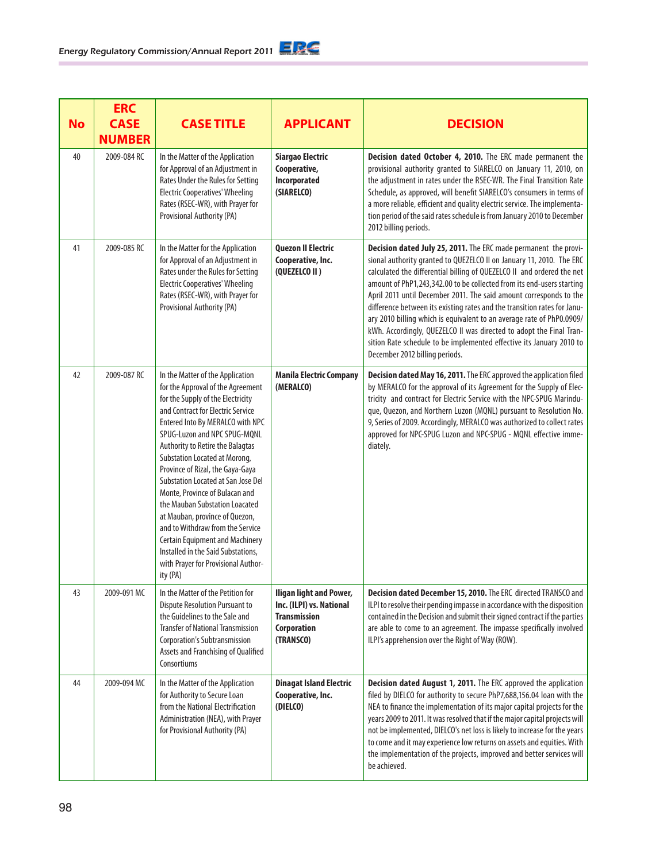| <b>No</b> | <b>ERC</b><br><b>CASE</b><br><b>NUMBER</b> | <b>CASE TITLE</b>                                                                                                                                                                                                                                                                                                                                                                                                                                                                                                                                                                                                                               | <b>APPLICANT</b>                                                                                              | <b>DECISION</b>                                                                                                                                                                                                                                                                                                                                                                                                                                                                                                                                                                                                                                                                                        |
|-----------|--------------------------------------------|-------------------------------------------------------------------------------------------------------------------------------------------------------------------------------------------------------------------------------------------------------------------------------------------------------------------------------------------------------------------------------------------------------------------------------------------------------------------------------------------------------------------------------------------------------------------------------------------------------------------------------------------------|---------------------------------------------------------------------------------------------------------------|--------------------------------------------------------------------------------------------------------------------------------------------------------------------------------------------------------------------------------------------------------------------------------------------------------------------------------------------------------------------------------------------------------------------------------------------------------------------------------------------------------------------------------------------------------------------------------------------------------------------------------------------------------------------------------------------------------|
| 40        | 2009-084 RC                                | In the Matter of the Application<br>for Approval of an Adjustment in<br>Rates Under the Rules for Setting<br><b>Electric Cooperatives' Wheeling</b><br>Rates (RSEC-WR), with Prayer for<br>Provisional Authority (PA)                                                                                                                                                                                                                                                                                                                                                                                                                           | Siargao Electric<br>Cooperative,<br>Incorporated<br>(SIARELCO)                                                | Decision dated October 4, 2010. The ERC made permanent the<br>provisional authority granted to SIARELCO on January 11, 2010, on<br>the adjustment in rates under the RSEC-WR. The Final Transition Rate<br>Schedule, as approved, will benefit SIARELCO's consumers in terms of<br>a more reliable, efficient and quality electric service. The implementa-<br>tion period of the said rates schedule is from January 2010 to December<br>2012 billing periods.                                                                                                                                                                                                                                        |
| 41        | 2009-085 RC                                | In the Matter for the Application<br>for Approval of an Adjustment in<br>Rates under the Rules for Setting<br><b>Electric Cooperatives' Wheeling</b><br>Rates (RSEC-WR), with Prayer for<br>Provisional Authority (PA)                                                                                                                                                                                                                                                                                                                                                                                                                          | <b>Quezon II Electric</b><br>Cooperative, Inc.<br>(QUEZELCO II)                                               | Decision dated July 25, 2011. The ERC made permanent the provi-<br>sional authority granted to QUEZELCO II on January 11, 2010. The ERC<br>calculated the differential billing of QUEZELCO II and ordered the net<br>amount of PhP1,243,342.00 to be collected from its end-users starting<br>April 2011 until December 2011. The said amount corresponds to the<br>difference between its existing rates and the transition rates for Janu-<br>ary 2010 billing which is equivalent to an average rate of PhP0.0909/<br>kWh. Accordingly, QUEZELCO II was directed to adopt the Final Tran-<br>sition Rate schedule to be implemented effective its January 2010 to<br>December 2012 billing periods. |
| 42        | 2009-087 RC                                | In the Matter of the Application<br>for the Approval of the Agreement<br>for the Supply of the Electricity<br>and Contract for Electric Service<br>Entered Into By MERALCO with NPC<br>SPUG-Luzon and NPC SPUG-MQNL<br>Authority to Retire the Balagtas<br>Substation Located at Morong,<br>Province of Rizal, the Gaya-Gaya<br>Substation Located at San Jose Del<br>Monte, Province of Bulacan and<br>the Mauban Substation Loacated<br>at Mauban, province of Quezon,<br>and to Withdraw from the Service<br><b>Certain Equipment and Machinery</b><br>Installed in the Said Substations,<br>with Prayer for Provisional Author-<br>ity (PA) | <b>Manila Electric Company</b><br>(MERALCO)                                                                   | Decision dated May 16, 2011. The ERC approved the application filed<br>by MERALCO for the approval of its Agreement for the Supply of Elec-<br>tricity and contract for Electric Service with the NPC-SPUG Marindu-<br>que, Quezon, and Northern Luzon (MQNL) pursuant to Resolution No.<br>9, Series of 2009. Accordingly, MERALCO was authorized to collect rates<br>approved for NPC-SPUG Luzon and NPC-SPUG - MQNL effective imme-<br>diately.                                                                                                                                                                                                                                                     |
| 43        | 2009-091 MC                                | In the Matter of the Petition for<br><b>Dispute Resolution Pursuant to</b><br>the Guidelines to the Sale and<br><b>Transfer of National Transmission</b><br><b>Corporation's Subtransmission</b><br>Assets and Franchising of Qualified<br>Consortiums                                                                                                                                                                                                                                                                                                                                                                                          | <b>Iligan light and Power,</b><br>Inc. (ILPI) vs. National<br><b>Transmission</b><br>Corporation<br>(TRANSCO) | Decision dated December 15, 2010. The ERC directed TRANSCO and<br>ILPI to resolve their pending impasse in accordance with the disposition<br>contained in the Decision and submit their signed contract if the parties<br>are able to come to an agreement. The impasse specifically involved<br>ILPI's apprehension over the Right of Way (ROW).                                                                                                                                                                                                                                                                                                                                                     |
| 44        | 2009-094 MC                                | In the Matter of the Application<br>for Authority to Secure Loan<br>from the National Electrification<br>Administration (NEA), with Prayer<br>for Provisional Authority (PA)                                                                                                                                                                                                                                                                                                                                                                                                                                                                    | <b>Dinagat Island Electric</b><br>Cooperative, Inc.<br>(DIELCO)                                               | Decision dated August 1, 2011. The ERC approved the application<br>filed by DIELCO for authority to secure PhP7,688,156.04 loan with the<br>NEA to finance the implementation of its major capital projects for the<br>years 2009 to 2011. It was resolved that if the major capital projects will<br>not be implemented, DIELCO's net loss is likely to increase for the years<br>to come and it may experience low returns on assets and equities. With<br>the implementation of the projects, improved and better services will<br>be achieved.                                                                                                                                                     |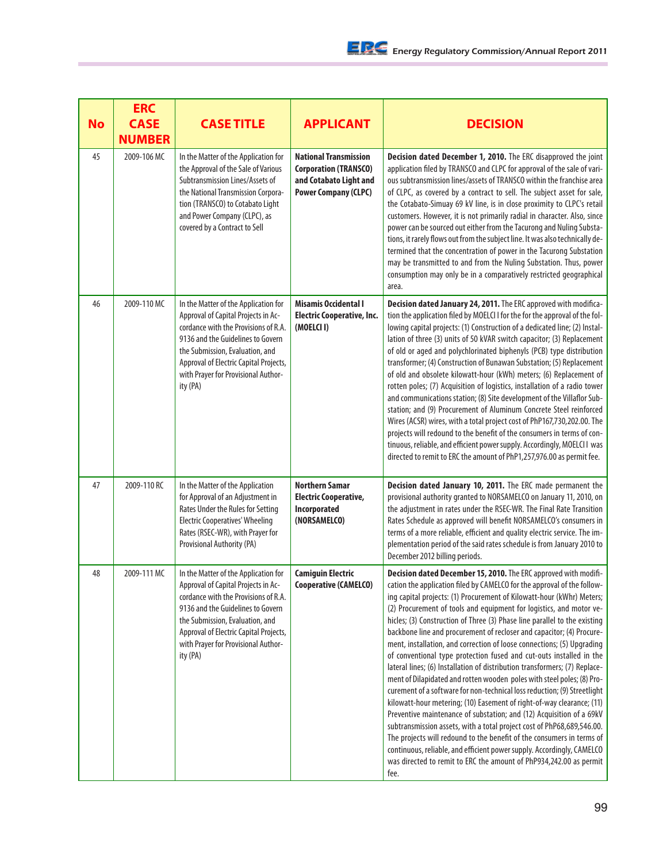| <b>No</b> | <b>ERC</b><br><b>CASE</b><br><b>NUMBER</b> | <b>CASE TITLE</b>                                                                                                                                                                                                                                                                        | <b>APPLICANT</b>                                                                                                      | <b>DECISION</b>                                                                                                                                                                                                                                                                                                                                                                                                                                                                                                                                                                                                                                                                                                                                                                                                                                                                                                                                                                                                                                                                                                                                                                                                                                                                                   |
|-----------|--------------------------------------------|------------------------------------------------------------------------------------------------------------------------------------------------------------------------------------------------------------------------------------------------------------------------------------------|-----------------------------------------------------------------------------------------------------------------------|---------------------------------------------------------------------------------------------------------------------------------------------------------------------------------------------------------------------------------------------------------------------------------------------------------------------------------------------------------------------------------------------------------------------------------------------------------------------------------------------------------------------------------------------------------------------------------------------------------------------------------------------------------------------------------------------------------------------------------------------------------------------------------------------------------------------------------------------------------------------------------------------------------------------------------------------------------------------------------------------------------------------------------------------------------------------------------------------------------------------------------------------------------------------------------------------------------------------------------------------------------------------------------------------------|
| 45        | 2009-106 MC                                | In the Matter of the Application for<br>the Approval of the Sale of Various<br>Subtransmission Lines/Assets of<br>the National Transmission Corpora-<br>tion (TRANSCO) to Cotabato Light<br>and Power Company (CLPC), as<br>covered by a Contract to Sell                                | <b>National Transmission</b><br><b>Corporation (TRANSCO)</b><br>and Cotabato Light and<br><b>Power Company (CLPC)</b> | Decision dated December 1, 2010. The ERC disapproved the joint<br>application filed by TRANSCO and CLPC for approval of the sale of vari-<br>ous subtransmission lines/assets of TRANSCO within the franchise area<br>of CLPC, as covered by a contract to sell. The subject asset for sale,<br>the Cotabato-Simuay 69 kV line, is in close proximity to CLPC's retail<br>customers. However, it is not primarily radial in character. Also, since<br>power can be sourced out either from the Tacurong and Nuling Substa-<br>tions, it rarely flows out from the subject line. It was also technically de-<br>termined that the concentration of power in the Tacurong Substation<br>may be transmitted to and from the Nuling Substation. Thus, power<br>consumption may only be in a comparatively restricted geographical<br>area.                                                                                                                                                                                                                                                                                                                                                                                                                                                            |
| 46        | 2009-110 MC                                | In the Matter of the Application for<br>Approval of Capital Projects in Ac-<br>cordance with the Provisions of R.A.<br>9136 and the Guidelines to Govern<br>the Submission, Evaluation, and<br>Approval of Electric Capital Projects,<br>with Prayer for Provisional Author-<br>ity (PA) | <b>Misamis Occidental I</b><br><b>Electric Cooperative, Inc.</b><br>(MOELCI I)                                        | Decision dated January 24, 2011. The ERC approved with modifica-<br>tion the application filed by MOELCI I for the for the approval of the fol-<br>lowing capital projects: (1) Construction of a dedicated line; (2) Instal-<br>lation of three (3) units of 50 kVAR switch capacitor; (3) Replacement<br>of old or aged and polychlorinated biphenyls (PCB) type distribution<br>transformer; (4) Construction of Bunawan Substation; (5) Replacement<br>of old and obsolete kilowatt-hour (kWh) meters; (6) Replacement of<br>rotten poles; (7) Acquisition of logistics, installation of a radio tower<br>and communications station; (8) Site development of the Villaflor Sub-<br>station; and (9) Procurement of Aluminum Concrete Steel reinforced<br>Wires (ACSR) wires, with a total project cost of PhP167,730,202.00. The<br>projects will redound to the benefit of the consumers in terms of con-<br>tinuous, reliable, and efficient power supply. Accordingly, MOELCII was<br>directed to remit to ERC the amount of PhP1,257,976.00 as permit fee.                                                                                                                                                                                                                               |
| 47        | 2009-110 RC                                | In the Matter of the Application<br>for Approval of an Adjustment in<br>Rates Under the Rules for Setting<br><b>Electric Cooperatives' Wheeling</b><br>Rates (RSEC-WR), with Prayer for<br>Provisional Authority (PA)                                                                    | <b>Northern Samar</b><br><b>Electric Cooperative,</b><br>Incorporated<br>(NORSAMELCO)                                 | Decision dated January 10, 2011. The ERC made permanent the<br>provisional authority granted to NORSAMELCO on January 11, 2010, on<br>the adjustment in rates under the RSEC-WR. The Final Rate Transition<br>Rates Schedule as approved will benefit NORSAMELCO's consumers in<br>terms of a more reliable, efficient and quality electric service. The im-<br>plementation period of the said rates schedule is from January 2010 to<br>December 2012 billing periods.                                                                                                                                                                                                                                                                                                                                                                                                                                                                                                                                                                                                                                                                                                                                                                                                                          |
| 48        | 2009-111 MC                                | In the Matter of the Application for<br>Approval of Capital Projects in Ac-<br>cordance with the Provisions of R.A.<br>9136 and the Guidelines to Govern<br>the Submission, Evaluation, and<br>Approval of Electric Capital Projects,<br>with Prayer for Provisional Author-<br>ity (PA) | <b>Camiguin Electric</b><br>Cooperative (CAMELCO)                                                                     | Decision dated December 15, 2010. The ERC approved with modifi-<br>cation the application filed by CAMELCO for the approval of the follow-<br>ing capital projects: (1) Procurement of Kilowatt-hour (kWhr) Meters;<br>(2) Procurement of tools and equipment for logistics, and motor ve-<br>hicles; (3) Construction of Three (3) Phase line parallel to the existing<br>backbone line and procurement of recloser and capacitor; (4) Procure-<br>ment, installation, and correction of loose connections; (5) Upgrading<br>of conventional type protection fused and cut-outs installed in the<br>lateral lines; (6) Installation of distribution transformers; (7) Replace-<br>ment of Dilapidated and rotten wooden poles with steel poles; (8) Pro-<br>curement of a software for non-technical loss reduction; (9) Streetlight<br>kilowatt-hour metering; (10) Easement of right-of-way clearance; (11)<br>Preventive maintenance of substation; and (12) Acquisition of a 69kV<br>subtransmission assets, with a total project cost of PhP68,689,546.00.<br>The projects will redound to the benefit of the consumers in terms of<br>continuous, reliable, and efficient power supply. Accordingly, CAMELCO<br>was directed to remit to ERC the amount of PhP934,242.00 as permit<br>fee. |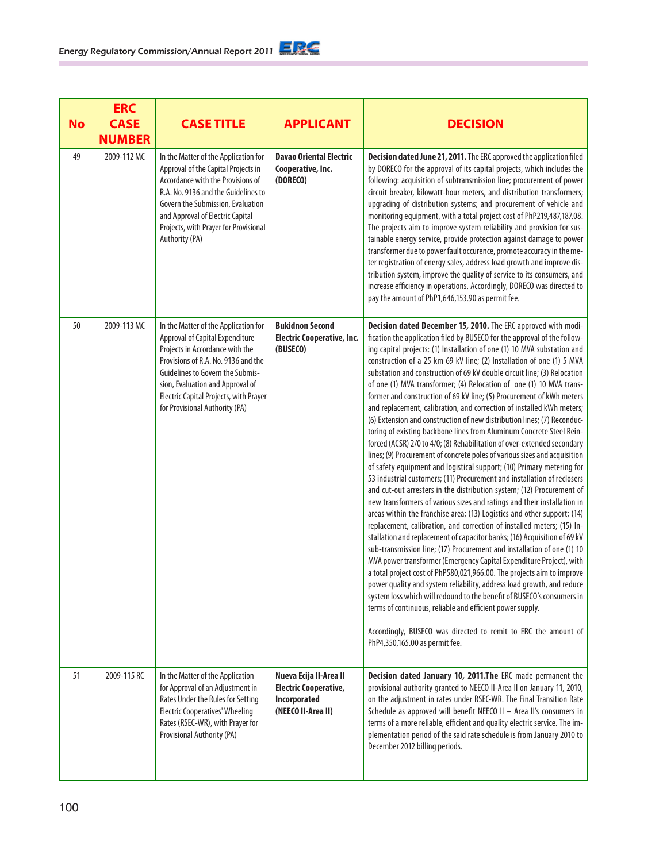| <b>No</b> | <b>ERC</b><br><b>CASE</b><br><b>NUMBER</b> | <b>CASE TITLE</b>                                                                                                                                                                                                                                                                                     | <b>APPLICANT</b>                                                                             | <b>DECISION</b>                                                                                                                                                                                                                                                                                                                                                                                                                                                                                                                                                                                                                                                                                                                                                                                                                                                                                                                                                                                                                                                                                                                                                                                                                                                                                                                                                                                                                                                                                                                                                                                                                                                                                                                                                                                                                                                                                                                                                                                      |
|-----------|--------------------------------------------|-------------------------------------------------------------------------------------------------------------------------------------------------------------------------------------------------------------------------------------------------------------------------------------------------------|----------------------------------------------------------------------------------------------|------------------------------------------------------------------------------------------------------------------------------------------------------------------------------------------------------------------------------------------------------------------------------------------------------------------------------------------------------------------------------------------------------------------------------------------------------------------------------------------------------------------------------------------------------------------------------------------------------------------------------------------------------------------------------------------------------------------------------------------------------------------------------------------------------------------------------------------------------------------------------------------------------------------------------------------------------------------------------------------------------------------------------------------------------------------------------------------------------------------------------------------------------------------------------------------------------------------------------------------------------------------------------------------------------------------------------------------------------------------------------------------------------------------------------------------------------------------------------------------------------------------------------------------------------------------------------------------------------------------------------------------------------------------------------------------------------------------------------------------------------------------------------------------------------------------------------------------------------------------------------------------------------------------------------------------------------------------------------------------------------|
| 49        | 2009-112 MC                                | In the Matter of the Application for<br>Approval of the Capital Projects in<br>Accordance with the Provisions of<br>R.A. No. 9136 and the Guidelines to<br>Govern the Submission, Evaluation<br>and Approval of Electric Capital<br>Projects, with Prayer for Provisional<br>Authority (PA)           | <b>Davao Oriental Electric</b><br>Cooperative, Inc.<br>(DORECO)                              | Decision dated June 21, 2011. The ERC approved the application filed<br>by DORECO for the approval of its capital projects, which includes the<br>following: acquisition of subtransmission line; procurement of power<br>circuit breaker, kilowatt-hour meters, and distribution transformers;<br>upgrading of distribution systems; and procurement of vehicle and<br>monitoring equipment, with a total project cost of PhP219,487,187.08.<br>The projects aim to improve system reliability and provision for sus-<br>tainable energy service, provide protection against damage to power<br>transformer due to power fault occurence, promote accuracy in the me-<br>ter registration of energy sales, address load growth and improve dis-<br>tribution system, improve the quality of service to its consumers, and<br>increase efficiency in operations. Accordingly, DORECO was directed to<br>pay the amount of PhP1,646,153.90 as permit fee.                                                                                                                                                                                                                                                                                                                                                                                                                                                                                                                                                                                                                                                                                                                                                                                                                                                                                                                                                                                                                                             |
| 50        | 2009-113 MC                                | In the Matter of the Application for<br>Approval of Capital Expenditure<br>Projects in Accordance with the<br>Provisions of R.A. No. 9136 and the<br>Guidelines to Govern the Submis-<br>sion, Evaluation and Approval of<br>Electric Capital Projects, with Prayer<br>for Provisional Authority (PA) | <b>Bukidnon Second</b><br><b>Electric Cooperative, Inc.</b><br>(BUSECO)                      | Decision dated December 15, 2010. The ERC approved with modi-<br>fication the application filed by BUSECO for the approval of the follow-<br>ing capital projects: (1) Installation of one (1) 10 MVA substation and<br>construction of a 25 km 69 kV line; (2) Installation of one (1) 5 MVA<br>substation and construction of 69 kV double circuit line; (3) Relocation<br>of one (1) MVA transformer; (4) Relocation of one (1) 10 MVA trans-<br>former and construction of 69 kV line; (5) Procurement of kWh meters<br>and replacement, calibration, and correction of installed kWh meters;<br>(6) Extension and construction of new distribution lines; (7) Reconduc-<br>toring of existing backbone lines from Aluminum Concrete Steel Rein-<br>forced (ACSR) 2/0 to 4/0; (8) Rehabilitation of over-extended secondary<br>lines; (9) Procurement of concrete poles of various sizes and acquisition<br>of safety equipment and logistical support; (10) Primary metering for<br>53 industrial customers; (11) Procurement and installation of reclosers<br>and cut-out arresters in the distribution system; (12) Procurement of<br>new transformers of various sizes and ratings and their installation in<br>areas within the franchise area; (13) Logistics and other support; (14)<br>replacement, calibration, and correction of installed meters; (15) In-<br>stallation and replacement of capacitor banks; (16) Acquisition of 69 kV<br>sub-transmission line; (17) Procurement and installation of one (1) 10<br>MVA power transformer (Emergency Capital Expenditure Project), with<br>a total project cost of PhP580,021,966.00. The projects aim to improve<br>power quality and system reliability, address load growth, and reduce<br>system loss which will redound to the benefit of BUSECO's consumers in<br>terms of continuous, reliable and efficient power supply.<br>Accordingly, BUSECO was directed to remit to ERC the amount of<br>PhP4,350,165.00 as permit fee. |
| 51        | 2009-115 RC                                | In the Matter of the Application<br>for Approval of an Adjustment in<br>Rates Under the Rules for Setting<br><b>Electric Cooperatives' Wheeling</b><br>Rates (RSEC-WR), with Prayer for<br>Provisional Authority (PA)                                                                                 | Nueva Ecija II-Area II<br><b>Electric Cooperative,</b><br>Incorporated<br>(NEECO II-Area II) | Decision dated January 10, 2011. The ERC made permanent the<br>provisional authority granted to NEECO II-Area II on January 11, 2010,<br>on the adjustment in rates under RSEC-WR. The Final Transition Rate<br>Schedule as approved will benefit NEECO II - Area II's consumers in<br>terms of a more reliable, efficient and quality electric service. The im-<br>plementation period of the said rate schedule is from January 2010 to<br>December 2012 billing periods.                                                                                                                                                                                                                                                                                                                                                                                                                                                                                                                                                                                                                                                                                                                                                                                                                                                                                                                                                                                                                                                                                                                                                                                                                                                                                                                                                                                                                                                                                                                          |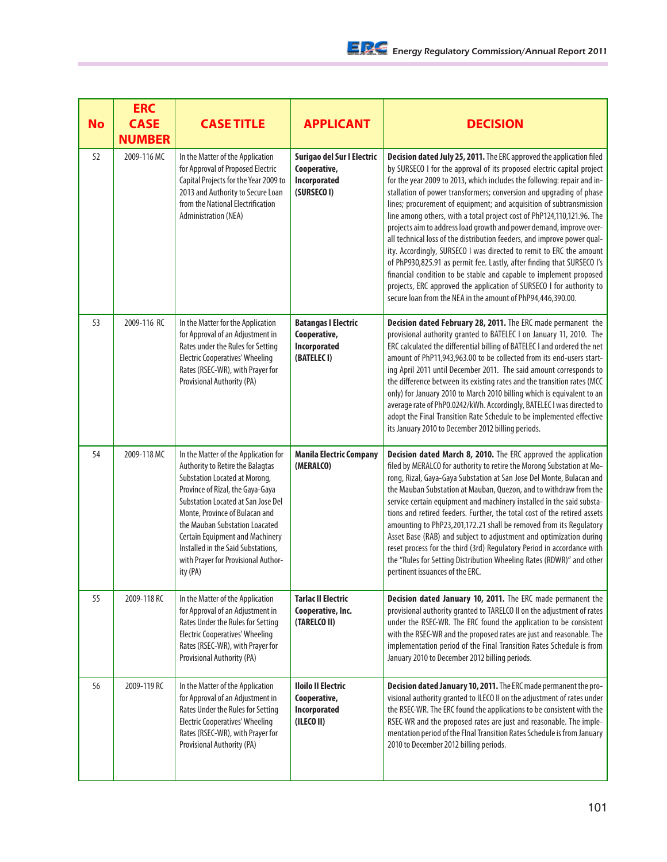| <b>No</b> | <b>ERC</b><br><b>CASE</b><br><b>NUMBER</b> | <b>CASE TITLE</b>                                                                                                                                                                                                                                                                                                                                                                                 | <b>APPLICANT</b>                                                          | <b>DECISION</b>                                                                                                                                                                                                                                                                                                                                                                                                                                                                                                                                                                                                                                                                                                                                                                                                                                                                                                                                                   |
|-----------|--------------------------------------------|---------------------------------------------------------------------------------------------------------------------------------------------------------------------------------------------------------------------------------------------------------------------------------------------------------------------------------------------------------------------------------------------------|---------------------------------------------------------------------------|-------------------------------------------------------------------------------------------------------------------------------------------------------------------------------------------------------------------------------------------------------------------------------------------------------------------------------------------------------------------------------------------------------------------------------------------------------------------------------------------------------------------------------------------------------------------------------------------------------------------------------------------------------------------------------------------------------------------------------------------------------------------------------------------------------------------------------------------------------------------------------------------------------------------------------------------------------------------|
| 52        | 2009-116 MC                                | In the Matter of the Application<br>for Approval of Proposed Electric<br>Capital Projects for the Year 2009 to<br>2013 and Authority to Secure Loan<br>from the National Electrification<br><b>Administration (NEA)</b>                                                                                                                                                                           | Surigao del Sur I Electric<br>Cooperative,<br>Incorporated<br>(SURSECO I) | Decision dated July 25, 2011. The ERC approved the application filed<br>by SURSECO I for the approval of its proposed electric capital project<br>for the year 2009 to 2013, which includes the following: repair and in-<br>stallation of power transformers; conversion and upgrading of phase<br>lines; procurement of equipment; and acquisition of subtransmission<br>line among others, with a total project cost of PhP124,110,121.96. The<br>projects aim to address load growth and power demand, improve over-<br>all technical loss of the distribution feeders, and improve power qual-<br>ity. Accordingly, SURSECO I was directed to remit to ERC the amount<br>of PhP930,825.91 as permit fee. Lastly, after finding that SURSECO I's<br>financial condition to be stable and capable to implement proposed<br>projects, ERC approved the application of SURSECO I for authority to<br>secure loan from the NEA in the amount of PhP94,446,390.00. |
| 53        | 2009-116 RC                                | In the Matter for the Application<br>for Approval of an Adjustment in<br>Rates under the Rules for Setting<br><b>Electric Cooperatives' Wheeling</b><br>Rates (RSEC-WR), with Prayer for<br>Provisional Authority (PA)                                                                                                                                                                            | <b>Batangas I Electric</b><br>Cooperative,<br>Incorporated<br>(BATELEC I) | Decision dated February 28, 2011. The ERC made permanent the<br>provisional authority granted to BATELEC I on January 11, 2010. The<br>ERC calculated the differential billing of BATELEC I and ordered the net<br>amount of PhP11,943,963.00 to be collected from its end-users start-<br>ing April 2011 until December 2011. The said amount corresponds to<br>the difference between its existing rates and the transition rates (MCC<br>only) for January 2010 to March 2010 billing which is equivalent to an<br>average rate of PhP0.0242/kWh. Accordingly, BATELEC I was directed to<br>adopt the Final Transition Rate Schedule to be implemented effective<br>its January 2010 to December 2012 billing periods.                                                                                                                                                                                                                                         |
| 54        | 2009-118 MC                                | In the Matter of the Application for<br>Authority to Retire the Balagtas<br>Substation Located at Morong,<br>Province of Rizal, the Gaya-Gaya<br><b>Substation Located at San Jose Del</b><br>Monte, Province of Bulacan and<br>the Mauban Substation Loacated<br><b>Certain Equipment and Machinery</b><br>Installed in the Said Substations,<br>with Prayer for Provisional Author-<br>ity (PA) | <b>Manila Electric Company</b><br>(MERALCO)                               | Decision dated March 8, 2010. The ERC approved the application<br>filed by MERALCO for authority to retire the Morong Substation at Mo-<br>rong, Rizal, Gaya-Gaya Substation at San Jose Del Monte, Bulacan and<br>the Mauban Substation at Mauban, Quezon, and to withdraw from the<br>service certain equipment and machinery installed in the said substa-<br>tions and retired feeders. Further, the total cost of the retired assets<br>amounting to PhP23,201,172.21 shall be removed from its Regulatory<br>Asset Base (RAB) and subject to adjustment and optimization during<br>reset process for the third (3rd) Regulatory Period in accordance with<br>the "Rules for Setting Distribution Wheeling Rates (RDWR)" and other<br>pertinent issuances of the ERC.                                                                                                                                                                                        |
| 55        | 2009-118 RC                                | In the Matter of the Application<br>for Approval of an Adjustment in<br>Rates Under the Rules for Setting<br><b>Electric Cooperatives' Wheeling</b><br>Rates (RSEC-WR), with Prayer for<br>Provisional Authority (PA)                                                                                                                                                                             | <b>Tarlac II Electric</b><br>Cooperative, Inc.<br>(TARELCO II)            | Decision dated January 10, 2011. The ERC made permanent the<br>provisional authority granted to TARELCO II on the adjustment of rates<br>under the RSEC-WR. The ERC found the application to be consistent<br>with the RSEC-WR and the proposed rates are just and reasonable. The<br>implementation period of the Final Transition Rates Schedule is from<br>January 2010 to December 2012 billing periods.                                                                                                                                                                                                                                                                                                                                                                                                                                                                                                                                                      |
| 56        | 2009-119 RC                                | In the Matter of the Application<br>for Approval of an Adjustment in<br>Rates Under the Rules for Setting<br><b>Electric Cooperatives' Wheeling</b><br>Rates (RSEC-WR), with Prayer for<br>Provisional Authority (PA)                                                                                                                                                                             | <b>Iloilo II Electric</b><br>Cooperative,<br>Incorporated<br>(ILECO II)   | Decision dated January 10, 2011. The ERC made permanent the pro-<br>visional authority granted to ILECO II on the adjustment of rates under<br>the RSEC-WR. The ERC found the applications to be consistent with the<br>RSEC-WR and the proposed rates are just and reasonable. The imple-<br>mentation period of the FInal Transition Rates Schedule is from January<br>2010 to December 2012 billing periods.                                                                                                                                                                                                                                                                                                                                                                                                                                                                                                                                                   |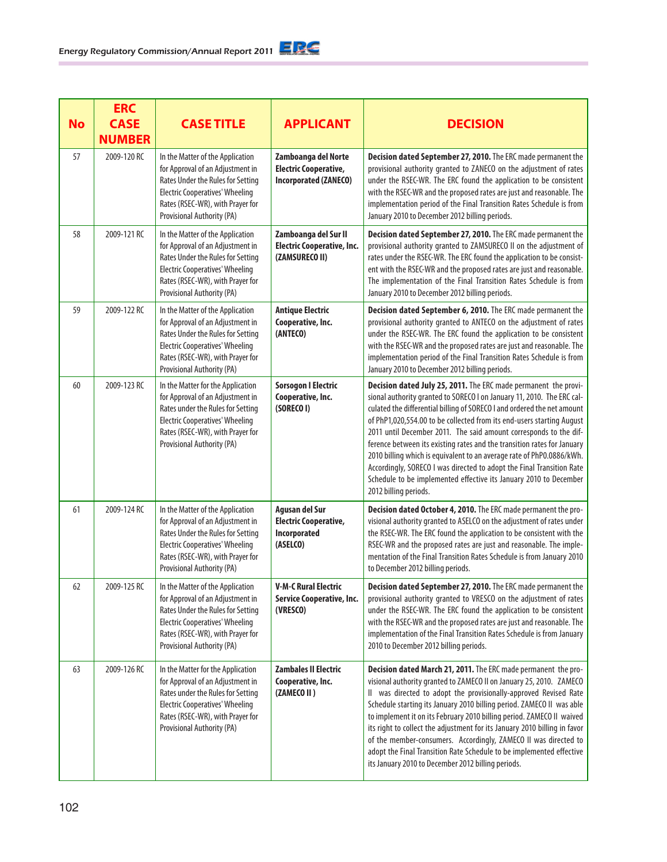|           | <b>ERC</b>                   |                                                                                                                                                                                                                        |                                                                                     |                                                                                                                                                                                                                                                                                                                                                                                                                                                                                                                                                                                                                                                                                               |
|-----------|------------------------------|------------------------------------------------------------------------------------------------------------------------------------------------------------------------------------------------------------------------|-------------------------------------------------------------------------------------|-----------------------------------------------------------------------------------------------------------------------------------------------------------------------------------------------------------------------------------------------------------------------------------------------------------------------------------------------------------------------------------------------------------------------------------------------------------------------------------------------------------------------------------------------------------------------------------------------------------------------------------------------------------------------------------------------|
| <b>No</b> | <b>CASE</b><br><b>NUMBER</b> | <b>CASE TITLE</b>                                                                                                                                                                                                      | <b>APPLICANT</b>                                                                    | <b>DECISION</b>                                                                                                                                                                                                                                                                                                                                                                                                                                                                                                                                                                                                                                                                               |
| 57        | 2009-120 RC                  | In the Matter of the Application<br>for Approval of an Adjustment in<br>Rates Under the Rules for Setting<br><b>Electric Cooperatives' Wheeling</b><br>Rates (RSEC-WR), with Prayer for<br>Provisional Authority (PA)  | Zamboanga del Norte<br><b>Electric Cooperative,</b><br><b>Incorporated (ZANECO)</b> | Decision dated September 27, 2010. The ERC made permanent the<br>provisional authority granted to ZANECO on the adjustment of rates<br>under the RSEC-WR. The ERC found the application to be consistent<br>with the RSEC-WR and the proposed rates are just and reasonable. The<br>implementation period of the Final Transition Rates Schedule is from<br>January 2010 to December 2012 billing periods.                                                                                                                                                                                                                                                                                    |
| 58        | 2009-121 RC                  | In the Matter of the Application<br>for Approval of an Adjustment in<br>Rates Under the Rules for Setting<br><b>Electric Cooperatives' Wheeling</b><br>Rates (RSEC-WR), with Prayer for<br>Provisional Authority (PA)  | Zamboanga del Sur II<br><b>Electric Cooperative, Inc.</b><br>(ZAMSURECO II)         | Decision dated September 27, 2010. The ERC made permanent the<br>provisional authority granted to ZAMSURECO II on the adjustment of<br>rates under the RSEC-WR. The ERC found the application to be consist-<br>ent with the RSEC-WR and the proposed rates are just and reasonable.<br>The implementation of the Final Transition Rates Schedule is from<br>January 2010 to December 2012 billing periods.                                                                                                                                                                                                                                                                                   |
| 59        | 2009-122 RC                  | In the Matter of the Application<br>for Approval of an Adjustment in<br>Rates Under the Rules for Setting<br><b>Electric Cooperatives' Wheeling</b><br>Rates (RSEC-WR), with Prayer for<br>Provisional Authority (PA)  | <b>Antique Electric</b><br>Cooperative, Inc.<br>(ANTECO)                            | Decision dated September 6, 2010. The ERC made permanent the<br>provisional authority granted to ANTECO on the adjustment of rates<br>under the RSEC-WR. The ERC found the application to be consistent<br>with the RSEC-WR and the proposed rates are just and reasonable. The<br>implementation period of the Final Transition Rates Schedule is from<br>January 2010 to December 2012 billing periods.                                                                                                                                                                                                                                                                                     |
| 60        | 2009-123 RC                  | In the Matter for the Application<br>for Approval of an Adjustment in<br>Rates under the Rules for Setting<br><b>Electric Cooperatives' Wheeling</b><br>Rates (RSEC-WR), with Prayer for<br>Provisional Authority (PA) | <b>Sorsogon I Electric</b><br>Cooperative, Inc.<br>(SORECOI)                        | Decision dated July 25, 2011. The ERC made permanent the provi-<br>sional authority granted to SORECO I on January 11, 2010. The ERC cal-<br>culated the differential billing of SORECO I and ordered the net amount<br>of PhP1,020,554.00 to be collected from its end-users starting August<br>2011 until December 2011. The said amount corresponds to the dif-<br>ference between its existing rates and the transition rates for January<br>2010 billing which is equivalent to an average rate of PhP0.0886/kWh.<br>Accordingly, SORECO I was directed to adopt the Final Transition Rate<br>Schedule to be implemented effective its January 2010 to December<br>2012 billing periods. |
| 61        | 2009-124 RC                  | In the Matter of the Application<br>for Approval of an Adjustment in<br>Rates Under the Rules for Setting<br><b>Electric Cooperatives' Wheeling</b><br>Rates (RSEC-WR), with Prayer for<br>Provisional Authority (PA)  | Agusan del Sur<br><b>Electric Cooperative,</b><br>Incorporated<br>(ASELCO)          | Decision dated October 4, 2010. The ERC made permanent the pro-<br>visional authority granted to ASELCO on the adjustment of rates under<br>the RSEC-WR. The ERC found the application to be consistent with the<br>RSEC-WR and the proposed rates are just and reasonable. The imple-<br>mentation of the Final Transition Rates Schedule is from January 2010<br>to December 2012 billing periods.                                                                                                                                                                                                                                                                                          |
| 62        | 2009-125 RC                  | In the Matter of the Application<br>for Approval of an Adjustment in<br>Rates Under the Rules for Setting<br><b>Electric Cooperatives' Wheeling</b><br>Rates (RSEC-WR), with Prayer for<br>Provisional Authority (PA)  | V-M-C Rural Electric<br>Service Cooperative, Inc.<br>(VRESCO)                       | Decision dated September 27, 2010. The ERC made permanent the<br>provisional authority granted to VRESCO on the adjustment of rates<br>under the RSEC-WR. The ERC found the application to be consistent<br>with the RSEC-WR and the proposed rates are just and reasonable. The<br>implementation of the Final Transition Rates Schedule is from January<br>2010 to December 2012 billing periods.                                                                                                                                                                                                                                                                                           |
| 63        | 2009-126 RC                  | In the Matter for the Application<br>for Approval of an Adjustment in<br>Rates under the Rules for Setting<br><b>Electric Cooperatives' Wheeling</b><br>Rates (RSEC-WR), with Prayer for<br>Provisional Authority (PA) | <b>Zambales II Electric</b><br>Cooperative, Inc.<br>(ZAMECO II)                     | Decision dated March 21, 2011. The ERC made permanent the pro-<br>visional authority granted to ZAMECO II on January 25, 2010. ZAMECO<br>Il was directed to adopt the provisionally-approved Revised Rate<br>Schedule starting its January 2010 billing period. ZAMECO II was able<br>to implement it on its February 2010 billing period. ZAMECO II waived<br>its right to collect the adjustment for its January 2010 billing in favor<br>of the member-consumers. Accordingly, ZAMECO II was directed to<br>adopt the Final Transition Rate Schedule to be implemented effective<br>its January 2010 to December 2012 billing periods.                                                     |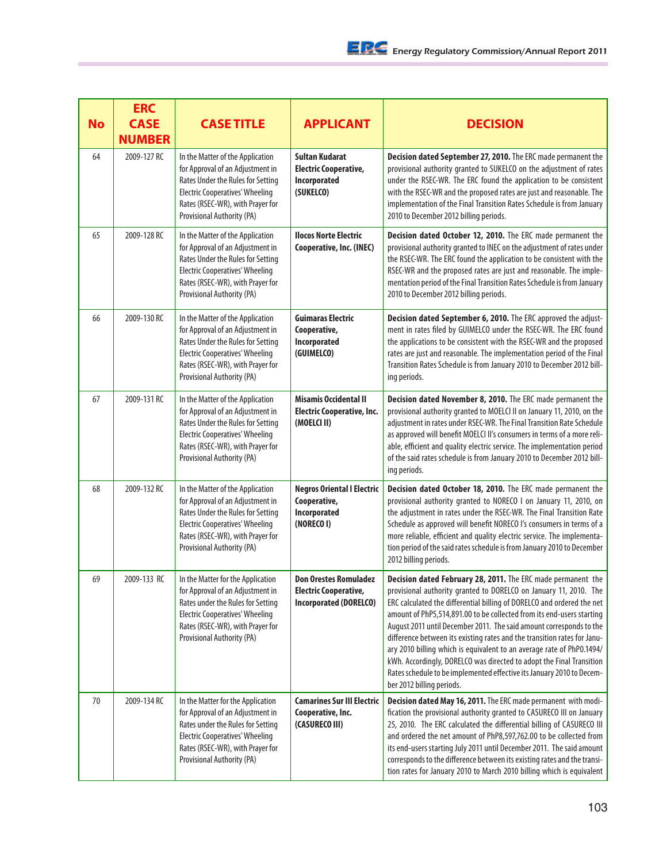| <b>No</b> | <b>ERC</b><br><b>CASE</b><br><b>NUMBER</b> | <b>CASE TITLE</b>                                                                                                                                                                                                      | <b>APPLICANT</b>                                                                       | <b>DECISION</b>                                                                                                                                                                                                                                                                                                                                                                                                                                                                                                                                                                                                                                                                                |
|-----------|--------------------------------------------|------------------------------------------------------------------------------------------------------------------------------------------------------------------------------------------------------------------------|----------------------------------------------------------------------------------------|------------------------------------------------------------------------------------------------------------------------------------------------------------------------------------------------------------------------------------------------------------------------------------------------------------------------------------------------------------------------------------------------------------------------------------------------------------------------------------------------------------------------------------------------------------------------------------------------------------------------------------------------------------------------------------------------|
| 64        | 2009-127 RC                                | In the Matter of the Application<br>for Approval of an Adjustment in<br>Rates Under the Rules for Setting<br><b>Electric Cooperatives' Wheeling</b><br>Rates (RSEC-WR), with Prayer for<br>Provisional Authority (PA)  | <b>Sultan Kudarat</b><br><b>Electric Cooperative,</b><br>Incorporated<br>(SUKELCO)     | Decision dated September 27, 2010. The ERC made permanent the<br>provisional authority granted to SUKELCO on the adjustment of rates<br>under the RSEC-WR. The ERC found the application to be consistent<br>with the RSEC-WR and the proposed rates are just and reasonable. The<br>implementation of the Final Transition Rates Schedule is from January<br>2010 to December 2012 billing periods.                                                                                                                                                                                                                                                                                           |
| 65        | 2009-128 RC                                | In the Matter of the Application<br>for Approval of an Adjustment in<br>Rates Under the Rules for Setting<br><b>Electric Cooperatives' Wheeling</b><br>Rates (RSEC-WR), with Prayer for<br>Provisional Authority (PA)  | <b>Ilocos Norte Electric</b><br>Cooperative, Inc. (INEC)                               | Decision dated October 12, 2010. The ERC made permanent the<br>provisional authority granted to INEC on the adjustment of rates under<br>the RSEC-WR. The ERC found the application to be consistent with the<br>RSEC-WR and the proposed rates are just and reasonable. The imple-<br>mentation period of the Final Transition Rates Schedule is from January<br>2010 to December 2012 billing periods.                                                                                                                                                                                                                                                                                       |
| 66        | 2009-130 RC                                | In the Matter of the Application<br>for Approval of an Adjustment in<br>Rates Under the Rules for Setting<br><b>Electric Cooperatives' Wheeling</b><br>Rates (RSEC-WR), with Prayer for<br>Provisional Authority (PA)  | <b>Guimaras Electric</b><br>Cooperative,<br>Incorporated<br>(GUIMELCO)                 | Decision dated September 6, 2010. The ERC approved the adjust-<br>ment in rates filed by GUIMELCO under the RSEC-WR. The ERC found<br>the applications to be consistent with the RSEC-WR and the proposed<br>rates are just and reasonable. The implementation period of the Final<br>Transition Rates Schedule is from January 2010 to December 2012 bill-<br>ing periods.                                                                                                                                                                                                                                                                                                                    |
| 67        | 2009-131 RC                                | In the Matter of the Application<br>for Approval of an Adjustment in<br>Rates Under the Rules for Setting<br><b>Electric Cooperatives' Wheeling</b><br>Rates (RSEC-WR), with Prayer for<br>Provisional Authority (PA)  | <b>Misamis Occidental II</b><br><b>Electric Cooperative, Inc.</b><br>(MOELCI II)       | Decision dated November 8, 2010. The ERC made permanent the<br>provisional authority granted to MOELCI II on January 11, 2010, on the<br>adjustment in rates under RSEC-WR. The Final Transition Rate Schedule<br>as approved will benefit MOELCI II's consumers in terms of a more reli-<br>able, efficient and quality electric service. The implementation period<br>of the said rates schedule is from January 2010 to December 2012 bill-<br>ing periods.                                                                                                                                                                                                                                 |
| 68        | 2009-132 RC                                | In the Matter of the Application<br>for Approval of an Adjustment in<br>Rates Under the Rules for Setting<br><b>Electric Cooperatives' Wheeling</b><br>Rates (RSEC-WR), with Prayer for<br>Provisional Authority (PA)  | <b>Negros Oriental I Electric</b><br>Cooperative,<br>Incorporated<br>(NORECO I)        | Decision dated October 18, 2010. The ERC made permanent the<br>provisional authority granted to NORECO I on January 11, 2010, on<br>the adjustment in rates under the RSEC-WR. The Final Transition Rate<br>Schedule as approved will benefit NORECO I's consumers in terms of a<br>more reliable, efficient and quality electric service. The implementa-<br>tion period of the said rates schedule is from January 2010 to December<br>2012 billing periods.                                                                                                                                                                                                                                 |
| 69        | 2009-133 RC                                | In the Matter for the Application<br>for Approval of an Adjustment in<br>Rates under the Rules for Setting<br><b>Electric Cooperatives' Wheeling</b><br>Rates (RSEC-WR), with Prayer for<br>Provisional Authority (PA) | <b>Don Orestes Romuladez</b><br>Electric Cooperative,<br><b>Incorporated (DORELCO)</b> | Decision dated February 28, 2011. The ERC made permanent the<br>provisional authority granted to DORELCO on January 11, 2010. The<br>ERC calculated the differential billing of DORELCO and ordered the net<br>amount of PhP5,514,891.00 to be collected from its end-users starting<br>August 2011 until December 2011. The said amount corresponds to the<br>difference between its existing rates and the transition rates for Janu-<br>ary 2010 billing which is equivalent to an average rate of PhP0.1494/<br>kWh. Accordingly, DORELCO was directed to adopt the Final Transition<br>Rates schedule to be implemented effective its January 2010 to Decem-<br>ber 2012 billing periods. |
| 70        | 2009-134 RC                                | In the Matter for the Application<br>for Approval of an Adjustment in<br>Rates under the Rules for Setting<br><b>Electric Cooperatives' Wheeling</b><br>Rates (RSEC-WR), with Prayer for<br>Provisional Authority (PA) | <b>Camarines Sur III Electric</b><br>Cooperative, Inc.<br>(CASURECO III)               | Decision dated May 16, 2011. The ERC made permanent with modi-<br>fication the provisional authority granted to CASURECO III on January<br>25, 2010. The ERC calculated the differential billing of CASURECO III<br>and ordered the net amount of PhP8,597,762.00 to be collected from<br>its end-users starting July 2011 until December 2011. The said amount<br>corresponds to the difference between its existing rates and the transi-<br>tion rates for January 2010 to March 2010 billing which is equivalent                                                                                                                                                                           |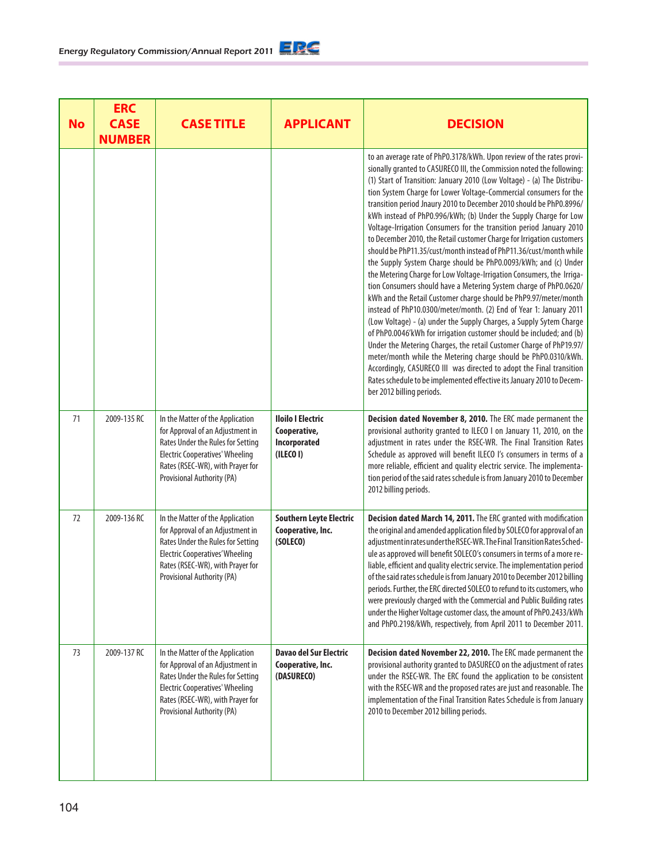104

| <b>Energy Regulatory Commission/Annual Report 2011</b> |  |
|--------------------------------------------------------|--|
|--------------------------------------------------------|--|

| <b>No</b> | <b>ERC</b><br><b>CASE</b><br><b>NUMBER</b> | <b>CASE TITLE</b>                                                                                                                                                                                                     | <b>APPLICANT</b>                                                      | <b>DECISION</b>                                                                                                                                                                                                                                                                                                                                                                                                                                                                                                                                                                                                                                                                                                                                                                                                                                                                                                                                                                                                                                                                                                                                                                                                                                                                                                                                                                                                                                                                                 |
|-----------|--------------------------------------------|-----------------------------------------------------------------------------------------------------------------------------------------------------------------------------------------------------------------------|-----------------------------------------------------------------------|-------------------------------------------------------------------------------------------------------------------------------------------------------------------------------------------------------------------------------------------------------------------------------------------------------------------------------------------------------------------------------------------------------------------------------------------------------------------------------------------------------------------------------------------------------------------------------------------------------------------------------------------------------------------------------------------------------------------------------------------------------------------------------------------------------------------------------------------------------------------------------------------------------------------------------------------------------------------------------------------------------------------------------------------------------------------------------------------------------------------------------------------------------------------------------------------------------------------------------------------------------------------------------------------------------------------------------------------------------------------------------------------------------------------------------------------------------------------------------------------------|
|           |                                            |                                                                                                                                                                                                                       |                                                                       | to an average rate of PhP0.3178/kWh. Upon review of the rates provi-<br>sionally granted to CASURECO III, the Commission noted the following:<br>(1) Start of Transition: January 2010 (Low Voltage) - (a) The Distribu-<br>tion System Charge for Lower Voltage-Commercial consumers for the<br>transition period Jnaury 2010 to December 2010 should be PhP0.8996/<br>kWh instead of PhP0.996/kWh; (b) Under the Supply Charge for Low<br>Voltage-Irrigation Consumers for the transition period January 2010<br>to December 2010, the Retail customer Charge for Irrigation customers<br>should be PhP11.35/cust/month instead of PhP11.36/cust/month while<br>the Supply System Charge should be PhP0.0093/kWh; and (c) Under<br>the Metering Charge for Low Voltage-Irrigation Consumers, the Irriga-<br>tion Consumers should have a Metering System charge of PhP0.0620/<br>kWh and the Retail Customer charge should be PhP9.97/meter/month<br>instead of PhP10.0300/meter/month. (2) End of Year 1: January 2011<br>(Low Voltage) - (a) under the Supply Charges, a Supply Sytem Charge<br>of PhP0.0046'kWh for irrigation customer should be included; and (b)<br>Under the Metering Charges, the retail Customer Charge of PhP19.97/<br>meter/month while the Metering charge should be PhP0.0310/kWh.<br>Accordingly, CASURECO III was directed to adopt the Final transition<br>Rates schedule to be implemented effective its January 2010 to Decem-<br>ber 2012 billing periods. |
| 71        | 2009-135 RC                                | In the Matter of the Application<br>for Approval of an Adjustment in<br>Rates Under the Rules for Setting<br><b>Electric Cooperatives' Wheeling</b><br>Rates (RSEC-WR), with Prayer for<br>Provisional Authority (PA) | <b>Iloilo I Electric</b><br>Cooperative,<br>Incorporated<br>(ILECO I) | Decision dated November 8, 2010. The ERC made permanent the<br>provisional authority granted to ILECO I on January 11, 2010, on the<br>adjustment in rates under the RSEC-WR. The Final Transition Rates<br>Schedule as approved will benefit ILECO I's consumers in terms of a<br>more reliable, efficient and quality electric service. The implementa-<br>tion period of the said rates schedule is from January 2010 to December<br>2012 billing periods.                                                                                                                                                                                                                                                                                                                                                                                                                                                                                                                                                                                                                                                                                                                                                                                                                                                                                                                                                                                                                                   |
| 72        | 2009-136 RC                                | In the Matter of the Application<br>for Approval of an Adjustment in<br>Rates Under the Rules for Setting<br><b>Electric Cooperatives' Wheeling</b><br>Rates (RSEC-WR), with Prayer for<br>Provisional Authority (PA) | <b>Southern Leyte Electric</b><br>Cooperative, Inc.<br>(SOLECO)       | Decision dated March 14, 2011. The ERC granted with modification<br>the original and amended application filed by SOLECO for approval of an<br>adjustment in rates under the RSEC-WR. The Final Transition Rates Sched-<br>ule as approved will benefit SOLECO's consumers in terms of a more re-<br>liable, efficient and quality electric service. The implementation period<br>of the said rates schedule is from January 2010 to December 2012 billing<br>periods. Further, the ERC directed SOLECO to refund to its customers, who<br>were previously charged with the Commercial and Public Building rates<br>under the Higher Voltage customer class, the amount of PhP0.2433/kWh<br>and PhP0.2198/kWh, respectively, from April 2011 to December 2011.                                                                                                                                                                                                                                                                                                                                                                                                                                                                                                                                                                                                                                                                                                                                  |
| 73        | 2009-137 RC                                | In the Matter of the Application<br>for Approval of an Adjustment in<br>Rates Under the Rules for Setting<br><b>Electric Cooperatives' Wheeling</b><br>Rates (RSEC-WR), with Prayer for<br>Provisional Authority (PA) | <b>Davao del Sur Electric</b><br>Cooperative, Inc.<br>(DASURECO)      | Decision dated November 22, 2010. The ERC made permanent the<br>provisional authority granted to DASURECO on the adjustment of rates<br>under the RSEC-WR. The ERC found the application to be consistent<br>with the RSEC-WR and the proposed rates are just and reasonable. The<br>implementation of the Final Transition Rates Schedule is from January<br>2010 to December 2012 billing periods.                                                                                                                                                                                                                                                                                                                                                                                                                                                                                                                                                                                                                                                                                                                                                                                                                                                                                                                                                                                                                                                                                            |

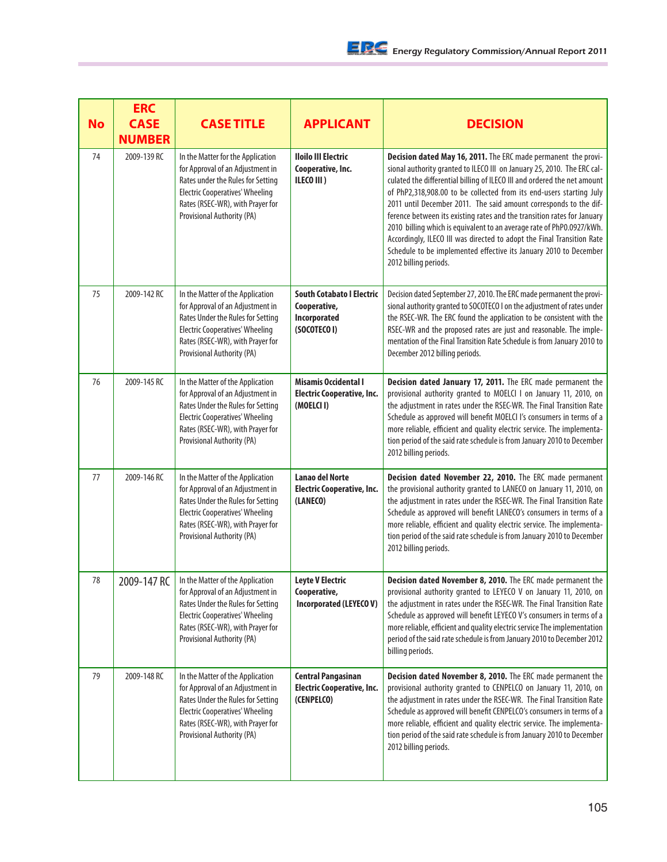| <b>No</b> | <b>ERC</b><br><b>CASE</b><br><b>NUMBER</b> | <b>CASE TITLE</b>                                                                                                                                                                                                      | <b>APPLICANT</b>                                                                 | <b>DECISION</b>                                                                                                                                                                                                                                                                                                                                                                                                                                                                                                                                                                                                                                                                               |
|-----------|--------------------------------------------|------------------------------------------------------------------------------------------------------------------------------------------------------------------------------------------------------------------------|----------------------------------------------------------------------------------|-----------------------------------------------------------------------------------------------------------------------------------------------------------------------------------------------------------------------------------------------------------------------------------------------------------------------------------------------------------------------------------------------------------------------------------------------------------------------------------------------------------------------------------------------------------------------------------------------------------------------------------------------------------------------------------------------|
| 74        | 2009-139 RC                                | In the Matter for the Application<br>for Approval of an Adjustment in<br>Rates under the Rules for Setting<br><b>Electric Cooperatives' Wheeling</b><br>Rates (RSEC-WR), with Prayer for<br>Provisional Authority (PA) | <b>Iloilo III Electric</b><br>Cooperative, Inc.<br>ILECO III)                    | Decision dated May 16, 2011. The ERC made permanent the provi-<br>sional authority granted to ILECO III on January 25, 2010. The ERC cal-<br>culated the differential billing of ILECO III and ordered the net amount<br>of PhP2,318,908.00 to be collected from its end-users starting July<br>2011 until December 2011. The said amount corresponds to the dif-<br>ference between its existing rates and the transition rates for January<br>2010 billing which is equivalent to an average rate of PhP0.0927/kWh.<br>Accordingly, ILECO III was directed to adopt the Final Transition Rate<br>Schedule to be implemented effective its January 2010 to December<br>2012 billing periods. |
| 75        | 2009-142 RC                                | In the Matter of the Application<br>for Approval of an Adjustment in<br>Rates Under the Rules for Setting<br><b>Electric Cooperatives' Wheeling</b><br>Rates (RSEC-WR), with Prayer for<br>Provisional Authority (PA)  | <b>South Cotabato I Electric</b><br>Cooperative,<br>Incorporated<br>(SOCOTECO I) | Decision dated September 27, 2010. The ERC made permanent the provi-<br>sional authority granted to SOCOTECO I on the adjustment of rates under<br>the RSEC-WR. The ERC found the application to be consistent with the<br>RSEC-WR and the proposed rates are just and reasonable. The imple-<br>mentation of the Final Transition Rate Schedule is from January 2010 to<br>December 2012 billing periods.                                                                                                                                                                                                                                                                                    |
| 76        | 2009-145 RC                                | In the Matter of the Application<br>for Approval of an Adjustment in<br>Rates Under the Rules for Setting<br><b>Electric Cooperatives' Wheeling</b><br>Rates (RSEC-WR), with Prayer for<br>Provisional Authority (PA)  | <b>Misamis Occidental I</b><br><b>Electric Cooperative, Inc.</b><br>(MOELCI I)   | Decision dated January 17, 2011. The ERC made permanent the<br>provisional authority granted to MOELCI I on January 11, 2010, on<br>the adjustment in rates under the RSEC-WR. The Final Transition Rate<br>Schedule as approved will benefit MOELCI I's consumers in terms of a<br>more reliable, efficient and quality electric service. The implementa-<br>tion period of the said rate schedule is from January 2010 to December<br>2012 billing periods.                                                                                                                                                                                                                                 |
| 77        | 2009-146 RC                                | In the Matter of the Application<br>for Approval of an Adjustment in<br>Rates Under the Rules for Setting<br><b>Electric Cooperatives' Wheeling</b><br>Rates (RSEC-WR), with Prayer for<br>Provisional Authority (PA)  | <b>Lanao del Norte</b><br>Electric Cooperative, Inc.<br>(LANECO)                 | Decision dated November 22, 2010. The ERC made permanent<br>the provisional authority granted to LANECO on January 11, 2010, on<br>the adjustment in rates under the RSEC-WR. The Final Transition Rate<br>Schedule as approved will benefit LANECO's consumers in terms of a<br>more reliable, efficient and quality electric service. The implementa-<br>tion period of the said rate schedule is from January 2010 to December<br>2012 billing periods.                                                                                                                                                                                                                                    |
| 78        | 2009-147 RC                                | In the Matter of the Application<br>for Approval of an Adjustment in<br>Rates Under the Rules for Setting<br><b>Electric Cooperatives' Wheeling</b><br>Rates (RSEC-WR), with Prayer for<br>Provisional Authority (PA)  | <b>Leyte V Electric</b><br>Cooperative,<br>Incorporated (LEYECOV)                | Decision dated November 8, 2010. The ERC made permanent the<br>provisional authority granted to LEYECO V on January 11, 2010, on<br>the adjustment in rates under the RSEC-WR. The Final Transition Rate<br>Schedule as approved will benefit LEYECO V's consumers in terms of a<br>more reliable, efficient and quality electric service The implementation<br>period of the said rate schedule is from January 2010 to December 2012<br>billing periods.                                                                                                                                                                                                                                    |
| 79        | 2009-148 RC                                | In the Matter of the Application<br>for Approval of an Adjustment in<br>Rates Under the Rules for Setting<br><b>Electric Cooperatives' Wheeling</b><br>Rates (RSEC-WR), with Prayer for<br>Provisional Authority (PA)  | <b>Central Pangasinan</b><br><b>Electric Cooperative, Inc.</b><br>(CENPELCO)     | Decision dated November 8, 2010. The ERC made permanent the<br>provisional authority granted to CENPELCO on January 11, 2010, on<br>the adjustment in rates under the RSEC-WR. The Final Transition Rate<br>Schedule as approved will benefit CENPELCO's consumers in terms of a<br>more reliable, efficient and quality electric service. The implementa-<br>tion period of the said rate schedule is from January 2010 to December<br>2012 billing periods.                                                                                                                                                                                                                                 |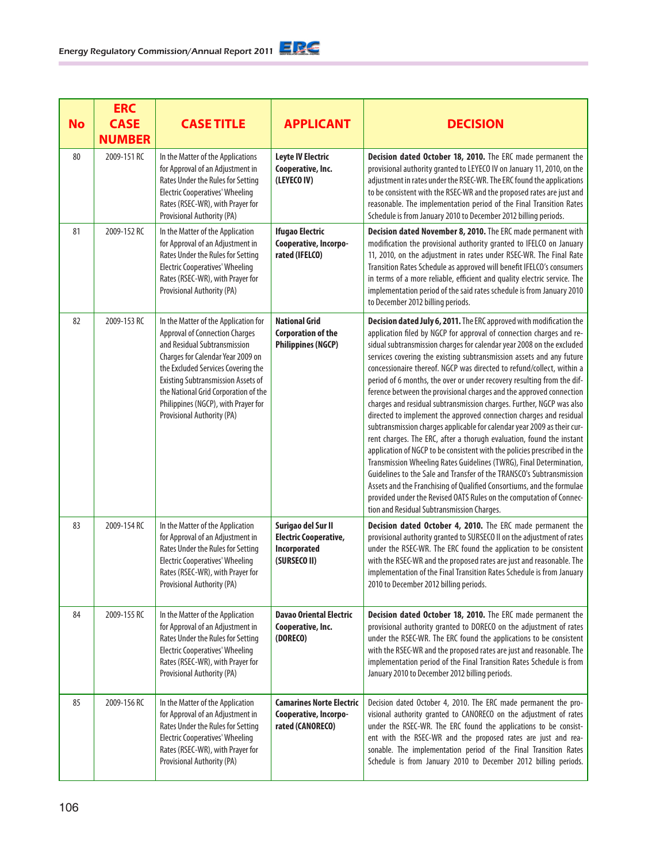| <b>No</b> | <b>ERC</b><br><b>CASE</b><br><b>NUMBER</b> | <b>CASE TITLE</b>                                                                                                                                                                                                                                                                                                                                  | <b>APPLICANT</b>                                                                   | <b>DECISION</b>                                                                                                                                                                                                                                                                                                                                                                                                                                                                                                                                                                                                                                                                                                                                                                                                                                                                                                                                                                                                                                                                                                                                                                                                                                  |
|-----------|--------------------------------------------|----------------------------------------------------------------------------------------------------------------------------------------------------------------------------------------------------------------------------------------------------------------------------------------------------------------------------------------------------|------------------------------------------------------------------------------------|--------------------------------------------------------------------------------------------------------------------------------------------------------------------------------------------------------------------------------------------------------------------------------------------------------------------------------------------------------------------------------------------------------------------------------------------------------------------------------------------------------------------------------------------------------------------------------------------------------------------------------------------------------------------------------------------------------------------------------------------------------------------------------------------------------------------------------------------------------------------------------------------------------------------------------------------------------------------------------------------------------------------------------------------------------------------------------------------------------------------------------------------------------------------------------------------------------------------------------------------------|
| 80        | 2009-151 RC                                | In the Matter of the Applications<br>for Approval of an Adjustment in<br>Rates Under the Rules for Setting<br><b>Electric Cooperatives' Wheeling</b><br>Rates (RSEC-WR), with Prayer for<br>Provisional Authority (PA)                                                                                                                             | <b>Leyte IV Electric</b><br>Cooperative, Inc.<br>(LEYECO IV)                       | Decision dated October 18, 2010. The ERC made permanent the<br>provisional authority granted to LEYECO IV on January 11, 2010, on the<br>adjustment in rates under the RSEC-WR. The ERC found the applications<br>to be consistent with the RSEC-WR and the proposed rates are just and<br>reasonable. The implementation period of the Final Transition Rates<br>Schedule is from January 2010 to December 2012 billing periods.                                                                                                                                                                                                                                                                                                                                                                                                                                                                                                                                                                                                                                                                                                                                                                                                                |
| 81        | 2009-152 RC                                | In the Matter of the Application<br>for Approval of an Adjustment in<br>Rates Under the Rules for Setting<br><b>Electric Cooperatives' Wheeling</b><br>Rates (RSEC-WR), with Prayer for<br>Provisional Authority (PA)                                                                                                                              | <b>Ifugao Electric</b><br>Cooperative, Incorpo-<br>rated (IFELCO)                  | Decision dated November 8, 2010. The ERC made permanent with<br>modification the provisional authority granted to IFELCO on January<br>11, 2010, on the adjustment in rates under RSEC-WR. The Final Rate<br>Transition Rates Schedule as approved will benefit IFELCO's consumers<br>in terms of a more reliable, efficient and quality electric service. The<br>implementation period of the said rates schedule is from January 2010<br>to December 2012 billing periods.                                                                                                                                                                                                                                                                                                                                                                                                                                                                                                                                                                                                                                                                                                                                                                     |
| 82        | 2009-153 RC                                | In the Matter of the Application for<br><b>Approval of Connection Charges</b><br>and Residual Subtransmission<br>Charges for Calendar Year 2009 on<br>the Excluded Services Covering the<br><b>Existing Subtransmission Assets of</b><br>the National Grid Corporation of the<br>Philippines (NGCP), with Prayer for<br>Provisional Authority (PA) | <b>National Grid</b><br><b>Corporation of the</b><br><b>Philippines (NGCP)</b>     | Decision dated July 6, 2011. The ERC approved with modification the<br>application filed by NGCP for approval of connection charges and re-<br>sidual subtransmission charges for calendar year 2008 on the excluded<br>services covering the existing subtransmission assets and any future<br>concessionaire thereof. NGCP was directed to refund/collect, within a<br>period of 6 months, the over or under recovery resulting from the dif-<br>ference between the provisional charges and the approved connection<br>charges and residual subtransmission charges. Further, NGCP was also<br>directed to implement the approved connection charges and residual<br>subtransmission charges applicable for calendar year 2009 as their cur-<br>rent charges. The ERC, after a thorugh evaluation, found the instant<br>application of NGCP to be consistent with the policies prescribed in the<br>Transmission Wheeling Rates Guidelines (TWRG), Final Determination,<br>Guidelines to the Sale and Transfer of the TRANSCO's Subtransmission<br>Assets and the Franchising of Qualified Consortiums, and the formulae<br>provided under the Revised OATS Rules on the computation of Connec-<br>tion and Residual Subtransmission Charges. |
| 83        | 2009-154 RC                                | In the Matter of the Application<br>for Approval of an Adjustment in<br>Rates Under the Rules for Setting<br><b>Electric Cooperatives' Wheeling</b><br>Rates (RSEC-WR), with Prayer for<br>Provisional Authority (PA)                                                                                                                              | Surigao del Sur II<br><b>Electric Cooperative,</b><br>Incorporated<br>(SURSECO II) | Decision dated October 4, 2010. The ERC made permanent the<br>provisional authority granted to SURSECO II on the adjustment of rates<br>under the RSEC-WR. The ERC found the application to be consistent<br>with the RSEC-WR and the proposed rates are just and reasonable. The<br>implementation of the Final Transition Rates Schedule is from January<br>2010 to December 2012 billing periods.                                                                                                                                                                                                                                                                                                                                                                                                                                                                                                                                                                                                                                                                                                                                                                                                                                             |
| 84        | 2009-155 RC                                | In the Matter of the Application<br>for Approval of an Adjustment in<br>Rates Under the Rules for Setting<br><b>Electric Cooperatives' Wheeling</b><br>Rates (RSEC-WR), with Prayer for<br>Provisional Authority (PA)                                                                                                                              | <b>Davao Oriental Electric</b><br>Cooperative, Inc.<br>(DORECO)                    | Decision dated October 18, 2010. The ERC made permanent the<br>provisional authority granted to DORECO on the adjustment of rates<br>under the RSEC-WR. The ERC found the applications to be consistent<br>with the RSEC-WR and the proposed rates are just and reasonable. The<br>implementation period of the Final Transition Rates Schedule is from<br>January 2010 to December 2012 billing periods.                                                                                                                                                                                                                                                                                                                                                                                                                                                                                                                                                                                                                                                                                                                                                                                                                                        |
| 85        | 2009-156 RC                                | In the Matter of the Application<br>for Approval of an Adjustment in<br>Rates Under the Rules for Setting<br><b>Electric Cooperatives' Wheeling</b><br>Rates (RSEC-WR), with Prayer for<br>Provisional Authority (PA)                                                                                                                              | <b>Camarines Norte Electric</b><br>Cooperative, Incorpo-<br>rated (CANORECO)       | Decision dated October 4, 2010. The ERC made permanent the pro-<br>visional authority granted to CANORECO on the adjustment of rates<br>under the RSEC-WR. The ERC found the applications to be consist-<br>ent with the RSEC-WR and the proposed rates are just and rea-<br>sonable. The implementation period of the Final Transition Rates<br>Schedule is from January 2010 to December 2012 billing periods.                                                                                                                                                                                                                                                                                                                                                                                                                                                                                                                                                                                                                                                                                                                                                                                                                                 |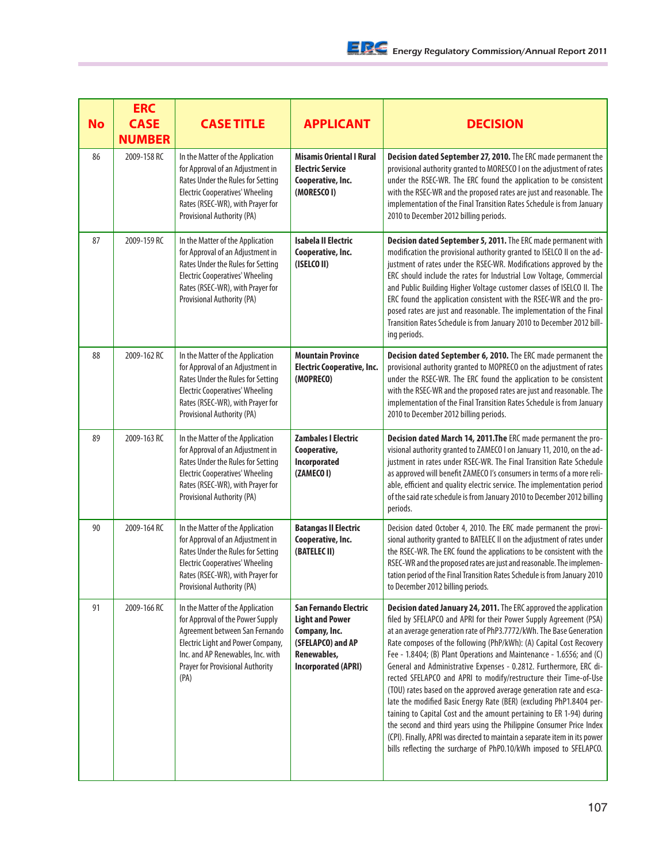| <b>No</b> | <b>ERC</b><br><b>CASE</b><br><b>NUMBER</b> | <b>CASE TITLE</b>                                                                                                                                                                                                                   | <b>APPLICANT</b>                                                                                                            | <b>DECISION</b>                                                                                                                                                                                                                                                                                                                                                                                                                                                                                                                                                                                                                                                                                                                                                                                                                                                                                                                                          |
|-----------|--------------------------------------------|-------------------------------------------------------------------------------------------------------------------------------------------------------------------------------------------------------------------------------------|-----------------------------------------------------------------------------------------------------------------------------|----------------------------------------------------------------------------------------------------------------------------------------------------------------------------------------------------------------------------------------------------------------------------------------------------------------------------------------------------------------------------------------------------------------------------------------------------------------------------------------------------------------------------------------------------------------------------------------------------------------------------------------------------------------------------------------------------------------------------------------------------------------------------------------------------------------------------------------------------------------------------------------------------------------------------------------------------------|
| 86        | 2009-158 RC                                | In the Matter of the Application<br>for Approval of an Adjustment in<br>Rates Under the Rules for Setting<br><b>Electric Cooperatives' Wheeling</b><br>Rates (RSEC-WR), with Prayer for<br>Provisional Authority (PA)               | <b>Misamis Oriental I Rural</b><br><b>Electric Service</b><br>Cooperative, Inc.<br>(MORESCO I)                              | Decision dated September 27, 2010. The ERC made permanent the<br>provisional authority granted to MORESCO I on the adjustment of rates<br>under the RSEC-WR. The ERC found the application to be consistent<br>with the RSEC-WR and the proposed rates are just and reasonable. The<br>implementation of the Final Transition Rates Schedule is from January<br>2010 to December 2012 billing periods.                                                                                                                                                                                                                                                                                                                                                                                                                                                                                                                                                   |
| 87        | 2009-159 RC                                | In the Matter of the Application<br>for Approval of an Adjustment in<br>Rates Under the Rules for Setting<br><b>Electric Cooperatives' Wheeling</b><br>Rates (RSEC-WR), with Prayer for<br>Provisional Authority (PA)               | <b>Isabela II Electric</b><br>Cooperative, Inc.<br>(ISELCO II)                                                              | Decision dated September 5, 2011. The ERC made permanent with<br>modification the provisional authority granted to ISELCO II on the ad-<br>justment of rates under the RSEC-WR. Modifications approved by the<br>ERC should include the rates for Industrial Low Voltage, Commercial<br>and Public Building Higher Voltage customer classes of ISELCO II. The<br>ERC found the application consistent with the RSEC-WR and the pro-<br>posed rates are just and reasonable. The implementation of the Final<br>Transition Rates Schedule is from January 2010 to December 2012 bill-<br>ing periods.                                                                                                                                                                                                                                                                                                                                                     |
| 88        | 2009-162 RC                                | In the Matter of the Application<br>for Approval of an Adjustment in<br>Rates Under the Rules for Setting<br><b>Electric Cooperatives' Wheeling</b><br>Rates (RSEC-WR), with Prayer for<br>Provisional Authority (PA)               | <b>Mountain Province</b><br><b>Electric Cooperative, Inc.</b><br>(MOPRECO)                                                  | Decision dated September 6, 2010. The ERC made permanent the<br>provisional authority granted to MOPRECO on the adjustment of rates<br>under the RSEC-WR. The ERC found the application to be consistent<br>with the RSEC-WR and the proposed rates are just and reasonable. The<br>implementation of the Final Transition Rates Schedule is from January<br>2010 to December 2012 billing periods.                                                                                                                                                                                                                                                                                                                                                                                                                                                                                                                                                      |
| 89        | 2009-163 RC                                | In the Matter of the Application<br>for Approval of an Adjustment in<br>Rates Under the Rules for Setting<br><b>Electric Cooperatives' Wheeling</b><br>Rates (RSEC-WR), with Prayer for<br>Provisional Authority (PA)               | <b>Zambales I Electric</b><br>Cooperative,<br>Incorporated<br>(ZAMECO I)                                                    | Decision dated March 14, 2011. The ERC made permanent the pro-<br>visional authority granted to ZAMECO I on January 11, 2010, on the ad-<br>justment in rates under RSEC-WR. The Final Transition Rate Schedule<br>as approved will benefit ZAMECO I's consumers in terms of a more reli-<br>able, efficient and quality electric service. The implementation period<br>of the said rate schedule is from January 2010 to December 2012 billing<br>periods.                                                                                                                                                                                                                                                                                                                                                                                                                                                                                              |
| 90        | 2009-164 RC                                | In the Matter of the Application<br>for Approval of an Adjustment in<br>Rates Under the Rules for Setting<br><b>Electric Cooperatives' Wheeling</b><br>Rates (RSEC-WR), with Prayer for<br>Provisional Authority (PA)               | <b>Batangas II Electric</b><br>Cooperative, Inc.<br>(BATELEC II)                                                            | Decision dated October 4, 2010. The ERC made permanent the provi-<br>sional authority granted to BATELEC II on the adjustment of rates under<br>the RSEC-WR. The ERC found the applications to be consistent with the<br>RSEC-WR and the proposed rates are just and reasonable. The implemen-<br>tation period of the Final Transition Rates Schedule is from January 2010<br>to December 2012 billing periods.                                                                                                                                                                                                                                                                                                                                                                                                                                                                                                                                         |
| 91        | 2009-166 RC                                | In the Matter of the Application<br>for Approval of the Power Supply<br>Agreement between San Fernando<br>Electric Light and Power Company,<br>Inc. and AP Renewables, Inc. with<br><b>Prayer for Provisional Authority</b><br>(PA) | San Fernando Electric<br><b>Light and Power</b><br>Company, Inc.<br>(SFELAPCO) and AP<br>Renewables,<br>Incorporated (APRI) | Decision dated January 24, 2011. The ERC approved the application<br>filed by SFELAPCO and APRI for their Power Supply Agreement (PSA)<br>at an average generation rate of PhP3.7772/kWh. The Base Generation<br>Rate composes of the following (PhP/kWh): (A) Capital Cost Recovery<br>Fee - 1.8404; (B) Plant Operations and Maintenance - 1.6556; and (C)<br>General and Administrative Expenses - 0.2812. Furthermore, ERC di-<br>rected SFELAPCO and APRI to modify/restructure their Time-of-Use<br>(TOU) rates based on the approved average generation rate and esca-<br>late the modified Basic Energy Rate (BER) (excluding PhP1.8404 per-<br>taining to Capital Cost and the amount pertaining to ER 1-94) during<br>the second and third years using the Philippine Consumer Price Index<br>(CPI). Finally, APRI was directed to maintain a separate item in its power<br>bills reflecting the surcharge of PhP0.10/kWh imposed to SFELAPCO. |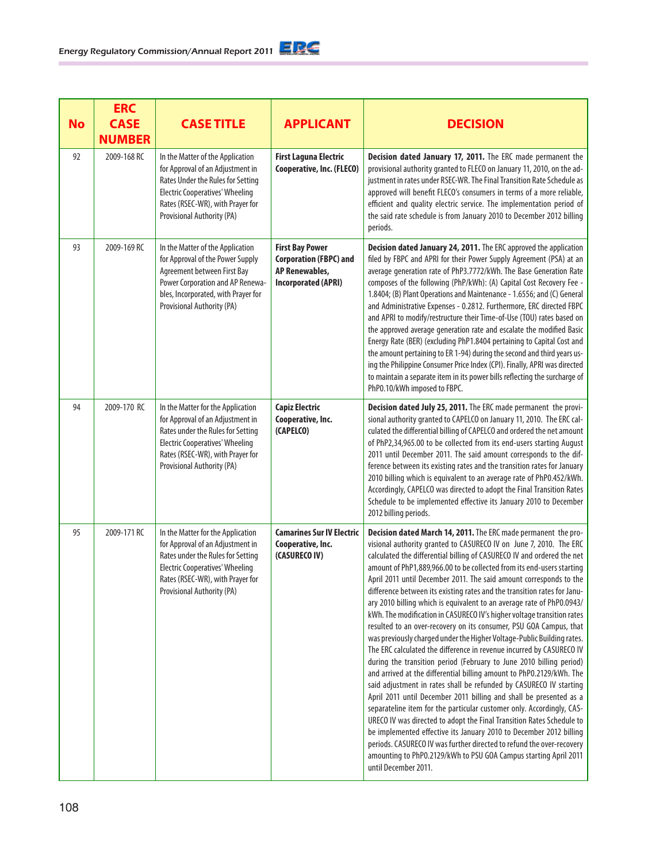| <b>No</b> | <b>ERC</b><br><b>CASE</b><br><b>NUMBER</b> | <b>CASE TITLE</b>                                                                                                                                                                                                      | <b>APPLICANT</b>                                                                                               | <b>DECISION</b>                                                                                                                                                                                                                                                                                                                                                                                                                                                                                                                                                                                                                                                                                                                                                                                                                                                                                                                                                                                                                                                                                                                                                                                                                                                                                                                                                                                                                                                                                              |
|-----------|--------------------------------------------|------------------------------------------------------------------------------------------------------------------------------------------------------------------------------------------------------------------------|----------------------------------------------------------------------------------------------------------------|--------------------------------------------------------------------------------------------------------------------------------------------------------------------------------------------------------------------------------------------------------------------------------------------------------------------------------------------------------------------------------------------------------------------------------------------------------------------------------------------------------------------------------------------------------------------------------------------------------------------------------------------------------------------------------------------------------------------------------------------------------------------------------------------------------------------------------------------------------------------------------------------------------------------------------------------------------------------------------------------------------------------------------------------------------------------------------------------------------------------------------------------------------------------------------------------------------------------------------------------------------------------------------------------------------------------------------------------------------------------------------------------------------------------------------------------------------------------------------------------------------------|
| 92        | 2009-168 RC                                | In the Matter of the Application<br>for Approval of an Adjustment in<br>Rates Under the Rules for Setting<br><b>Electric Cooperatives' Wheeling</b><br>Rates (RSEC-WR), with Prayer for<br>Provisional Authority (PA)  | <b>First Laguna Electric</b><br>Cooperative, Inc. (FLECO)                                                      | Decision dated January 17, 2011. The ERC made permanent the<br>provisional authority granted to FLECO on January 11, 2010, on the ad-<br>justment in rates under RSEC-WR. The Final Transition Rate Schedule as<br>approved will benefit FLECO's consumers in terms of a more reliable,<br>efficient and quality electric service. The implementation period of<br>the said rate schedule is from January 2010 to December 2012 billing<br>periods.                                                                                                                                                                                                                                                                                                                                                                                                                                                                                                                                                                                                                                                                                                                                                                                                                                                                                                                                                                                                                                                          |
| 93        | 2009-169 RC                                | In the Matter of the Application<br>for Approval of the Power Supply<br>Agreement between First Bay<br>Power Corporation and AP Renewa-<br>bles, Incorporated, with Prayer for<br>Provisional Authority (PA)           | <b>First Bay Power</b><br><b>Corporation (FBPC) and</b><br><b>AP Renewables,</b><br><b>Incorporated (APRI)</b> | Decision dated January 24, 2011. The ERC approved the application<br>filed by FBPC and APRI for their Power Supply Agreement (PSA) at an<br>average generation rate of PhP3.7772/kWh. The Base Generation Rate<br>composes of the following (PhP/kWh): (A) Capital Cost Recovery Fee -<br>1.8404; (B) Plant Operations and Maintenance - 1.6556; and (C) General<br>and Administrative Expenses - 0.2812. Furthermore, ERC directed FBPC<br>and APRI to modify/restructure their Time-of-Use (TOU) rates based on<br>the approved average generation rate and escalate the modified Basic<br>Energy Rate (BER) (excluding PhP1.8404 pertaining to Capital Cost and<br>the amount pertaining to ER 1-94) during the second and third years us-<br>ing the Philippine Consumer Price Index (CPI). Finally, APRI was directed<br>to maintain a separate item in its power bills reflecting the surcharge of<br>PhP0.10/kWh imposed to FBPC.                                                                                                                                                                                                                                                                                                                                                                                                                                                                                                                                                                     |
| 94        | 2009-170 RC                                | In the Matter for the Application<br>for Approval of an Adjustment in<br>Rates under the Rules for Setting<br><b>Electric Cooperatives' Wheeling</b><br>Rates (RSEC-WR), with Prayer for<br>Provisional Authority (PA) | <b>Capiz Electric</b><br>Cooperative, Inc.<br>(CAPELCO)                                                        | Decision dated July 25, 2011. The ERC made permanent the provi-<br>sional authority granted to CAPELCO on January 11, 2010. The ERC cal-<br>culated the differential billing of CAPELCO and ordered the net amount<br>of PhP2,34,965.00 to be collected from its end-users starting August<br>2011 until December 2011. The said amount corresponds to the dif-<br>ference between its existing rates and the transition rates for January<br>2010 billing which is equivalent to an average rate of PhP0.452/kWh.<br>Accordingly, CAPELCO was directed to adopt the Final Transition Rates<br>Schedule to be implemented effective its January 2010 to December<br>2012 billing periods.                                                                                                                                                                                                                                                                                                                                                                                                                                                                                                                                                                                                                                                                                                                                                                                                                    |
| 95        | 2009-171 RC                                | In the Matter for the Application<br>for Approval of an Adjustment in<br>Rates under the Rules for Setting<br><b>Electric Cooperatives' Wheeling</b><br>Rates (RSEC-WR), with Prayer for<br>Provisional Authority (PA) | <b>Camarines Sur IV Electric</b><br>Cooperative, Inc.<br>(CASURECO IV)                                         | Decision dated March 14, 2011. The ERC made permanent the pro-<br>visional authority granted to CASURECO IV on June 7, 2010. The ERC<br>calculated the differential billing of CASURECO IV and ordered the net<br>amount of PhP1,889,966.00 to be collected from its end-users starting<br>April 2011 until December 2011. The said amount corresponds to the<br>difference between its existing rates and the transition rates for Janu-<br>ary 2010 billing which is equivalent to an average rate of PhP0.0943/<br>kWh. The modification in CASURECO IV's higher voltage transition rates<br>resulted to an over-recovery on its consumer, PSU GOA Campus, that<br>was previously charged under the Higher Voltage-Public Building rates.<br>The ERC calculated the difference in revenue incurred by CASURECO IV<br>during the transition period (February to June 2010 billing period)<br>and arrived at the differential billing amount to PhP0.2129/kWh. The<br>said adjustment in rates shall be refunded by CASURECO IV starting<br>April 2011 until December 2011 billing and shall be presented as a<br>separateline item for the particular customer only. Accordingly, CAS-<br>URECO IV was directed to adopt the Final Transition Rates Schedule to<br>be implemented effective its January 2010 to December 2012 billing<br>periods. CASURECO IV was further directed to refund the over-recovery<br>amounting to PhP0.2129/kWh to PSU GOA Campus starting April 2011<br>until December 2011. |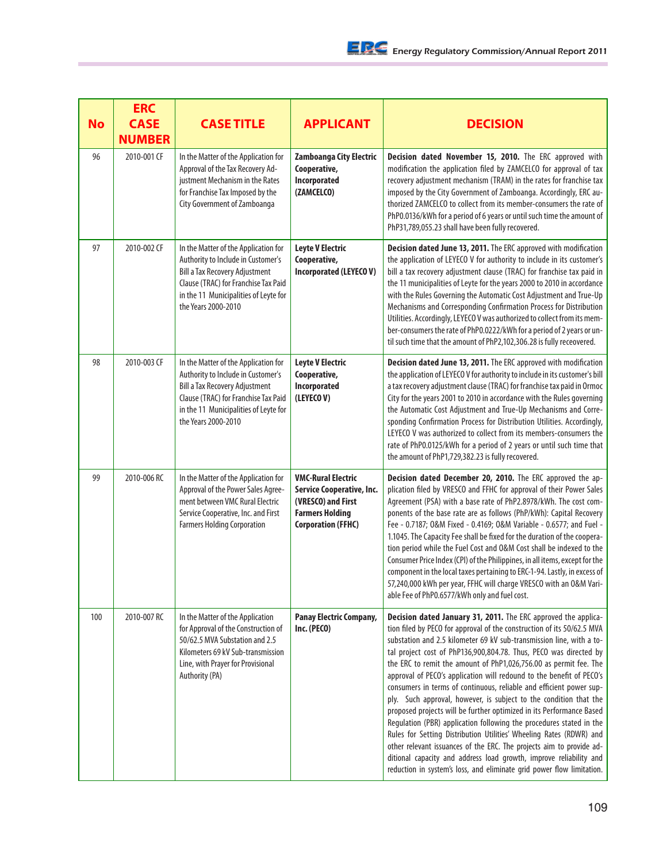| <b>No</b> | <b>ERC</b><br><b>CASE</b><br><b>NUMBER</b> | <b>CASE TITLE</b>                                                                                                                                                                                                           | <b>APPLICANT</b>                                                                                                                    | <b>DECISION</b>                                                                                                                                                                                                                                                                                                                                                                                                                                                                                                                                                                                                                                                                                                                                                                                                                                                                                                                                                                                                             |
|-----------|--------------------------------------------|-----------------------------------------------------------------------------------------------------------------------------------------------------------------------------------------------------------------------------|-------------------------------------------------------------------------------------------------------------------------------------|-----------------------------------------------------------------------------------------------------------------------------------------------------------------------------------------------------------------------------------------------------------------------------------------------------------------------------------------------------------------------------------------------------------------------------------------------------------------------------------------------------------------------------------------------------------------------------------------------------------------------------------------------------------------------------------------------------------------------------------------------------------------------------------------------------------------------------------------------------------------------------------------------------------------------------------------------------------------------------------------------------------------------------|
| 96        | 2010-001 CF                                | In the Matter of the Application for<br>Approval of the Tax Recovery Ad-<br>justment Mechanism in the Rates<br>for Franchise Tax Imposed by the<br>City Government of Zamboanga                                             | Zamboanga City Electric<br>Cooperative,<br>Incorporated<br>(ZAMCELCO)                                                               | Decision dated November 15, 2010. The ERC approved with<br>modification the application filed by ZAMCELCO for approval of tax<br>recovery adjustment mechanism (TRAM) in the rates for franchise tax<br>imposed by the City Government of Zamboanga. Accordingly, ERC au-<br>thorized ZAMCELCO to collect from its member-consumers the rate of<br>PhP0.0136/kWh for a period of 6 years or until such time the amount of<br>PhP31,789,055.23 shall have been fully recovered.                                                                                                                                                                                                                                                                                                                                                                                                                                                                                                                                              |
| 97        | 2010-002 CF                                | In the Matter of the Application for<br>Authority to Include in Customer's<br><b>Bill a Tax Recovery Adjustment</b><br>Clause (TRAC) for Franchise Tax Paid<br>in the 11 Municipalities of Leyte for<br>the Years 2000-2010 | <b>Leyte V Electric</b><br>Cooperative,<br>Incorporated (LEYECOV)                                                                   | Decision dated June 13, 2011. The ERC approved with modification<br>the application of LEYECO V for authority to include in its customer's<br>bill a tax recovery adjustment clause (TRAC) for franchise tax paid in<br>the 11 municipalities of Leyte for the years 2000 to 2010 in accordance<br>with the Rules Governing the Automatic Cost Adjustment and True-Up<br>Mechanisms and Corresponding Confirmation Process for Distribution<br>Utilities. Accordingly, LEYECO V was authorized to collect from its mem-<br>ber-consumers the rate of PhP0.0222/kWh for a period of 2 years or un-<br>til such time that the amount of PhP2,102,306.28 is fully receovered.                                                                                                                                                                                                                                                                                                                                                  |
| 98        | 2010-003 CF                                | In the Matter of the Application for<br>Authority to Include in Customer's<br><b>Bill a Tax Recovery Adjustment</b><br>Clause (TRAC) for Franchise Tax Paid<br>in the 11 Municipalities of Leyte for<br>the Years 2000-2010 | <b>Leyte V Electric</b><br>Cooperative,<br>Incorporated<br>(LEYECOV)                                                                | Decision dated June 13, 2011. The ERC approved with modification<br>the application of LEYECO V for authority to include in its customer's bill<br>a tax recovery adjustment clause (TRAC) for franchise tax paid in Ormoc<br>City for the years 2001 to 2010 in accordance with the Rules governing<br>the Automatic Cost Adjustment and True-Up Mechanisms and Corre-<br>sponding Confirmation Process for Distribution Utilities. Accordingly,<br>LEYECO V was authorized to collect from its members-consumers the<br>rate of PhP0.0125/kWh for a period of 2 years or until such time that<br>the amount of PhP1,729,382.23 is fully recovered.                                                                                                                                                                                                                                                                                                                                                                        |
| 99        | 2010-006 RC                                | In the Matter of the Application for<br>Approval of the Power Sales Agree-<br>ment between VMC Rural Electric<br>Service Cooperative, Inc. and First<br><b>Farmers Holding Corporation</b>                                  | <b>VMC-Rural Electric</b><br>Service Cooperative, Inc.<br>(VRESCO) and First<br><b>Farmers Holding</b><br><b>Corporation (FFHC)</b> | Decision dated December 20, 2010. The ERC approved the ap-<br>plication filed by VRESCO and FFHC for approval of their Power Sales<br>Agreement (PSA) with a base rate of PhP2.8978/kWh. The cost com-<br>ponents of the base rate are as follows (PhP/kWh): Capital Recovery<br>Fee - 0.7187; O&M Fixed - 0.4169; O&M Variable - 0.6577; and Fuel -<br>1.1045. The Capacity Fee shall be fixed for the duration of the coopera-<br>tion period while the Fuel Cost and O&M Cost shall be indexed to the<br>Consumer Price Index (CPI) of the Philippines, in all items, except for the<br>component in the local taxes pertaining to ERC-1-94. Lastly, in excess of<br>57,240,000 kWh per year, FFHC will charge VRESCO with an O&M Vari-<br>able Fee of PhP0.6577/kWh only and fuel cost.                                                                                                                                                                                                                                 |
| 100       | 2010-007 RC                                | In the Matter of the Application<br>for Approval of the Construction of<br>50/62.5 MVA Substation and 2.5<br>Kilometers 69 kV Sub-transmission<br>Line, with Prayer for Provisional<br>Authority (PA)                       | <b>Panay Electric Company,</b><br>Inc. (PECO)                                                                                       | Decision dated January 31, 2011. The ERC approved the applica-<br>tion filed by PECO for approval of the construction of its 50/62.5 MVA<br>substation and 2.5 kilometer 69 kV sub-transmission line, with a to-<br>tal project cost of PhP136,900,804.78. Thus, PECO was directed by<br>the ERC to remit the amount of PhP1,026,756.00 as permit fee. The<br>approval of PECO's application will redound to the benefit of PECO's<br>consumers in terms of continuous, reliable and efficient power sup-<br>ply. Such approval, however, is subject to the condition that the<br>proposed projects will be further optimized in its Performance Based<br>Regulation (PBR) application following the procedures stated in the<br>Rules for Setting Distribution Utilities' Wheeling Rates (RDWR) and<br>other relevant issuances of the ERC. The projects aim to provide ad-<br>ditional capacity and address load growth, improve reliability and<br>reduction in system's loss, and eliminate grid power flow limitation. |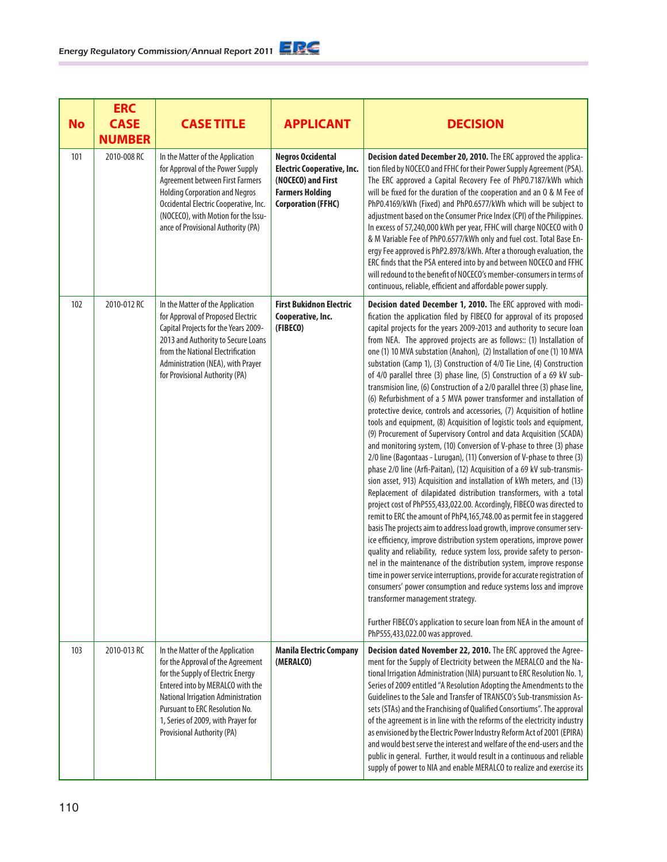| <b>No</b> | <b>ERC</b><br><b>CASE</b><br><b>NUMBER</b> | <b>CASE TITLE</b>                                                                                                                                                                                                                                                                                 | <b>APPLICANT</b>                                                                                                                           | <b>DECISION</b>                                                                                                                                                                                                                                                                                                                                                                                                                                                                                                                                                                                                                                                                                                                                                                                                                                                                                                                                                                                                                                                                                                                                                                                                                                                                                                                                                                                                                                                                                                                                                                                                                                                                                                                                                                                                                                                                                                                                                                                                                          |
|-----------|--------------------------------------------|---------------------------------------------------------------------------------------------------------------------------------------------------------------------------------------------------------------------------------------------------------------------------------------------------|--------------------------------------------------------------------------------------------------------------------------------------------|------------------------------------------------------------------------------------------------------------------------------------------------------------------------------------------------------------------------------------------------------------------------------------------------------------------------------------------------------------------------------------------------------------------------------------------------------------------------------------------------------------------------------------------------------------------------------------------------------------------------------------------------------------------------------------------------------------------------------------------------------------------------------------------------------------------------------------------------------------------------------------------------------------------------------------------------------------------------------------------------------------------------------------------------------------------------------------------------------------------------------------------------------------------------------------------------------------------------------------------------------------------------------------------------------------------------------------------------------------------------------------------------------------------------------------------------------------------------------------------------------------------------------------------------------------------------------------------------------------------------------------------------------------------------------------------------------------------------------------------------------------------------------------------------------------------------------------------------------------------------------------------------------------------------------------------------------------------------------------------------------------------------------------------|
| 101       | 2010-008 RC                                | In the Matter of the Application<br>for Approval of the Power Supply<br>Agreement between First Farmers<br><b>Holding Corporation and Negros</b><br>Occidental Electric Cooperative, Inc.<br>(NOCECO), with Motion for the Issu-<br>ance of Provisional Authority (PA)                            | <b>Negros Occidental</b><br><b>Electric Cooperative, Inc.</b><br>(NOCECO) and First<br><b>Farmers Holding</b><br><b>Corporation (FFHC)</b> | Decision dated December 20, 2010. The ERC approved the applica-<br>tion filed by NOCECO and FFHC for their Power Supply Agreement (PSA).<br>The ERC approved a Capital Recovery Fee of PhP0.7187/kWh which<br>will be fixed for the duration of the cooperation and an 0 & M Fee of<br>PhP0.4169/kWh (Fixed) and PhP0.6577/kWh which will be subject to<br>adjustment based on the Consumer Price Index (CPI) of the Philippines.<br>In excess of 57,240,000 kWh per year, FFHC will charge NOCECO with O<br>& M Variable Fee of PhP0.6577/kWh only and fuel cost. Total Base En-<br>ergy Fee approved is PhP2.8978/kWh. After a thorough evaluation, the<br>ERC finds that the PSA entered into by and between NOCECO and FFHC<br>will redound to the benefit of NOCECO's member-consumers in terms of<br>continuous, reliable, efficient and affordable power supply.                                                                                                                                                                                                                                                                                                                                                                                                                                                                                                                                                                                                                                                                                                                                                                                                                                                                                                                                                                                                                                                                                                                                                                  |
| 102       | 2010-012 RC                                | In the Matter of the Application<br>for Approval of Proposed Electric<br>Capital Projects for the Years 2009-<br>2013 and Authority to Secure Loans<br>from the National Electrification<br>Administration (NEA), with Prayer<br>for Provisional Authority (PA)                                   | <b>First Bukidnon Electric</b><br>Cooperative, Inc.<br>(FIBECO)                                                                            | Decision dated December 1, 2010. The ERC approved with modi-<br>fication the application filed by FIBECO for approval of its proposed<br>capital projects for the years 2009-2013 and authority to secure loan<br>from NEA. The approved projects are as follows:: (1) Installation of<br>one (1) 10 MVA substation (Anahon), (2) Installation of one (1) 10 MVA<br>substation (Camp 1), (3) Construction of 4/0 Tie Line, (4) Construction<br>of 4/0 parallel three (3) phase line, (5) Construction of a 69 kV sub-<br>transmision line, (6) Construction of a 2/0 parallel three (3) phase line,<br>(6) Refurbishment of a 5 MVA power transformer and installation of<br>protective device, controls and accessories, (7) Acquisition of hotline<br>tools and equipment, (8) Acquisition of logistic tools and equipment,<br>(9) Procurement of Supervisory Control and data Acquisition (SCADA)<br>and monitoring system, (10) Conversion of V-phase to three (3) phase<br>2/0 line (Bagontaas - Lurugan), (11) Conversion of V-phase to three (3)<br>phase 2/0 line (Arfi-Paitan), (12) Acquisition of a 69 kV sub-transmis-<br>sion asset, 913) Acquisition and installation of kWh meters, and (13)<br>Replacement of dilapidated distribution transformers, with a total<br>project cost of PhP555,433,022.00. Accordingly, FIBECO was directed to<br>remit to ERC the amount of PhP4,165,748.00 as permit fee in staggered<br>basis The projects aim to address load growth, improve consumer serv-<br>ice efficiency, improve distribution system operations, improve power<br>quality and reliability, reduce system loss, provide safety to person-<br>nel in the maintenance of the distribution system, improve response<br>time in power service interruptions, provide for accurate registration of<br>consumers' power consumption and reduce systems loss and improve<br>transformer management strategy.<br>Further FIBECO's application to secure loan from NEA in the amount of<br>PhP555,433,022.00 was approved. |
| 103       | 2010-013 RC                                | In the Matter of the Application<br>for the Approval of the Agreement<br>for the Supply of Electric Energy<br>Entered into by MERALCO with the<br>National Irrigation Administration<br><b>Pursuant to ERC Resolution No.</b><br>1, Series of 2009, with Prayer for<br>Provisional Authority (PA) | <b>Manila Electric Company</b><br>(MERALCO)                                                                                                | Decision dated November 22, 2010. The ERC approved the Agree-<br>ment for the Supply of Electricity between the MERALCO and the Na-<br>tional Irrigation Administration (NIA) pursuant to ERC Resolution No. 1,<br>Series of 2009 entitled "A Resolution Adopting the Amendments to the<br>Guidelines to the Sale and Transfer of TRANSCO's Sub-transmission As-<br>sets (STAs) and the Franchising of Qualified Consortiums". The approval<br>of the agreement is in line with the reforms of the electricity industry<br>as envisioned by the Electric Power Industry Reform Act of 2001 (EPIRA)<br>and would best serve the interest and welfare of the end-users and the<br>public in general. Further, it would result in a continuous and reliable<br>supply of power to NIA and enable MERALCO to realize and exercise its                                                                                                                                                                                                                                                                                                                                                                                                                                                                                                                                                                                                                                                                                                                                                                                                                                                                                                                                                                                                                                                                                                                                                                                                        |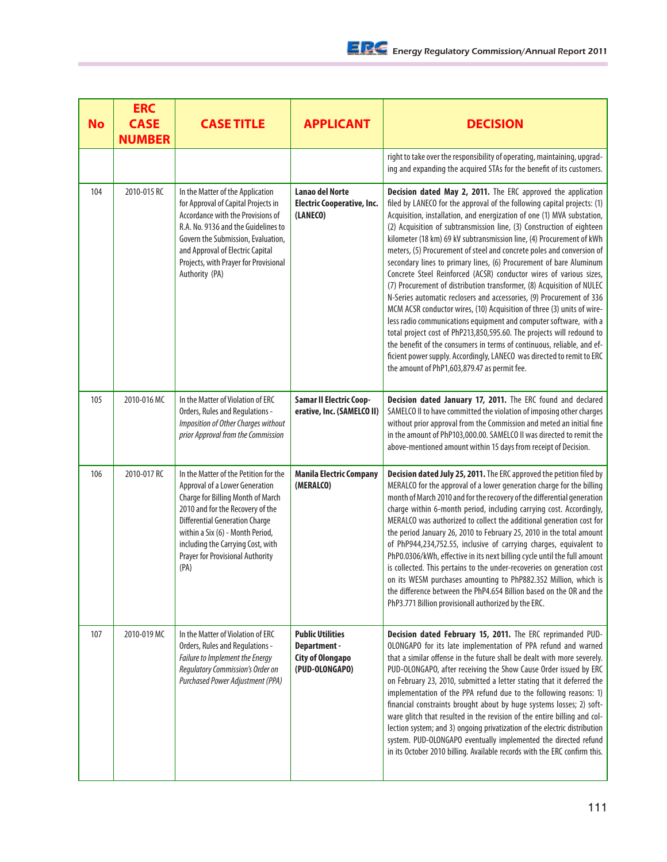| <b>No</b> | <b>ERC</b><br><b>CASE</b><br><b>NUMBER</b> | <b>CASE TITLE</b>                                                                                                                                                                                                                                                                                                            | <b>APPLICANT</b>                                                                     | <b>DECISION</b>                                                                                                                                                                                                                                                                                                                                                                                                                                                                                                                                                                                                                                                                                                                                                                                                                                                                                                                                                                                                                                                                                                                                                      |
|-----------|--------------------------------------------|------------------------------------------------------------------------------------------------------------------------------------------------------------------------------------------------------------------------------------------------------------------------------------------------------------------------------|--------------------------------------------------------------------------------------|----------------------------------------------------------------------------------------------------------------------------------------------------------------------------------------------------------------------------------------------------------------------------------------------------------------------------------------------------------------------------------------------------------------------------------------------------------------------------------------------------------------------------------------------------------------------------------------------------------------------------------------------------------------------------------------------------------------------------------------------------------------------------------------------------------------------------------------------------------------------------------------------------------------------------------------------------------------------------------------------------------------------------------------------------------------------------------------------------------------------------------------------------------------------|
|           |                                            |                                                                                                                                                                                                                                                                                                                              |                                                                                      | right to take over the responsibility of operating, maintaining, upgrad-<br>ing and expanding the acquired STAs for the benefit of its customers.                                                                                                                                                                                                                                                                                                                                                                                                                                                                                                                                                                                                                                                                                                                                                                                                                                                                                                                                                                                                                    |
| 104       | 2010-015 RC                                | In the Matter of the Application<br>for Approval of Capital Projects in<br>Accordance with the Provisions of<br>R.A. No. 9136 and the Guidelines to<br>Govern the Submission, Evaluation,<br>and Approval of Electric Capital<br>Projects, with Prayer for Provisional<br>Authority (PA)                                     | <b>Lanao del Norte</b><br><b>Electric Cooperative, Inc.</b><br>(LANECO)              | Decision dated May 2, 2011. The ERC approved the application<br>filed by LANECO for the approval of the following capital projects: (1)<br>Acquisition, installation, and energization of one (1) MVA substation,<br>(2) Acquisition of subtransmission line, (3) Construction of eighteen<br>kilometer (18 km) 69 kV subtransmission line, (4) Procurement of kWh<br>meters, (5) Procurement of steel and concrete poles and conversion of<br>secondary lines to primary lines, (6) Procurement of bare Aluminum<br>Concrete Steel Reinforced (ACSR) conductor wires of various sizes,<br>(7) Procurement of distribution transformer, (8) Acquisition of NULEC<br>N-Series automatic reclosers and accessories, (9) Procurement of 336<br>MCM ACSR conductor wires, (10) Acquisition of three (3) units of wire-<br>less radio communications equipment and computer software, with a<br>total project cost of PhP213,850,595.60. The projects will redound to<br>the benefit of the consumers in terms of continuous, reliable, and ef-<br>ficient power supply. Accordingly, LANECO was directed to remit to ERC<br>the amount of PhP1,603,879.47 as permit fee. |
| 105       | 2010-016 MC                                | In the Matter of Violation of ERC<br>Orders, Rules and Regulations -<br>Imposition of Other Charges without<br>prior Approval from the Commission                                                                                                                                                                            | <b>Samar II Electric Coop-</b><br>erative, Inc. (SAMELCO II)                         | Decision dated January 17, 2011. The ERC found and declared<br>SAMELCO II to have committed the violation of imposing other charges<br>without prior approval from the Commission and meted an initial fine<br>in the amount of PhP103,000.00. SAMELCO II was directed to remit the<br>above-mentioned amount within 15 days from receipt of Decision.                                                                                                                                                                                                                                                                                                                                                                                                                                                                                                                                                                                                                                                                                                                                                                                                               |
| 106       | 2010-017 RC                                | In the Matter of the Petition for the<br>Approval of a Lower Generation<br><b>Charge for Billing Month of March</b><br>2010 and for the Recovery of the<br><b>Differential Generation Charge</b><br>within a Six (6) - Month Period,<br>including the Carrying Cost, with<br><b>Prayer for Provisional Authority</b><br>(PA) | <b>Manila Electric Company</b><br>(MERALCO)                                          | Decision dated July 25, 2011. The ERC approved the petition filed by<br>MERALCO for the approval of a lower generation charge for the billing<br>month of March 2010 and for the recovery of the differential generation<br>charge within 6-month period, including carrying cost. Accordingly,<br>MERALCO was authorized to collect the additional generation cost for<br>the period January 26, 2010 to February 25, 2010 in the total amount<br>of PhP944,234,752.55, inclusive of carrying charges, equivalent to<br>PhP0.0306/kWh, effective in its next billing cycle until the full amount<br>is collected. This pertains to the under-recoveries on generation cost<br>on its WESM purchases amounting to PhP882.352 Million, which is<br>the difference between the PhP4.654 Billion based on the OR and the<br>PhP3.771 Billion provisionall authorized by the ERC.                                                                                                                                                                                                                                                                                        |
| 107       | 2010-019 MC                                | In the Matter of Violation of ERC<br>Orders, Rules and Regulations -<br>Failure to Implement the Energy<br>Regulatory Commission's Order on<br>Purchased Power Adjustment (PPA)                                                                                                                                              | <b>Public Utilities</b><br>Department -<br><b>City of Olongapo</b><br>(PUD-OLONGAPO) | Decision dated February 15, 2011. The ERC reprimanded PUD-<br>OLONGAPO for its late implementation of PPA refund and warned<br>that a similar offense in the future shall be dealt with more severely.<br>PUD-OLONGAPO, after receiving the Show Cause Order issued by ERC<br>on February 23, 2010, submitted a letter stating that it deferred the<br>implementation of the PPA refund due to the following reasons: 1)<br>financial constraints brought about by huge systems losses; 2) soft-<br>ware glitch that resulted in the revision of the entire billing and col-<br>lection system; and 3) ongoing privatization of the electric distribution<br>system. PUD-OLONGAPO eventually implemented the directed refund<br>in its October 2010 billing. Available records with the ERC confirm this.                                                                                                                                                                                                                                                                                                                                                            |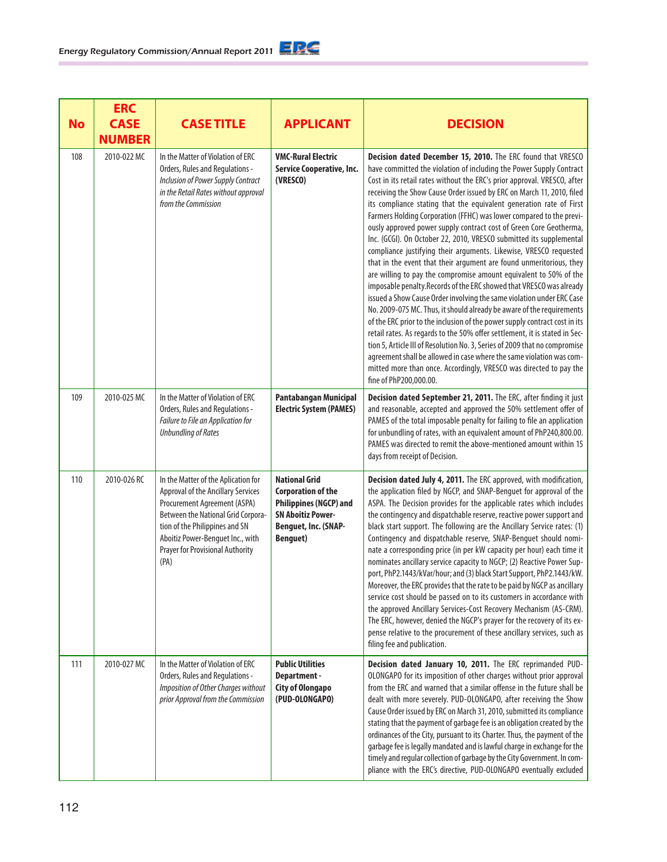| <b>No</b> | <b>ERC</b><br><b>CASE</b><br><b>NUMBER</b> | <b>CASE TITLE</b>                                                                                                                                                                                                                                                        | <b>APPLICANT</b>                                                                                                                                          | <b>DECISION</b>                                                                                                                                                                                                                                                                                                                                                                                                                                                                                                                                                                                                                                                                                                                                                                                                                                                                                                                                                                                                                                                                                                                                                                                                                                                                                                                                                                                                                                 |
|-----------|--------------------------------------------|--------------------------------------------------------------------------------------------------------------------------------------------------------------------------------------------------------------------------------------------------------------------------|-----------------------------------------------------------------------------------------------------------------------------------------------------------|-------------------------------------------------------------------------------------------------------------------------------------------------------------------------------------------------------------------------------------------------------------------------------------------------------------------------------------------------------------------------------------------------------------------------------------------------------------------------------------------------------------------------------------------------------------------------------------------------------------------------------------------------------------------------------------------------------------------------------------------------------------------------------------------------------------------------------------------------------------------------------------------------------------------------------------------------------------------------------------------------------------------------------------------------------------------------------------------------------------------------------------------------------------------------------------------------------------------------------------------------------------------------------------------------------------------------------------------------------------------------------------------------------------------------------------------------|
| 108       | 2010-022 MC                                | In the Matter of Violation of ERC<br>Orders, Rules and Regulations -<br>Inclusion of Power Supply Contract<br>in the Retail Rates without approval<br>from the Commission                                                                                                | <b>VMC-Rural Electric</b><br>Service Cooperative, Inc.<br>(VRESCO)                                                                                        | Decision dated December 15, 2010. The ERC found that VRESCO<br>have committed the violation of including the Power Supply Contract<br>Cost in its retail rates without the ERC's prior approval. VRESCO, after<br>receiving the Show Cause Order issued by ERC on March 11, 2010, filed<br>its compliance stating that the equivalent generation rate of First<br>Farmers Holding Corporation (FFHC) was lower compared to the previ-<br>ously approved power supply contract cost of Green Core Geotherma,<br>Inc. (GCGI). On October 22, 2010, VRESCO submitted its supplemental<br>compliance justifying their arguments. Likewise, VRESCO requested<br>that in the event that their argument are found unmeritorious, they<br>are willing to pay the compromise amount equivalent to 50% of the<br>imposable penalty. Records of the ERC showed that VRESCO was already<br>issued a Show Cause Order involving the same violation under ERC Case<br>No. 2009-075 MC. Thus, it should already be aware of the requirements<br>of the ERC prior to the inclusion of the power supply contract cost in its<br>retail rates. As regards to the 50% offer settlement, it is stated in Sec-<br>tion 5, Article III of Resolution No. 3, Series of 2009 that no compromise<br>agreement shall be allowed in case where the same violation was com-<br>mitted more than once. Accordingly, VRESCO was directed to pay the<br>fine of PhP200,000.00. |
| 109       | 2010-025 MC                                | In the Matter of Violation of ERC<br>Orders, Rules and Regulations -<br>Failure to File an Application for<br><b>Unbundling of Rates</b>                                                                                                                                 | Pantabangan Municipal<br><b>Electric System (PAMES)</b>                                                                                                   | Decision dated September 21, 2011. The ERC, after finding it just<br>and reasonable, accepted and approved the 50% settlement offer of<br>PAMES of the total imposable penalty for failing to file an application<br>for unbundling of rates, with an equivalent amount of PhP240,800.00.<br>PAMES was directed to remit the above-mentioned amount within 15<br>days from receipt of Decision.                                                                                                                                                                                                                                                                                                                                                                                                                                                                                                                                                                                                                                                                                                                                                                                                                                                                                                                                                                                                                                                 |
| 110       | 2010-026 RC                                | In the Matter of the Aplication for<br>Approval of the Ancillary Services<br>Procurement Agreement (ASPA)<br>Between the National Grid Corpora-<br>tion of the Philippines and SN<br>Aboitiz Power-Benguet Inc., with<br><b>Prayer for Provisional Authority</b><br>(PA) | <b>National Grid</b><br><b>Corporation of the</b><br><b>Philippines (NGCP) and</b><br><b>SN Aboitiz Power-</b><br>Benguet, Inc. (SNAP-<br><b>Benguet)</b> | Decision dated July 4, 2011. The ERC approved, with modification,<br>the application filed by NGCP, and SNAP-Benguet for approval of the<br>ASPA. The Decision provides for the applicable rates which includes<br>the contingency and dispatchable reserve, reactive power support and<br>black start support. The following are the Ancillary Service rates: (1)<br>Contingency and dispatchable reserve, SNAP-Benguet should nomi-<br>nate a corresponding price (in per kW capacity per hour) each time it<br>nominates ancillary service capacity to NGCP; (2) Reactive Power Sup-<br>port, PhP2.1443/kVar/hour; and (3) black Start Support, PhP2.1443/kW.<br>Moreover, the ERC provides that the rate to be paid by NGCP as ancillary<br>service cost should be passed on to its customers in accordance with<br>the approved Ancillary Services-Cost Recovery Mechanism (AS-CRM).<br>The ERC, however, denied the NGCP's prayer for the recovery of its ex-<br>pense relative to the procurement of these ancillary services, such as<br>filing fee and publication.                                                                                                                                                                                                                                                                                                                                                                    |
| 111       | 2010-027 MC                                | In the Matter of Violation of ERC<br>Orders, Rules and Regulations -<br>Imposition of Other Charges without<br>prior Approval from the Commission                                                                                                                        | <b>Public Utilities</b><br>Department -<br><b>City of Olongapo</b><br>(PUD-OLONGAPO)                                                                      | Decision dated January 10, 2011. The ERC reprimanded PUD-<br>OLONGAPO for its imposition of other charges without prior approval<br>from the ERC and warned that a similar offense in the future shall be<br>dealt with more severely. PUD-OLONGAPO, after receiving the Show<br>Cause Order issued by ERC on March 31, 2010, submitted its compliance<br>stating that the payment of garbage fee is an obligation created by the<br>ordinances of the City, pursuant to its Charter. Thus, the payment of the<br>garbage fee is legally mandated and is lawful charge in exchange for the<br>timely and regular collection of garbage by the City Government. In com-<br>pliance with the ERC's directive, PUD-OLONGAPO eventually excluded                                                                                                                                                                                                                                                                                                                                                                                                                                                                                                                                                                                                                                                                                                    |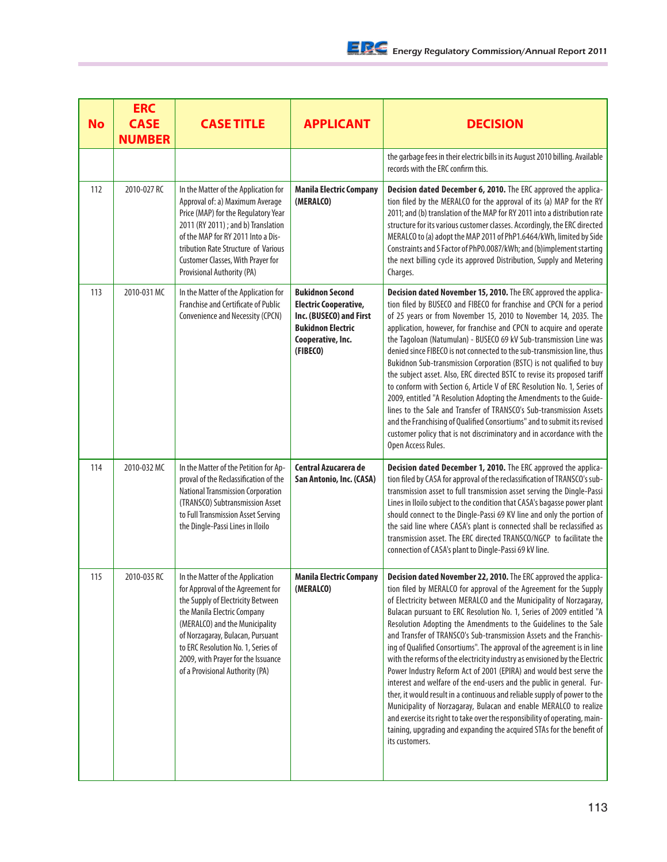| <b>No</b> | <b>ERC</b><br><b>CASE</b><br><b>NUMBER</b> | <b>CASE TITLE</b>                                                                                                                                                                                                                                                                                                              | <b>APPLICANT</b>                                                                                                                               | <b>DECISION</b>                                                                                                                                                                                                                                                                                                                                                                                                                                                                                                                                                                                                                                                                                                                                                                                                                                                                                                                                                                                                                                                   |
|-----------|--------------------------------------------|--------------------------------------------------------------------------------------------------------------------------------------------------------------------------------------------------------------------------------------------------------------------------------------------------------------------------------|------------------------------------------------------------------------------------------------------------------------------------------------|-------------------------------------------------------------------------------------------------------------------------------------------------------------------------------------------------------------------------------------------------------------------------------------------------------------------------------------------------------------------------------------------------------------------------------------------------------------------------------------------------------------------------------------------------------------------------------------------------------------------------------------------------------------------------------------------------------------------------------------------------------------------------------------------------------------------------------------------------------------------------------------------------------------------------------------------------------------------------------------------------------------------------------------------------------------------|
|           |                                            |                                                                                                                                                                                                                                                                                                                                |                                                                                                                                                | the garbage fees in their electric bills in its August 2010 billing. Available<br>records with the ERC confirm this.                                                                                                                                                                                                                                                                                                                                                                                                                                                                                                                                                                                                                                                                                                                                                                                                                                                                                                                                              |
| 112       | 2010-027 RC                                | In the Matter of the Application for<br>Approval of: a) Maximum Average<br>Price (MAP) for the Regulatory Year<br>2011 (RY 2011) ; and b) Translation<br>of the MAP for RY 2011 Into a Dis-<br>tribution Rate Structure of Various<br>Customer Classes, With Prayer for<br>Provisional Authority (PA)                          | <b>Manila Electric Company</b><br>(MERALCO)                                                                                                    | Decision dated December 6, 2010. The ERC approved the applica-<br>tion filed by the MERALCO for the approval of its (a) MAP for the RY<br>2011; and (b) translation of the MAP for RY 2011 into a distribution rate<br>structure for its various customer classes. Accordingly, the ERC directed<br>MERALCO to (a) adopt the MAP 2011 of PhP1.6464/kWh, limited by Side<br>Constraints and S Factor of PhP0.0087/kWh; and (b)implement starting<br>the next billing cycle its approved Distribution, Supply and Metering<br>Charges.                                                                                                                                                                                                                                                                                                                                                                                                                                                                                                                              |
| 113       | 2010-031 MC                                | In the Matter of the Application for<br>Franchise and Certificate of Public<br>Convenience and Necessity (CPCN)                                                                                                                                                                                                                | <b>Bukidnon Second</b><br><b>Electric Cooperative,</b><br>Inc. (BUSECO) and First<br><b>Bukidnon Electric</b><br>Cooperative, Inc.<br>(FIBECO) | Decision dated November 15, 2010. The ERC approved the applica-<br>tion filed by BUSECO and FIBECO for franchise and CPCN for a period<br>of 25 years or from November 15, 2010 to November 14, 2035. The<br>application, however, for franchise and CPCN to acquire and operate<br>the Tagoloan (Natumulan) - BUSECO 69 kV Sub-transmission Line was<br>denied since FIBECO is not connected to the sub-transmission line, thus<br>Bukidnon Sub-transmission Corporation (BSTC) is not qualified to buy<br>the subject asset. Also, ERC directed BSTC to revise its proposed tariff<br>to conform with Section 6, Article V of ERC Resolution No. 1, Series of<br>2009, entitled "A Resolution Adopting the Amendments to the Guide-<br>lines to the Sale and Transfer of TRANSCO's Sub-transmission Assets<br>and the Franchising of Qualified Consortiums" and to submit its revised<br>customer policy that is not discriminatory and in accordance with the<br>Open Access Rules.                                                                            |
| 114       | 2010-032 MC                                | In the Matter of the Petition for Ap-<br>proval of the Reclassification of the<br><b>National Transmission Corporation</b><br>(TRANSCO) Subtransmission Asset<br>to Full Transmission Asset Serving<br>the Dingle-Passi Lines in Iloilo                                                                                        | Central Azucarera de<br>San Antonio, Inc. (CASA)                                                                                               | Decision dated December 1, 2010. The ERC approved the applica-<br>tion filed by CASA for approval of the reclassification of TRANSCO's sub-<br>transmission asset to full transmission asset serving the Dingle-Passi<br>Lines in Iloilo subject to the condition that CASA's bagasse power plant<br>should connect to the Dingle-Passi 69 KV line and only the portion of<br>the said line where CASA's plant is connected shall be reclassified as<br>transmission asset. The ERC directed TRANSCO/NGCP to facilitate the<br>connection of CASA's plant to Dingle-Passi 69 kV line.                                                                                                                                                                                                                                                                                                                                                                                                                                                                             |
| 115       | 2010-035 RC                                | In the Matter of the Application<br>for Approval of the Agreement for<br>the Supply of Electricity Between<br>the Manila Electric Company<br>(MERALCO) and the Municipality<br>of Norzagaray, Bulacan, Pursuant<br>to ERC Resolution No. 1, Series of<br>2009, with Prayer for the Issuance<br>of a Provisional Authority (PA) | <b>Manila Electric Company</b><br>(MERALCO)                                                                                                    | Decision dated November 22, 2010. The ERC approved the applica-<br>tion filed by MERALCO for approval of the Agreement for the Supply<br>of Electricity between MERALCO and the Municipality of Norzagaray,<br>Bulacan pursuant to ERC Resolution No. 1, Series of 2009 entitled "A<br>Resolution Adopting the Amendments to the Guidelines to the Sale<br>and Transfer of TRANSCO's Sub-transmission Assets and the Franchis-<br>ing of Qualified Consortiums". The approval of the agreement is in line<br>with the reforms of the electricity industry as envisioned by the Electric<br>Power Industry Reform Act of 2001 (EPIRA) and would best serve the<br>interest and welfare of the end-users and the public in general. Fur-<br>ther, it would result in a continuous and reliable supply of power to the<br>Municipality of Norzagaray, Bulacan and enable MERALCO to realize<br>and exercise its right to take over the responsibility of operating, main-<br>taining, upgrading and expanding the acquired STAs for the benefit of<br>its customers. |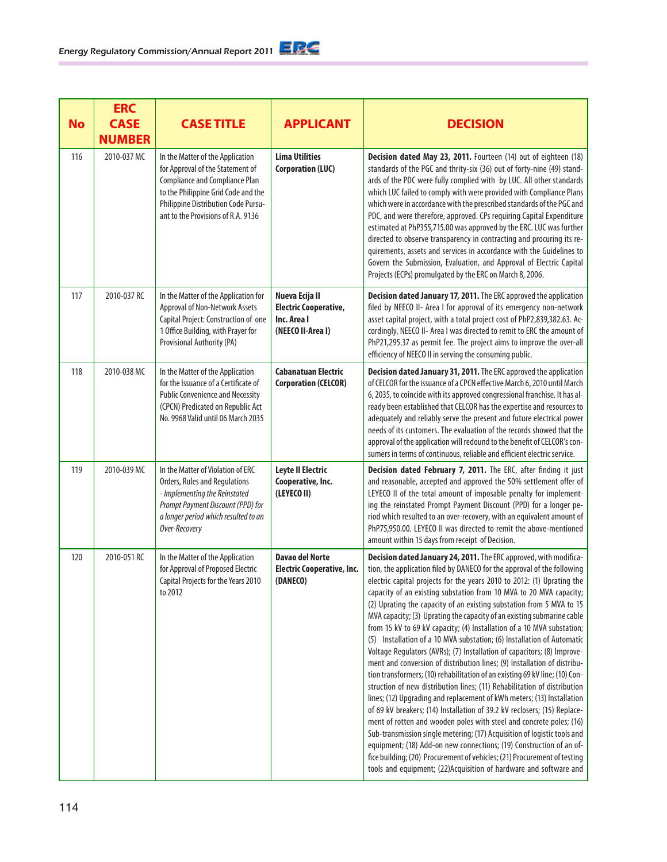|           | <b>ERC</b>                   |                                                                                                                                                                                                                                   |                                                                                    |                                                                                                                                                                                                                                                                                                                                                                                                                                                                                                                                                                                                                                                                                                                                                                                                                                                                                                                                                                                                                                                                                                                                                                                                                                                                                                                                                                                                                                                       |
|-----------|------------------------------|-----------------------------------------------------------------------------------------------------------------------------------------------------------------------------------------------------------------------------------|------------------------------------------------------------------------------------|-------------------------------------------------------------------------------------------------------------------------------------------------------------------------------------------------------------------------------------------------------------------------------------------------------------------------------------------------------------------------------------------------------------------------------------------------------------------------------------------------------------------------------------------------------------------------------------------------------------------------------------------------------------------------------------------------------------------------------------------------------------------------------------------------------------------------------------------------------------------------------------------------------------------------------------------------------------------------------------------------------------------------------------------------------------------------------------------------------------------------------------------------------------------------------------------------------------------------------------------------------------------------------------------------------------------------------------------------------------------------------------------------------------------------------------------------------|
| <b>No</b> | <b>CASE</b><br><b>NUMBER</b> | <b>CASE TITLE</b>                                                                                                                                                                                                                 | <b>APPLICANT</b>                                                                   | <b>DECISION</b>                                                                                                                                                                                                                                                                                                                                                                                                                                                                                                                                                                                                                                                                                                                                                                                                                                                                                                                                                                                                                                                                                                                                                                                                                                                                                                                                                                                                                                       |
| 116       | 2010-037 MC                  | In the Matter of the Application<br>for Approval of the Statement of<br><b>Compliance and Compliance Plan</b><br>to the Philippine Grid Code and the<br>Philippine Distribution Code Pursu-<br>ant to the Provisions of R.A. 9136 | <b>Lima Utilities</b><br><b>Corporation (LUC)</b>                                  | Decision dated May 23, 2011. Fourteen (14) out of eighteen (18)<br>standards of the PGC and thrity-six (36) out of forty-nine (49) stand-<br>ards of the PDC were fully complied with by LUC. All other standards<br>which LUC failed to comply with were provided with Compliance Plans<br>which were in accordance with the prescribed standards of the PGC and<br>PDC, and were therefore, approved. CPs requiring Capital Expenditure<br>estimated at PhP355,715.00 was approved by the ERC. LUC was further<br>directed to observe transparency in contracting and procuring its re-<br>quirements, assets and services in accordance with the Guidelines to<br>Govern the Submission, Evaluation, and Approval of Electric Capital<br>Projects (ECPs) promulgated by the ERC on March 8, 2006.                                                                                                                                                                                                                                                                                                                                                                                                                                                                                                                                                                                                                                                  |
| 117       | 2010-037 RC                  | In the Matter of the Application for<br>Approval of Non-Network Assets<br>Capital Project: Construction of one<br>1 Office Building, with Prayer for<br>Provisional Authority (PA)                                                | Nueva Ecija II<br><b>Electric Cooperative,</b><br>Inc. Area I<br>(NEECO II-Area I) | Decision dated January 17, 2011. The ERC approved the application<br>filed by NEECO II- Area I for approval of its emergency non-network<br>asset capital project, with a total project cost of PhP2,839,382.63. Ac-<br>cordingly, NEECO II- Area I was directed to remit to ERC the amount of<br>PhP21,295.37 as permit fee. The project aims to improve the over-all<br>efficiency of NEECO II in serving the consuming public.                                                                                                                                                                                                                                                                                                                                                                                                                                                                                                                                                                                                                                                                                                                                                                                                                                                                                                                                                                                                                     |
| 118       | 2010-038 MC                  | In the Matter of the Application<br>for the Issuance of a Certificate of<br><b>Public Convenience and Necessity</b><br>(CPCN) Predicated on Republic Act<br>No. 9968 Valid until 06 March 2035                                    | <b>Cabanatuan Electric</b><br><b>Corporation (CELCOR)</b>                          | Decision dated January 31, 2011. The ERC approved the application<br>of CELCOR for the issuance of a CPCN effective March 6, 2010 until March<br>6, 2035, to coincide with its approved congressional franchise. It has al-<br>ready been established that CELCOR has the expertise and resources to<br>adequately and reliably serve the present and future electrical power<br>needs of its customers. The evaluation of the records showed that the<br>approval of the application will redound to the benefit of CELCOR's con-<br>sumers in terms of continuous, reliable and efficient electric service.                                                                                                                                                                                                                                                                                                                                                                                                                                                                                                                                                                                                                                                                                                                                                                                                                                         |
| 119       | 2010-039 MC                  | In the Matter of Violation of ERC<br>Orders, Rules and Regulations<br>- Implementing the Reinstated<br>Prompt Payment Discount (PPD) for<br>a longer period which resulted to an<br>Over-Recovery                                 | Leyte II Electric<br>Cooperative, Inc.<br>(LEYECO II)                              | Decision dated February 7, 2011. The ERC, after finding it just<br>and reasonable, accepted and approved the 50% settlement offer of<br>LEYECO II of the total amount of imposable penalty for implement-<br>ing the reinstated Prompt Payment Discount (PPD) for a longer pe-<br>riod which resulted to an over-recovery, with an equivalent amount of<br>PhP75,950.00. LEYECO II was directed to remit the above-mentioned<br>amount within 15 days from receipt of Decision.                                                                                                                                                                                                                                                                                                                                                                                                                                                                                                                                                                                                                                                                                                                                                                                                                                                                                                                                                                       |
| 120       | 2010-051 RC                  | In the Matter of the Application<br>for Approval of Proposed Electric<br>Capital Projects for the Years 2010<br>to 2012                                                                                                           | <b>Davao del Norte</b><br><b>Electric Cooperative, Inc.</b><br>(DANECO)            | Decision dated January 24, 2011. The ERC approved, with modifica-<br>tion, the application filed by DANECO for the approval of the following<br>electric capital projects for the years 2010 to 2012: (1) Uprating the<br>capacity of an existing substation from 10 MVA to 20 MVA capacity;<br>(2) Uprating the capacity of an existing substation from 5 MVA to 15<br>MVA capacity; (3) Uprating the capacity of an existing submarine cable<br>from 15 kV to 69 kV capacity; (4) Installation of a 10 MVA substation;<br>(5) Installation of a 10 MVA substation; (6) Installation of Automatic<br>Voltage Regulators (AVRs); (7) Installation of capacitors; (8) Improve-<br>ment and conversion of distribution lines; (9) Installation of distribu-<br>tion transformers; (10) rehabilitation of an existing 69 kV line; (10) Con-<br>struction of new distribution lines; (11) Rehabilitation of distribution<br>lines; (12) Upgrading and replacement of kWh meters; (13) Installation<br>of 69 kV breakers; (14) Installation of 39.2 kV reclosers; (15) Replace-<br>ment of rotten and wooden poles with steel and concrete poles; (16)<br>Sub-transmission single metering; (17) Acquisition of logistic tools and<br>equipment; (18) Add-on new connections; (19) Construction of an of-<br>fice building; (20) Procurement of vehicles; (21) Procurement of testing<br>tools and equipment; (22)Acquisition of hardware and software and |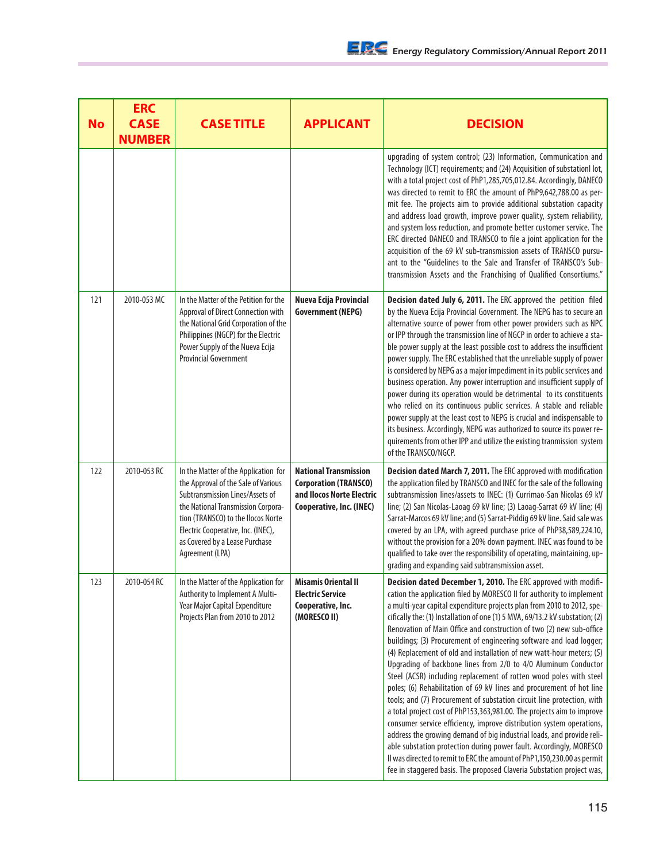| <b>No</b> | <b>ERC</b><br><b>CASE</b><br><b>NUMBER</b> | <b>CASE TITLE</b>                                                                                                                                                                                                                                                                     | <b>APPLICANT</b>                                                                                                      | <b>DECISION</b>                                                                                                                                                                                                                                                                                                                                                                                                                                                                                                                                                                                                                                                                                                                                                                                                                                                                                                                                                                                                                                                                                                                                                                                                                                                          |
|-----------|--------------------------------------------|---------------------------------------------------------------------------------------------------------------------------------------------------------------------------------------------------------------------------------------------------------------------------------------|-----------------------------------------------------------------------------------------------------------------------|--------------------------------------------------------------------------------------------------------------------------------------------------------------------------------------------------------------------------------------------------------------------------------------------------------------------------------------------------------------------------------------------------------------------------------------------------------------------------------------------------------------------------------------------------------------------------------------------------------------------------------------------------------------------------------------------------------------------------------------------------------------------------------------------------------------------------------------------------------------------------------------------------------------------------------------------------------------------------------------------------------------------------------------------------------------------------------------------------------------------------------------------------------------------------------------------------------------------------------------------------------------------------|
|           |                                            |                                                                                                                                                                                                                                                                                       |                                                                                                                       | upgrading of system control; (23) Information, Communication and<br>Technology (ICT) requirements; and (24) Acquisition of substationl lot,<br>with a total project cost of PhP1,285,705,012.84. Accordingly, DANECO<br>was directed to remit to ERC the amount of PhP9,642,788.00 as per-<br>mit fee. The projects aim to provide additional substation capacity<br>and address load growth, improve power quality, system reliability,<br>and system loss reduction, and promote better customer service. The<br>ERC directed DANECO and TRANSCO to file a joint application for the<br>acquisition of the 69 kV sub-transmission assets of TRANSCO pursu-<br>ant to the "Guidelines to the Sale and Transfer of TRANSCO's Sub-<br>transmission Assets and the Franchising of Qualified Consortiums."                                                                                                                                                                                                                                                                                                                                                                                                                                                                  |
| 121       | 2010-053 MC                                | In the Matter of the Petition for the<br>Approval of Direct Connection with<br>the National Grid Corporation of the<br>Philippines (NGCP) for the Electric<br>Power Supply of the Nueva Ecija<br><b>Provincial Government</b>                                                         | Nueva Ecija Provincial<br><b>Government (NEPG)</b>                                                                    | Decision dated July 6, 2011. The ERC approved the petition filed<br>by the Nueva Ecija Provincial Government. The NEPG has to secure an<br>alternative source of power from other power providers such as NPC<br>or IPP through the transmission line of NGCP in order to achieve a sta-<br>ble power supply at the least possible cost to address the insufficient<br>power supply. The ERC established that the unreliable supply of power<br>is considered by NEPG as a major impediment in its public services and<br>business operation. Any power interruption and insufficient supply of<br>power during its operation would be detrimental to its constituents<br>who relied on its continuous public services. A stable and reliable<br>power supply at the least cost to NEPG is crucial and indispensable to<br>its business. Accordingly, NEPG was authorized to source its power re-<br>quirements from other IPP and utilize the existing tranmission system<br>of the TRANSCO/NGCP.                                                                                                                                                                                                                                                                       |
| 122       | 2010-053 RC                                | In the Matter of the Application for<br>the Approval of the Sale of Various<br>Subtransmission Lines/Assets of<br>the National Transmission Corpora-<br>tion (TRANSCO) to the Ilocos Norte<br>Electric Cooperative, Inc. (INEC),<br>as Covered by a Lease Purchase<br>Agreement (LPA) | <b>National Transmission</b><br><b>Corporation (TRANSCO)</b><br>and Ilocos Norte Electric<br>Cooperative, Inc. (INEC) | Decision dated March 7, 2011. The ERC approved with modification<br>the application filed by TRANSCO and INEC for the sale of the following<br>subtransmission lines/assets to INEC: (1) Currimao-San Nicolas 69 kV<br>line; (2) San Nicolas-Laoag 69 kV line; (3) Laoag-Sarrat 69 kV line; (4)<br>Sarrat-Marcos 69 kV line; and (5) Sarrat-Piddig 69 kV line. Said sale was<br>covered by an LPA, with agreed purchase price of PhP38,589,224.10,<br>without the provision for a 20% down payment. INEC was found to be<br>qualified to take over the responsibility of operating, maintaining, up-<br>grading and expanding said subtransmission asset.                                                                                                                                                                                                                                                                                                                                                                                                                                                                                                                                                                                                                |
| 123       | 2010-054 RC                                | In the Matter of the Application for<br>Authority to Implement A Multi-<br>Year Major Capital Expenditure<br>Projects Plan from 2010 to 2012                                                                                                                                          | <b>Misamis Oriental II</b><br><b>Electric Service</b><br>Cooperative, Inc.<br>(MORESCO II)                            | Decision dated December 1, 2010. The ERC approved with modifi-<br>cation the application filed by MORESCO II for authority to implement<br>a multi-year capital expenditure projects plan from 2010 to 2012, spe-<br>cifically the: (1) Installation of one (1) 5 MVA, 69/13.2 kV substation; (2)<br>Renovation of Main Office and construction of two (2) new sub-office<br>buildings; (3) Procurement of engineering software and load logger;<br>(4) Replacement of old and installation of new watt-hour meters; (5)<br>Upgrading of backbone lines from 2/0 to 4/0 Aluminum Conductor<br>Steel (ACSR) including replacement of rotten wood poles with steel<br>poles; (6) Rehabilitation of 69 kV lines and procurement of hot line<br>tools; and (7) Procurement of substation circuit line protection, with<br>a total project cost of PhP153,363,981.00. The projects aim to improve<br>consumer service efficiency, improve distribution system operations,<br>address the growing demand of big industrial loads, and provide reli-<br>able substation protection during power fault. Accordingly, MORESCO<br>Il was directed to remit to ERC the amount of PhP1,150,230.00 as permit<br>fee in staggered basis. The proposed Claveria Substation project was, |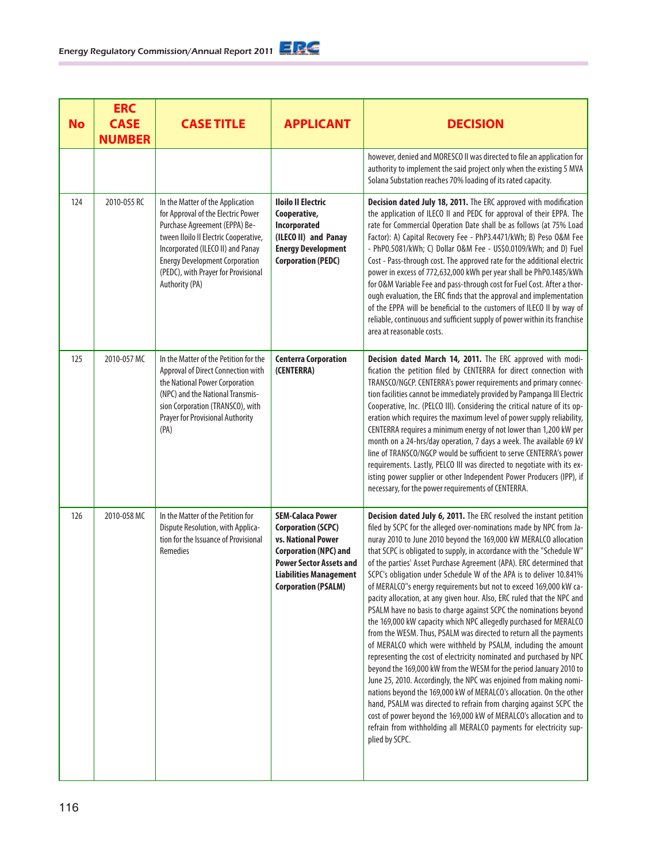| <b>No</b> | <b>ERC</b><br><b>CASE</b><br><b>NUMBER</b> | <b>CASE TITLE</b>                                                                                                                                                                                                                                                                       | <b>APPLICANT</b>                                                                                                                                                                                            | <b>DECISION</b>                                                                                                                                                                                                                                                                                                                                                                                                                                                                                                                                                                                                                                                                                                                                                                                                                                                                                                                                                                                                                                                                                                                                                                                                                                                                                                                                                                                    |
|-----------|--------------------------------------------|-----------------------------------------------------------------------------------------------------------------------------------------------------------------------------------------------------------------------------------------------------------------------------------------|-------------------------------------------------------------------------------------------------------------------------------------------------------------------------------------------------------------|----------------------------------------------------------------------------------------------------------------------------------------------------------------------------------------------------------------------------------------------------------------------------------------------------------------------------------------------------------------------------------------------------------------------------------------------------------------------------------------------------------------------------------------------------------------------------------------------------------------------------------------------------------------------------------------------------------------------------------------------------------------------------------------------------------------------------------------------------------------------------------------------------------------------------------------------------------------------------------------------------------------------------------------------------------------------------------------------------------------------------------------------------------------------------------------------------------------------------------------------------------------------------------------------------------------------------------------------------------------------------------------------------|
|           |                                            |                                                                                                                                                                                                                                                                                         |                                                                                                                                                                                                             | however, denied and MORESCO II was directed to file an application for<br>authority to implement the said project only when the existing 5 MVA<br>Solana Substation reaches 70% loading of its rated capacity.                                                                                                                                                                                                                                                                                                                                                                                                                                                                                                                                                                                                                                                                                                                                                                                                                                                                                                                                                                                                                                                                                                                                                                                     |
| 124       | 2010-055 RC                                | In the Matter of the Application<br>for Approval of the Electric Power<br>Purchase Agreement (EPPA) Be-<br>tween Iloilo II Electric Cooperative,<br>Incorporated (ILECO II) and Panay<br><b>Energy Development Corporation</b><br>(PEDC), with Prayer for Provisional<br>Authority (PA) | <b>Iloilo II Electric</b><br>Cooperative,<br>Incorporated<br>(ILECO II) and Panay<br><b>Energy Development</b><br><b>Corporation (PEDC)</b>                                                                 | Decision dated July 18, 2011. The ERC approved with modification<br>the application of ILECO II and PEDC for approval of their EPPA. The<br>rate for Commercial Operation Date shall be as follows (at 75% Load<br>Factor): A) Capital Recovery Fee - PhP3.4471/kWh; B) Peso O&M Fee<br>- PhP0.5081/kWh; C) Dollar O&M Fee - US\$0.0109/kWh; and D) Fuel<br>Cost - Pass-through cost. The approved rate for the additional electric<br>power in excess of 772,632,000 kWh per year shall be PhP0.1485/kWh<br>for O&M Variable Fee and pass-through cost for Fuel Cost. After a thor-<br>ough evaluation, the ERC finds that the approval and implementation<br>of the EPPA will be beneficial to the customers of ILECO II by way of<br>reliable, continuous and sufficient supply of power within its franchise<br>area at reasonable costs.                                                                                                                                                                                                                                                                                                                                                                                                                                                                                                                                                      |
| 125       | 2010-057 MC                                | In the Matter of the Petition for the<br>Approval of Direct Connection with<br>the National Power Corporation<br>(NPC) and the National Transmis-<br>sion Corporation (TRANSCO), with<br><b>Prayer for Provisional Authority</b><br>(PA)                                                | <b>Centerra Corporation</b><br>(CENTERRA)                                                                                                                                                                   | Decision dated March 14, 2011. The ERC approved with modi-<br>fication the petition filed by CENTERRA for direct connection with<br>TRANSCO/NGCP. CENTERRA's power requirements and primary connec-<br>tion facilities cannot be immediately provided by Pampanga III Electric<br>Cooperative, Inc. (PELCO III). Considering the critical nature of its op-<br>eration which requires the maximum level of power supply reliability,<br>CENTERRA requires a minimum energy of not lower than 1,200 kW per<br>month on a 24-hrs/day operation, 7 days a week. The available 69 kV<br>line of TRANSCO/NGCP would be sufficient to serve CENTERRA's power<br>requirements. Lastly, PELCO III was directed to negotiate with its ex-<br>isting power supplier or other Independent Power Producers (IPP), if<br>necessary, for the power requirements of CENTERRA.                                                                                                                                                                                                                                                                                                                                                                                                                                                                                                                                     |
| 126       | 2010-058 MC                                | In the Matter of the Petition for<br>Dispute Resolution, with Applica-<br>tion for the Issuance of Provisional<br><b>Remedies</b>                                                                                                                                                       | <b>SEM-Calaca Power</b><br><b>Corporation (SCPC)</b><br>vs. National Power<br><b>Corporation (NPC) and</b><br><b>Power Sector Assets and</b><br><b>Liabilities Management</b><br><b>Corporation (PSALM)</b> | Decision dated July 6, 2011. The ERC resolved the instant petition<br>filed by SCPC for the alleged over-nominations made by NPC from Ja-<br>nuray 2010 to June 2010 beyond the 169,000 kW MERALCO allocation<br>that SCPC is obligated to supply, in accordance with the "Schedule W"<br>of the parties' Asset Purchase Agreement (APA). ERC determined that<br>SCPC's obligation under Schedule W of the APA is to deliver 10.841%<br>of MERALCO"s energy requirements but not to exceed 169,000 kW ca-<br>pacity allocation, at any given hour. Also, ERC ruled that the NPC and<br>PSALM have no basis to charge against SCPC the nominations beyond<br>the 169,000 kW capacity which NPC allegedly purchased for MERALCO<br>from the WESM. Thus, PSALM was directed to return all the payments<br>of MERALCO which were withheld by PSALM, including the amount<br>representing the cost of electricity nominated and purchased by NPC<br>beyond the 169,000 kW from the WESM for the period January 2010 to<br>June 25, 2010. Accordingly, the NPC was enjoined from making nomi-<br>nations beyond the 169,000 kW of MERALCO's allocation. On the other<br>hand, PSALM was directed to refrain from charging against SCPC the<br>cost of power beyond the 169,000 kW of MERALCO's allocation and to<br>refrain from withholding all MERALCO payments for electricity sup-<br>plied by SCPC. |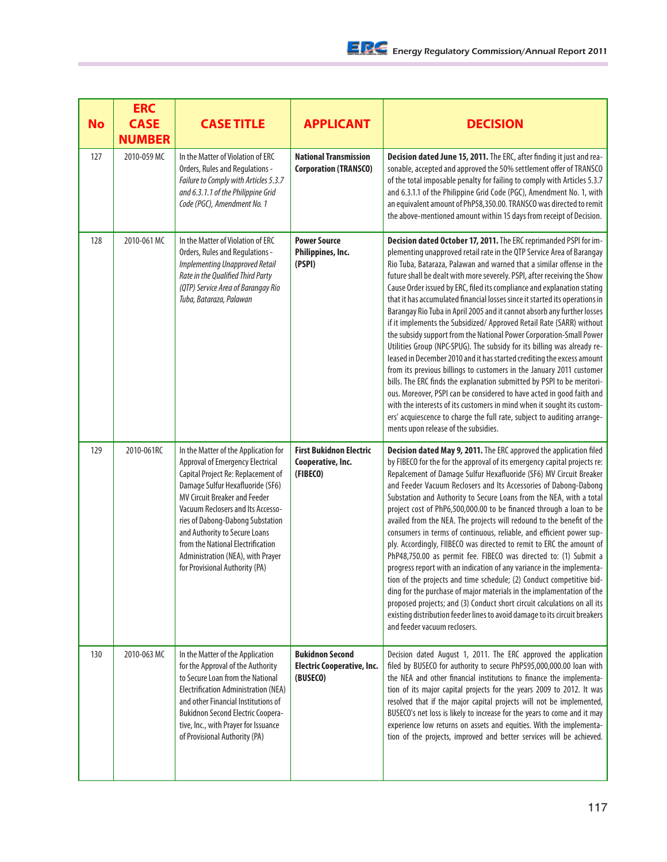| <b>No</b> | <b>ERC</b><br><b>CASE</b><br><b>NUMBER</b> | <b>CASE TITLE</b>                                                                                                                                                                                                                                                                                                                                                                                                | <b>APPLICANT</b>                                                        | <b>DECISION</b>                                                                                                                                                                                                                                                                                                                                                                                                                                                                                                                                                                                                                                                                                                                                                                                                                                                                                                                                                                                                                                                                                                                                                                                                                                                 |
|-----------|--------------------------------------------|------------------------------------------------------------------------------------------------------------------------------------------------------------------------------------------------------------------------------------------------------------------------------------------------------------------------------------------------------------------------------------------------------------------|-------------------------------------------------------------------------|-----------------------------------------------------------------------------------------------------------------------------------------------------------------------------------------------------------------------------------------------------------------------------------------------------------------------------------------------------------------------------------------------------------------------------------------------------------------------------------------------------------------------------------------------------------------------------------------------------------------------------------------------------------------------------------------------------------------------------------------------------------------------------------------------------------------------------------------------------------------------------------------------------------------------------------------------------------------------------------------------------------------------------------------------------------------------------------------------------------------------------------------------------------------------------------------------------------------------------------------------------------------|
| 127       | 2010-059 MC                                | In the Matter of Violation of ERC<br>Orders, Rules and Regulations -<br>Failure to Comply with Articles 5.3.7<br>and 6.3.1.1 of the Philippine Grid<br>Code (PGC), Amendment No. 1                                                                                                                                                                                                                               | <b>National Transmission</b><br><b>Corporation (TRANSCO)</b>            | Decision dated June 15, 2011. The ERC, after finding it just and rea-<br>sonable, accepted and approved the 50% settlement offer of TRANSCO<br>of the total imposable penalty for failing to comply with Articles 5.3.7<br>and 6.3.1.1 of the Philippine Grid Code (PGC), Amendment No. 1, with<br>an equivalent amount of PhP58,350.00. TRANSCO was directed to remit<br>the above-mentioned amount within 15 days from receipt of Decision.                                                                                                                                                                                                                                                                                                                                                                                                                                                                                                                                                                                                                                                                                                                                                                                                                   |
| 128       | 2010-061 MC                                | In the Matter of Violation of ERC<br>Orders, Rules and Regulations -<br><b>Implementing Unapproved Retail</b><br>Rate in the Qualified Third Party<br>(QTP) Service Area of Barangay Rio<br>Tuba, Bataraza, Palawan                                                                                                                                                                                              | <b>Power Source</b><br>Philippines, Inc.<br>(PSPI)                      | Decision dated October 17, 2011. The ERC reprimanded PSPI for im-<br>plementing unapproved retail rate in the QTP Service Area of Barangay<br>Rio Tuba, Bataraza, Palawan and warned that a similar offense in the<br>future shall be dealt with more severely. PSPI, after receiving the Show<br>Cause Order issued by ERC, filed its compliance and explanation stating<br>that it has accumulated financial losses since it started its operations in<br>Barangay Rio Tuba in April 2005 and it cannot absorb any further losses<br>if it implements the Subsidized/ Approved Retail Rate (SARR) without<br>the subsidy support from the National Power Corporation-Small Power<br>Utilities Group (NPC-SPUG). The subsidy for its billing was already re-<br>leased in December 2010 and it has started crediting the excess amount<br>from its previous billings to customers in the January 2011 customer<br>bills. The ERC finds the explanation submitted by PSPI to be meritori-<br>ous. Moreover, PSPI can be considered to have acted in good faith and<br>with the interests of its customers in mind when it sought its custom-<br>ers' acquiescence to charge the full rate, subject to auditing arrange-<br>ments upon release of the subsidies. |
| 129       | 2010-061RC                                 | In the Matter of the Application for<br>Approval of Emergency Electrical<br>Capital Project Re: Replacement of<br>Damage Sulfur Hexafluoride (SF6)<br><b>MV Circuit Breaker and Feeder</b><br>Vacuum Reclosers and Its Accesso-<br>ries of Dabong-Dabong Substation<br>and Authority to Secure Loans<br>from the National Electrification<br>Administration (NEA), with Prayer<br>for Provisional Authority (PA) | <b>First Bukidnon Electric</b><br>Cooperative, Inc.<br>(FIBECO)         | Decision dated May 9, 2011. The ERC approved the application filed<br>by FIBECO for the for the approval of its emergency capital projects re:<br>Repalcement of Damage Sulfur Hexafluoride (SF6) MV Circuit Breaker<br>and Feeder Vacuum Reclosers and Its Accessories of Dabong-Dabong<br>Substation and Authority to Secure Loans from the NEA, with a total<br>project cost of PhP6,500,000.00 to be financed through a loan to be<br>availed from the NEA. The projects will redound to the benefit of the<br>consumers in terms of continuous, reliable, and efficient power sup-<br>ply. Accordingly, FIIBECO was directed to remit to ERC the amount of<br>PhP48,750.00 as permit fee. FIBECO was directed to: (1) Submit a<br>progress report with an indication of any variance in the implementa-<br>tion of the projects and time schedule; (2) Conduct competitive bid-<br>ding for the purchase of major materials in the implamentation of the<br>proposed projects; and (3) Conduct short circuit calculations on all its<br>existing distribution feeder lines to avoid damage to its circuit breakers<br>and feeder vacuum reclosers.                                                                                                         |
| 130       | 2010-063 MC                                | In the Matter of the Application<br>for the Approval of the Authority<br>to Secure Loan from the National<br>Electrification Administration (NEA)<br>and other Financial Institutions of<br><b>Bukidnon Second Electric Coopera-</b><br>tive, Inc., with Prayer for Issuance<br>of Provisional Authority (PA)                                                                                                    | <b>Bukidnon Second</b><br><b>Electric Cooperative, Inc.</b><br>(BUSECO) | Decision dated August 1, 2011. The ERC approved the application<br>filed by BUSECO for authority to secure PhP595,000,000.00 loan with<br>the NEA and other financial institutions to finance the implementa-<br>tion of its major capital projects for the years 2009 to 2012. It was<br>resolved that if the major capital projects will not be implemented,<br>BUSECO's net loss is likely to increase for the years to come and it may<br>experience low returns on assets and equities. With the implementa-<br>tion of the projects, improved and better services will be achieved.                                                                                                                                                                                                                                                                                                                                                                                                                                                                                                                                                                                                                                                                       |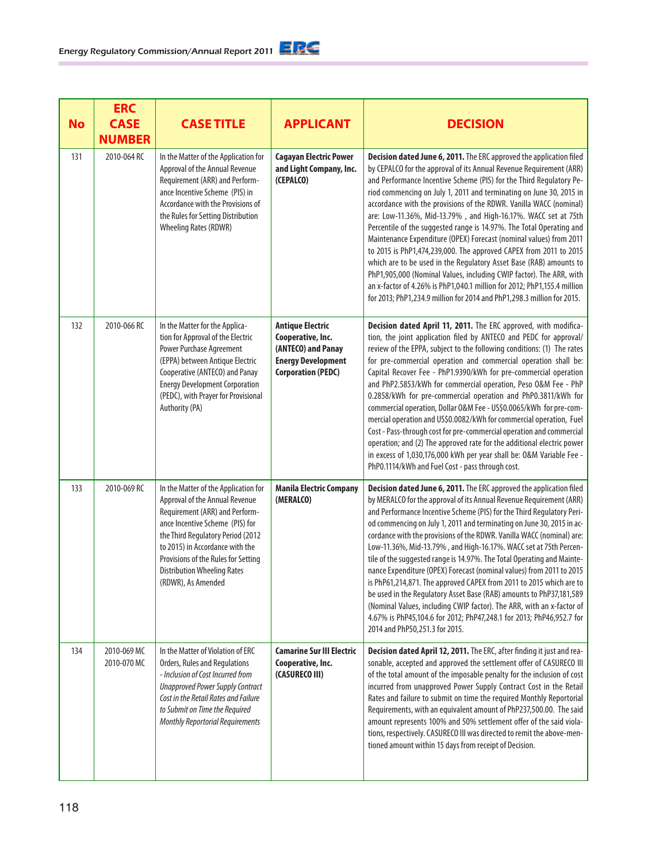| <b>No</b> | <b>ERC</b><br><b>CASE</b><br><b>NUMBER</b> | <b>CASE TITLE</b>                                                                                                                                                                                                                                                                                                      | <b>APPLICANT</b>                                                                                                             | <b>DECISION</b>                                                                                                                                                                                                                                                                                                                                                                                                                                                                                                                                                                                                                                                                                                                                                                                                                                                                                                                                       |
|-----------|--------------------------------------------|------------------------------------------------------------------------------------------------------------------------------------------------------------------------------------------------------------------------------------------------------------------------------------------------------------------------|------------------------------------------------------------------------------------------------------------------------------|-------------------------------------------------------------------------------------------------------------------------------------------------------------------------------------------------------------------------------------------------------------------------------------------------------------------------------------------------------------------------------------------------------------------------------------------------------------------------------------------------------------------------------------------------------------------------------------------------------------------------------------------------------------------------------------------------------------------------------------------------------------------------------------------------------------------------------------------------------------------------------------------------------------------------------------------------------|
| 131       | 2010-064 RC                                | In the Matter of the Application for<br>Approval of the Annual Revenue<br>Requirement (ARR) and Perform-<br>ance Incentive Scheme (PIS) in<br>Accordance with the Provisions of<br>the Rules for Setting Distribution<br><b>Wheeling Rates (RDWR)</b>                                                                  | <b>Cagayan Electric Power</b><br>and Light Company, Inc.<br>(CEPALCO)                                                        | Decision dated June 6, 2011. The ERC approved the application filed<br>by CEPALCO for the approval of its Annual Revenue Requirement (ARR)<br>and Performance Incentive Scheme (PIS) for the Third Regulatory Pe-<br>riod commencing on July 1, 2011 and terminating on June 30, 2015 in<br>accordance with the provisions of the RDWR. Vanilla WACC (nominal)<br>are: Low-11.36%, Mid-13.79%, and High-16.17%. WACC set at 75th<br>Percentile of the suggested range is 14.97%. The Total Operating and<br>Maintenance Expenditure (OPEX) Forecast (nominal values) from 2011<br>to 2015 is PhP1,474,239,000. The approved CAPEX from 2011 to 2015<br>which are to be used in the Regulatory Asset Base (RAB) amounts to<br>PhP1,905,000 (Nominal Values, including CWIP factor). The ARR, with<br>an x-factor of 4.26% is PhP1,040.1 million for 2012; PhP1,155.4 million<br>for 2013; PhP1,234.9 million for 2014 and PhP1,298.3 million for 2015. |
| 132       | 2010-066 RC                                | In the Matter for the Applica-<br>tion for Approval of the Electric<br>Power Purchase Agreement<br>(EPPA) between Antique Electric<br>Cooperative (ANTECO) and Panay<br><b>Energy Development Corporation</b><br>(PEDC), with Prayer for Provisional<br>Authority (PA)                                                 | <b>Antique Electric</b><br>Cooperative, Inc.<br>(ANTECO) and Panay<br><b>Energy Development</b><br><b>Corporation (PEDC)</b> | Decision dated April 11, 2011. The ERC approved, with modifica-<br>tion, the joint application filed by ANTECO and PEDC for approval/<br>review of the EPPA, subject to the following conditions: (1) The rates<br>for pre-commercial operation and commercial operation shall be:<br>Capital Recover Fee - PhP1.9390/kWh for pre-commercial operation<br>and PhP2.5853/kWh for commercial operation, Peso 0&M Fee - PhP<br>0.2858/kWh for pre-commercial operation and PhP0.3811/kWh for<br>commercial operation, Dollar 0&M Fee - US\$0.0065/kWh for pre-com-<br>mercial operation and US\$0.0082/kWh for commercial operation, Fuel<br>Cost - Pass-through cost for pre-commercial operation and commercial<br>operation; and (2) The approved rate for the additional electric power<br>in excess of 1,030,176,000 kWh per year shall be: 0&M Variable Fee -<br>PhP0.1114/kWh and Fuel Cost - pass through cost.                                  |
| 133       | 2010-069 RC                                | In the Matter of the Application for<br>Approval of the Annual Revenue<br>Requirement (ARR) and Perform-<br>ance Incentive Scheme (PIS) for<br>the Third Regulatory Period (2012<br>to 2015) in Accordance with the<br>Provisions of the Rules for Setting<br><b>Distribution Wheeling Rates</b><br>(RDWR), As Amended | <b>Manila Electric Company</b><br>(MERALCO)                                                                                  | Decision dated June 6, 2011. The ERC approved the application filed<br>by MERALCO for the approval of its Annual Revenue Requirement (ARR)<br>and Performance Incentive Scheme (PIS) for the Third Regulatory Peri-<br>od commencing on July 1, 2011 and terminating on June 30, 2015 in ac-<br>cordance with the provisions of the RDWR. Vanilla WACC (nominal) are:<br>Low-11.36%, Mid-13.79%, and High-16.17%. WACC set at 75th Percen-<br>tile of the suggested range is 14.97%. The Total Operating and Mainte-<br>nance Expenditure (OPEX) Forecast (nominal values) from 2011 to 2015<br>is PhP61,214,871. The approved CAPEX from 2011 to 2015 which are to<br>be used in the Regulatory Asset Base (RAB) amounts to PhP37,181,589<br>(Nominal Values, including CWIP factor). The ARR, with an x-factor of<br>4.67% is PhP45,104.6 for 2012; PhP47,248.1 for 2013; PhP46,952.7 for<br>2014 and PhP50,251.3 for 2015.                         |
| 134       | 2010-069 MC<br>2010-070 MC                 | In the Matter of Violation of ERC<br>Orders, Rules and Regulations<br>- Inclusion of Cost Incurred from<br><b>Unapproved Power Supply Contract</b><br>Cost in the Retail Rates and Failure<br>to Submit on Time the Required<br><b>Monthly Reportorial Requirements</b>                                                | <b>Camarine Sur III Electric</b><br>Cooperative, Inc.<br>(CASURECO III)                                                      | Decision dated April 12, 2011. The ERC, after finding it just and rea-<br>sonable, accepted and approved the settlement offer of CASURECO III<br>of the total amount of the imposable penalty for the inclusion of cost<br>incurred from unapproved Power Supply Contract Cost in the Retail<br>Rates and failure to submit on time the required Monthly Reportorial<br>Requirements, with an equivalent amount of PhP237,500.00. The said<br>amount represents 100% and 50% settlement offer of the said viola-<br>tions, respectively. CASURECO III was directed to remit the above-men-<br>tioned amount within 15 days from receipt of Decision.                                                                                                                                                                                                                                                                                                  |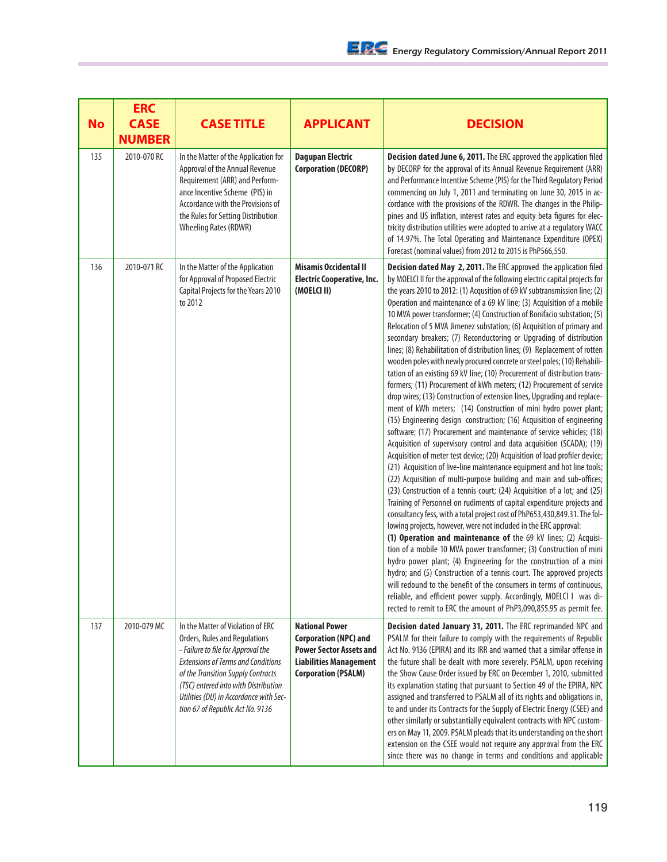| <b>No</b> | <b>ERC</b><br><b>CASE</b><br><b>NUMBER</b> | <b>CASE TITLE</b>                                                                                                                                                                                                                                                                                                 | <b>APPLICANT</b>                                                                                                                                       | <b>DECISION</b>                                                                                                                                                                                                                                                                                                                                                                                                                                                                                                                                                                                                                                                                                                                                                                                                                                                                                                                                                                                                                                                                                                                                                                                                                                                                                                                                                                                                                                                                                                                                                                                                                                                                                                                                                                                                                                                                                                                                                                                                                                                                                                                                                                                                                                                                      |
|-----------|--------------------------------------------|-------------------------------------------------------------------------------------------------------------------------------------------------------------------------------------------------------------------------------------------------------------------------------------------------------------------|--------------------------------------------------------------------------------------------------------------------------------------------------------|--------------------------------------------------------------------------------------------------------------------------------------------------------------------------------------------------------------------------------------------------------------------------------------------------------------------------------------------------------------------------------------------------------------------------------------------------------------------------------------------------------------------------------------------------------------------------------------------------------------------------------------------------------------------------------------------------------------------------------------------------------------------------------------------------------------------------------------------------------------------------------------------------------------------------------------------------------------------------------------------------------------------------------------------------------------------------------------------------------------------------------------------------------------------------------------------------------------------------------------------------------------------------------------------------------------------------------------------------------------------------------------------------------------------------------------------------------------------------------------------------------------------------------------------------------------------------------------------------------------------------------------------------------------------------------------------------------------------------------------------------------------------------------------------------------------------------------------------------------------------------------------------------------------------------------------------------------------------------------------------------------------------------------------------------------------------------------------------------------------------------------------------------------------------------------------------------------------------------------------------------------------------------------------|
| 135       | 2010-070 RC                                | In the Matter of the Application for<br>Approval of the Annual Revenue<br>Requirement (ARR) and Perform-<br>ance Incentive Scheme (PIS) in<br>Accordance with the Provisions of<br>the Rules for Setting Distribution<br><b>Wheeling Rates (RDWR)</b>                                                             | <b>Dagupan Electric</b><br><b>Corporation (DECORP)</b>                                                                                                 | Decision dated June 6, 2011. The ERC approved the application filed<br>by DECORP for the approval of its Annual Revenue Requirement (ARR)<br>and Performance Incentive Scheme (PIS) for the Third Regulatory Period<br>commencing on July 1, 2011 and terminating on June 30, 2015 in ac-<br>cordance with the provisions of the RDWR. The changes in the Philip-<br>pines and US inflation, interest rates and equity beta figures for elec-<br>tricity distribution utilities were adopted to arrive at a regulatory WACC<br>of 14.97%. The Total Operating and Maintenance Expenditure (OPEX)<br>Forecast (nominal values) from 2012 to 2015 is PhP566,550.                                                                                                                                                                                                                                                                                                                                                                                                                                                                                                                                                                                                                                                                                                                                                                                                                                                                                                                                                                                                                                                                                                                                                                                                                                                                                                                                                                                                                                                                                                                                                                                                                       |
| 136       | 2010-071 RC                                | In the Matter of the Application<br>for Approval of Proposed Electric<br>Capital Projects for the Years 2010<br>to 2012                                                                                                                                                                                           | <b>Misamis Occidental II</b><br><b>Electric Cooperative, Inc.</b><br>(MOELCI II)                                                                       | Decision dated May 2, 2011. The ERC approved the application filed<br>by MOELCI II for the approval of the following electric capital projects for<br>the years 2010 to 2012: (1) Acqusition of 69 kV subtransmission line; (2)<br>Operation and maintenance of a 69 kV line; (3) Acquisition of a mobile<br>10 MVA power transformer; (4) Construction of Bonifacio substation; (5)<br>Relocation of 5 MVA Jimenez substation; (6) Acquisition of primary and<br>secondary breakers; (7) Reconductoring or Upgrading of distribution<br>lines; (8) Rehabilitation of distribution lines; (9) Replacement of rotten<br>wooden poles with newly procured concrete or steel poles; (10) Rehabili-<br>tation of an existing 69 kV line; (10) Procurement of distribution trans-<br>formers; (11) Procurement of kWh meters; (12) Procurement of service<br>drop wires; (13) Construction of extension lines, Upgrading and replace-<br>ment of kWh meters; (14) Construction of mini hydro power plant;<br>(15) Engineering design construction; (16) Acquisition of engineering<br>software; (17) Procurement and maintenance of service vehicles; (18)<br>Acquisition of supervisory control and data acquisition (SCADA); (19)<br>Acquisition of meter test device; (20) Acquisition of load profiler device;<br>(21) Acquisition of live-line maintenance equipment and hot line tools;<br>(22) Acquisition of multi-purpose building and main and sub-offices;<br>(23) Construction of a tennis court; (24) Acquisition of a lot; and (25)<br>Training of Personnel on rudiments of capital expenditure projects and<br>consultancy fess, with a total project cost of PhP653,430,849.31. The fol-<br>lowing projects, however, were not included in the ERC approval:<br>(1) Operation and maintenance of the 69 kV lines; (2) Acquisi-<br>tion of a mobile 10 MVA power transformer; (3) Construction of mini<br>hydro power plant; (4) Engineering for the construction of a mini<br>hydro; and (5) Construction of a tennis court. The approved projects<br>will redound to the benefit of the consumers in terms of continuous,<br>reliable, and efficient power supply. Accordingly, MOELCI I was di-<br>rected to remit to ERC the amount of PhP3,090,855.95 as permit fee. |
| 137       | 2010-079 MC                                | In the Matter of Violation of ERC<br>Orders, Rules and Regulations<br>- Failure to file for Approval the<br><b>Extensions of Terms and Conditions</b><br>of the Transition Supply Contracts<br>(TSC) entered into with Distribution<br>Utilities (DU) in Accordance with Sec-<br>tion 67 of Republic Act No. 9136 | <b>National Power</b><br><b>Corporation (NPC) and</b><br><b>Power Sector Assets and</b><br><b>Liabilities Management</b><br><b>Corporation (PSALM)</b> | Decision dated January 31, 2011. The ERC reprimanded NPC and<br>PSALM for their failure to comply with the requirements of Republic<br>Act No. 9136 (EPIRA) and its IRR and warned that a similar offense in<br>the future shall be dealt with more severely. PSALM, upon receiving<br>the Show Cause Order issued by ERC on December 1, 2010, submitted<br>its explanation stating that pursuant to Section 49 of the EPIRA, NPC<br>assigned and transferred to PSALM all of its rights and obligations in,<br>to and under its Contracts for the Supply of Electric Energy (CSEE) and<br>other similarly or substantially equivalent contracts with NPC custom-<br>ers on May 11, 2009. PSALM pleads that its understanding on the short<br>extension on the CSEE would not require any approval from the ERC<br>since there was no change in terms and conditions and applicable                                                                                                                                                                                                                                                                                                                                                                                                                                                                                                                                                                                                                                                                                                                                                                                                                                                                                                                                                                                                                                                                                                                                                                                                                                                                                                                                                                                                  |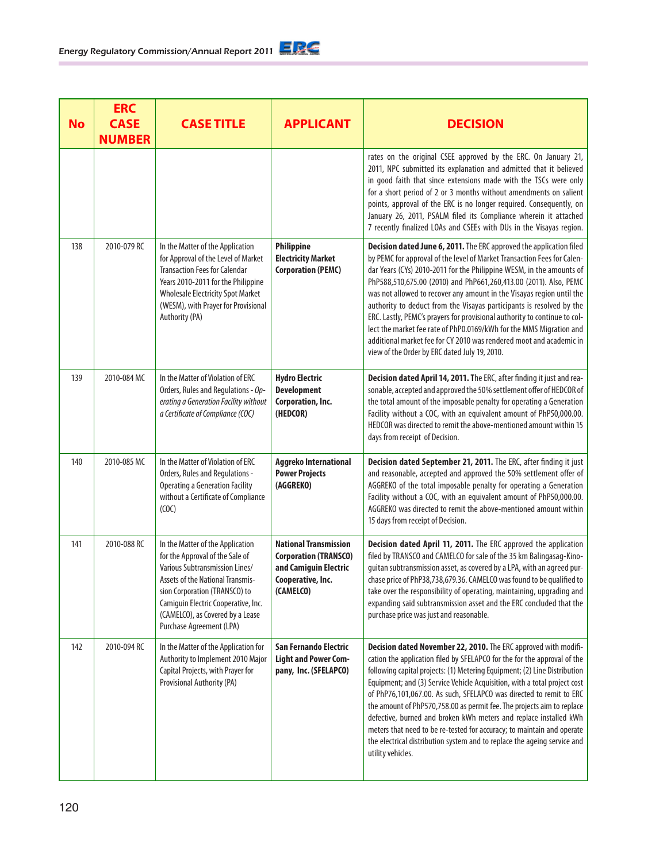| <b>No</b> | <b>ERC</b><br><b>CASE</b><br><b>NUMBER</b> | <b>CASE TITLE</b>                                                                                                                                                                                                                                                                        | <b>APPLICANT</b>                                                                                                        | <b>DECISION</b>                                                                                                                                                                                                                                                                                                                                                                                                                                                                                                                                                                                                                                                                                                          |
|-----------|--------------------------------------------|------------------------------------------------------------------------------------------------------------------------------------------------------------------------------------------------------------------------------------------------------------------------------------------|-------------------------------------------------------------------------------------------------------------------------|--------------------------------------------------------------------------------------------------------------------------------------------------------------------------------------------------------------------------------------------------------------------------------------------------------------------------------------------------------------------------------------------------------------------------------------------------------------------------------------------------------------------------------------------------------------------------------------------------------------------------------------------------------------------------------------------------------------------------|
|           |                                            |                                                                                                                                                                                                                                                                                          |                                                                                                                         | rates on the original CSEE approved by the ERC. On January 21,<br>2011, NPC submitted its explanation and admitted that it believed<br>in good faith that since extensions made with the TSCs were only<br>for a short period of 2 or 3 months without amendments on salient<br>points, approval of the ERC is no longer required. Consequently, on<br>January 26, 2011, PSALM filed its Compliance wherein it attached<br>7 recently finalized LOAs and CSEEs with DUs in the Visayas region.                                                                                                                                                                                                                           |
| 138       | 2010-079 RC                                | In the Matter of the Application<br>for Approval of the Level of Market<br><b>Transaction Fees for Calendar</b><br>Years 2010-2011 for the Philippine<br><b>Wholesale Electricity Spot Market</b><br>(WESM), with Prayer for Provisional<br>Authority (PA)                               | Philippine<br><b>Electricity Market</b><br><b>Corporation (PEMC)</b>                                                    | Decision dated June 6, 2011. The ERC approved the application filed<br>by PEMC for approval of the level of Market Transaction Fees for Calen-<br>dar Years (CYs) 2010-2011 for the Philippine WESM, in the amounts of<br>PhP588,510,675.00 (2010) and PhP661,260,413.00 (2011). Also, PEMC<br>was not allowed to recover any amount in the Visayas region until the<br>authority to deduct from the Visayas participants is resolved by the<br>ERC. Lastly, PEMC's prayers for provisional authority to continue to col-<br>lect the market fee rate of PhP0.0169/kWh for the MMS Migration and<br>additional market fee for CY 2010 was rendered moot and academic in<br>view of the Order by ERC dated July 19, 2010. |
| 139       | 2010-084 MC                                | In the Matter of Violation of ERC<br>Orders, Rules and Regulations - Op-<br>erating a Generation Facility without<br>a Certificate of Compliance (COC)                                                                                                                                   | <b>Hydro Electric</b><br><b>Development</b><br>Corporation, Inc.<br>(HEDCOR)                                            | Decision dated April 14, 2011. The ERC, after finding it just and rea-<br>sonable, accepted and approved the 50% settlement offer of HEDCOR of<br>the total amount of the imposable penalty for operating a Generation<br>Facility without a COC, with an equivalent amount of PhP50,000.00.<br>HEDCOR was directed to remit the above-mentioned amount within 15<br>days from receipt of Decision.                                                                                                                                                                                                                                                                                                                      |
| 140       | 2010-085 MC                                | In the Matter of Violation of ERC<br>Orders, Rules and Regulations -<br><b>Operating a Generation Facility</b><br>without a Certificate of Compliance<br>(COC)                                                                                                                           | Aggreko International<br><b>Power Projects</b><br>(AGGREKO)                                                             | Decision dated September 21, 2011. The ERC, after finding it just<br>and reasonable, accepted and approved the 50% settlement offer of<br>AGGREKO of the total imposable penalty for operating a Generation<br>Facility without a COC, with an equivalent amount of PhP50,000.00.<br>AGGREKO was directed to remit the above-mentioned amount within<br>15 days from receipt of Decision.                                                                                                                                                                                                                                                                                                                                |
| 141       | 2010-088 RC                                | In the Matter of the Application<br>for the Approval of the Sale of<br>Various Subtransmission Lines/<br><b>Assets of the National Transmis-</b><br>sion Corporation (TRANSCO) to<br>Camiguin Electric Cooperative, Inc.<br>(CAMELCO), as Covered by a Lease<br>Purchase Agreement (LPA) | <b>National Transmission</b><br><b>Corporation (TRANSCO)</b><br>and Camiguin Electric<br>Cooperative, Inc.<br>(CAMELCO) | Decision dated April 11, 2011. The ERC approved the application<br>filed by TRANSCO and CAMELCO for sale of the 35 km Balingasag-Kino-<br>guitan subtransmission asset, as covered by a LPA, with an agreed pur-<br>chase price of PhP38,738,679.36. CAMELCO was found to be qualified to<br>take over the responsibility of operating, maintaining, upgrading and<br>expanding said subtransmission asset and the ERC concluded that the<br>purchase price was just and reasonable.                                                                                                                                                                                                                                     |
| 142       | 2010-094 RC                                | In the Matter of the Application for<br>Authority to Implement 2010 Major<br>Capital Projects, with Prayer for<br>Provisional Authority (PA)                                                                                                                                             | San Fernando Electric<br><b>Light and Power Com-</b><br>pany, Inc. (SFELAPCO)                                           | Decision dated November 22, 2010. The ERC approved with modifi-<br>cation the application filed by SFELAPCO for the for the approval of the<br>following capital projects: (1) Metering Equipment; (2) Line Distribution<br>Equipment; and (3) Service Vehicle Acquisition, with a total project cost<br>of PhP76,101,067.00. As such, SFELAPCO was directed to remit to ERC<br>the amount of PhP570,758.00 as permit fee. The projects aim to replace<br>defective, burned and broken kWh meters and replace installed kWh<br>meters that need to be re-tested for accuracy; to maintain and operate<br>the electrical distribution system and to replace the ageing service and<br>utility vehicles.                   |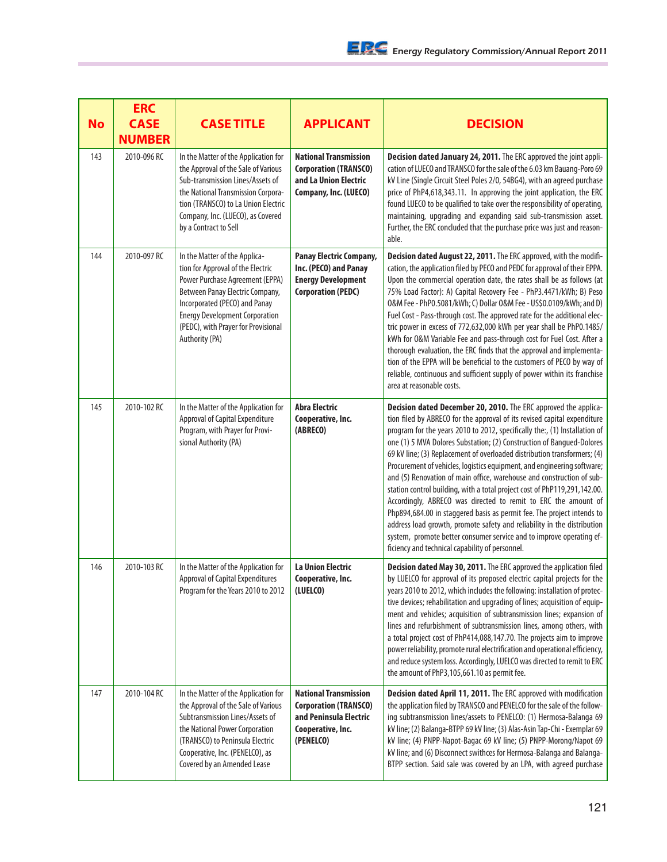| <b>No</b> | <b>ERC</b><br><b>CASE</b><br><b>NUMBER</b> | <b>CASE TITLE</b>                                                                                                                                                                                                                                                           | <b>APPLICANT</b>                                                                                                         | <b>DECISION</b>                                                                                                                                                                                                                                                                                                                                                                                                                                                                                                                                                                                                                                                                                                                                                                                                                                                                                                                                                   |
|-----------|--------------------------------------------|-----------------------------------------------------------------------------------------------------------------------------------------------------------------------------------------------------------------------------------------------------------------------------|--------------------------------------------------------------------------------------------------------------------------|-------------------------------------------------------------------------------------------------------------------------------------------------------------------------------------------------------------------------------------------------------------------------------------------------------------------------------------------------------------------------------------------------------------------------------------------------------------------------------------------------------------------------------------------------------------------------------------------------------------------------------------------------------------------------------------------------------------------------------------------------------------------------------------------------------------------------------------------------------------------------------------------------------------------------------------------------------------------|
| 143       | 2010-096 RC                                | In the Matter of the Application for<br>the Approval of the Sale of Various<br>Sub-transmission Lines/Assets of<br>the National Transmission Corpora-<br>tion (TRANSCO) to La Union Electric<br>Company, Inc. (LUECO), as Covered<br>by a Contract to Sell                  | <b>National Transmission</b><br><b>Corporation (TRANSCO)</b><br>and La Union Electric<br>Company, Inc. (LUECO)           | Decision dated January 24, 2011. The ERC approved the joint appli-<br>cation of LUECO and TRANSCO for the sale of the 6.03 km Bauang-Poro 69<br>kV Line (Single Circuit Steel Poles 2/0, 54BG4), with an agreed purchase<br>price of PhP4,618,343.11. In approving the joint application, the ERC<br>found LUECO to be qualified to take over the responsibility of operating,<br>maintaining, upgrading and expanding said sub-transmission asset.<br>Further, the ERC concluded that the purchase price was just and reason-<br>able.                                                                                                                                                                                                                                                                                                                                                                                                                           |
| 144       | 2010-097 RC                                | In the Matter of the Applica-<br>tion for Approval of the Electric<br>Power Purchase Agreement (EPPA)<br>Between Panay Electric Company,<br>Incorporated (PECO) and Panay<br><b>Energy Development Corporation</b><br>(PEDC), with Prayer for Provisional<br>Authority (PA) | Panay Electric Company,<br>Inc. (PECO) and Panay<br><b>Energy Development</b><br><b>Corporation (PEDC)</b>               | Decision dated August 22, 2011. The ERC approved, with the modifi-<br>cation, the application filed by PECO and PEDC for approval of their EPPA.<br>Upon the commercial operation date, the rates shall be as follows (at<br>75% Load Factor): A) Capital Recovery Fee - PhP3.4471/kWh; B) Peso<br>0&M Fee - PhP0.5081/kWh; C) Dollar 0&M Fee - US\$0.0109/kWh; and D)<br>Fuel Cost - Pass-through cost. The approved rate for the additional elec-<br>tric power in excess of 772,632,000 kWh per year shall be PhP0.1485/<br>kWh for O&M Variable Fee and pass-through cost for Fuel Cost. After a<br>thorough evaluation, the ERC finds that the approval and implementa-<br>tion of the EPPA will be beneficial to the customers of PECO by way of<br>reliable, continuous and sufficient supply of power within its franchise<br>area at reasonable costs.                                                                                                   |
| 145       | 2010-102 RC                                | In the Matter of the Application for<br>Approval of Capital Expenditure<br>Program, with Prayer for Provi-<br>sional Authority (PA)                                                                                                                                         | <b>Abra Electric</b><br>Cooperative, Inc.<br>(ABRECO)                                                                    | Decision dated December 20, 2010. The ERC approved the applica-<br>tion filed by ABRECO for the approval of its revised capital expenditure<br>program for the years 2010 to 2012, specifically the:, (1) Installation of<br>one (1) 5 MVA Dolores Substation; (2) Construction of Bangued-Dolores<br>69 kV line; (3) Replacement of overloaded distribution transformers; (4)<br>Procurement of vehicles, logistics equipment, and engineering software;<br>and (5) Renovation of main office, warehouse and construction of sub-<br>station control building, with a total project cost of PhP119,291,142.00.<br>Accordingly, ABRECO was directed to remit to ERC the amount of<br>Php894,684.00 in staggered basis as permit fee. The project intends to<br>address load growth, promote safety and reliability in the distribution<br>system, promote better consumer service and to improve operating ef-<br>ficiency and technical capability of personnel. |
| 146       | 2010-103 RC                                | In the Matter of the Application for<br><b>Approval of Capital Expenditures</b><br>Program for the Years 2010 to 2012                                                                                                                                                       | <b>La Union Electric</b><br>Cooperative, Inc.<br>(LUELCO)                                                                | Decision dated May 30, 2011. The ERC approved the application filed<br>by LUELCO for approval of its proposed electric capital projects for the<br>years 2010 to 2012, which includes the following: installation of protec-<br>tive devices; rehabilitation and upgrading of lines; acquisition of equip-<br>ment and vehicles; acquisition of subtransmission lines; expansion of<br>lines and refurbishment of subtransmission lines, among others, with<br>a total project cost of PhP414,088,147.70. The projects aim to improve<br>power reliability, promote rural electrification and operational efficiency,<br>and reduce system loss. Accordingly, LUELCO was directed to remit to ERC<br>the amount of PhP3,105,661.10 as permit fee.                                                                                                                                                                                                                 |
| 147       | 2010-104 RC                                | In the Matter of the Application for<br>the Approval of the Sale of Various<br>Subtransmission Lines/Assets of<br>the National Power Corporation<br>(TRANSCO) to Peninsula Electric<br>Cooperative, Inc. (PENELCO), as<br>Covered by an Amended Lease                       | <b>National Transmission</b><br><b>Corporation (TRANSCO)</b><br>and Peninsula Electric<br>Cooperative, Inc.<br>(PENELCO) | Decision dated April 11, 2011. The ERC approved with modification<br>the application filed by TRANSCO and PENELCO for the sale of the follow-<br>ing subtransmission lines/assets to PENELCO: (1) Hermosa-Balanga 69<br>kV line; (2) Balanga-BTPP 69 kV line; (3) Alas-Asin Tap-Chi - Exemplar 69<br>kV line; (4) PNPP-Napot-Bagac 69 kV line; (5) PNPP-Morong/Napot 69<br>kV line; and (6) Disconnect swithces for Hermosa-Balanga and Balanga-<br>BTPP section. Said sale was covered by an LPA, with agreed purchase                                                                                                                                                                                                                                                                                                                                                                                                                                           |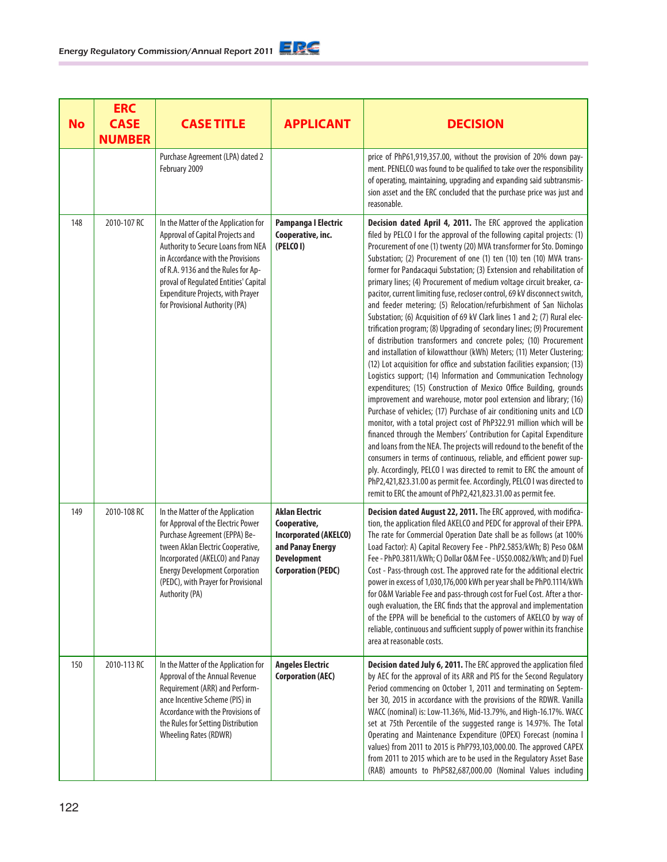| <b>No</b> | <b>ERC</b><br><b>CASE</b><br><b>NUMBER</b> | <b>CASE TITLE</b>                                                                                                                                                                                                                                                                                         | <b>APPLICANT</b>                                                                                                                             | <b>DECISION</b>                                                                                                                                                                                                                                                                                                                                                                                                                                                                                                                                                                                                                                                                                                                                                                                                                                                                                                                                                                                                                                                                                                                                                                                                                                                                                                                                                                                                                                                                                                                                                                                                                                                                                                                                                                             |
|-----------|--------------------------------------------|-----------------------------------------------------------------------------------------------------------------------------------------------------------------------------------------------------------------------------------------------------------------------------------------------------------|----------------------------------------------------------------------------------------------------------------------------------------------|---------------------------------------------------------------------------------------------------------------------------------------------------------------------------------------------------------------------------------------------------------------------------------------------------------------------------------------------------------------------------------------------------------------------------------------------------------------------------------------------------------------------------------------------------------------------------------------------------------------------------------------------------------------------------------------------------------------------------------------------------------------------------------------------------------------------------------------------------------------------------------------------------------------------------------------------------------------------------------------------------------------------------------------------------------------------------------------------------------------------------------------------------------------------------------------------------------------------------------------------------------------------------------------------------------------------------------------------------------------------------------------------------------------------------------------------------------------------------------------------------------------------------------------------------------------------------------------------------------------------------------------------------------------------------------------------------------------------------------------------------------------------------------------------|
|           |                                            | Purchase Agreement (LPA) dated 2<br>February 2009                                                                                                                                                                                                                                                         |                                                                                                                                              | price of PhP61,919,357.00, without the provision of 20% down pay-<br>ment. PENELCO was found to be qualified to take over the responsibility<br>of operating, maintaining, upgrading and expanding said subtransmis-<br>sion asset and the ERC concluded that the purchase price was just and<br>reasonable.                                                                                                                                                                                                                                                                                                                                                                                                                                                                                                                                                                                                                                                                                                                                                                                                                                                                                                                                                                                                                                                                                                                                                                                                                                                                                                                                                                                                                                                                                |
| 148       | 2010-107 RC                                | In the Matter of the Application for<br>Approval of Capital Projects and<br>Authority to Secure Loans from NEA<br>in Accordance with the Provisions<br>of R.A. 9136 and the Rules for Ap-<br>proval of Regulated Entities' Capital<br>Expenditure Projects, with Prayer<br>for Provisional Authority (PA) | Pampanga I Electric<br>Cooperative, inc.<br>(PELCOI)                                                                                         | Decision dated April 4, 2011. The ERC approved the application<br>filed by PELCO I for the approval of the following capital projects: (1)<br>Procurement of one (1) twenty (20) MVA transformer for Sto. Domingo<br>Substation; (2) Procurement of one (1) ten (10) ten (10) MVA trans-<br>former for Pandacaqui Substation; (3) Extension and rehabilitation of<br>primary lines; (4) Procurement of medium voltage circuit breaker, ca-<br>pacitor, current limiting fuse, recloser control, 69 kV disconnect switch,<br>and feeder metering; (5) Relocation/refurbishment of San Nicholas<br>Substation; (6) Acquisition of 69 kV Clark lines 1 and 2; (7) Rural elec-<br>trification program; (8) Upgrading of secondary lines; (9) Procurement<br>of distribution transformers and concrete poles; (10) Procurement<br>and installation of kilowatthour (kWh) Meters; (11) Meter Clustering;<br>(12) Lot acquisition for office and substation facilities expansion; (13)<br>Logistics support; (14) Information and Communication Technology<br>expenditures; (15) Construction of Mexico Office Building, grounds<br>improvement and warehouse, motor pool extension and library; (16)<br>Purchase of vehicles; (17) Purchase of air conditioning units and LCD<br>monitor, with a total project cost of PhP322.91 million which will be<br>financed through the Members' Contribution for Capital Expenditure<br>and loans from the NEA. The projects will redound to the benefit of the<br>consumers in terms of continuous, reliable, and efficient power sup-<br>ply. Accordingly, PELCO I was directed to remit to ERC the amount of<br>PhP2,421,823.31.00 as permit fee. Accordingly, PELCO I was directed to<br>remit to ERC the amount of PhP2,421,823.31.00 as permit fee. |
| 149       | 2010-108 RC                                | In the Matter of the Application<br>for Approval of the Electric Power<br>Purchase Agreement (EPPA) Be-<br>tween Aklan Electric Cooperative,<br>Incorporated (AKELCO) and Panay<br><b>Energy Development Corporation</b><br>(PEDC), with Prayer for Provisional<br>Authority (PA)                         | <b>Aklan Electric</b><br>Cooperative,<br><b>Incorporated (AKELCO)</b><br>and Panay Energy<br><b>Development</b><br><b>Corporation (PEDC)</b> | Decision dated August 22, 2011. The ERC approved, with modifica-<br>tion, the application filed AKELCO and PEDC for approval of their EPPA.<br>The rate for Commercial Operation Date shall be as follows (at 100%<br>Load Factor): A) Capital Recovery Fee - PhP2.5853/kWh; B) Peso 0&M<br>Fee - PhP0.3811/kWh; C) Dollar 0&M Fee - US\$0.0082/kWh; and D) Fuel<br>Cost - Pass-through cost. The approved rate for the additional electric<br>power in excess of 1,030,176,000 kWh per year shall be PhP0.1114/kWh<br>for O&M Variable Fee and pass-through cost for Fuel Cost. After a thor-<br>ough evaluation, the ERC finds that the approval and implementation<br>of the EPPA will be beneficial to the customers of AKELCO by way of<br>reliable, continuous and sufficient supply of power within its franchise<br>area at reasonable costs.                                                                                                                                                                                                                                                                                                                                                                                                                                                                                                                                                                                                                                                                                                                                                                                                                                                                                                                                       |
| 150       | 2010-113 RC                                | In the Matter of the Application for<br>Approval of the Annual Revenue<br>Requirement (ARR) and Perform-<br>ance Incentive Scheme (PIS) in<br>Accordance with the Provisions of<br>the Rules for Setting Distribution<br><b>Wheeling Rates (RDWR)</b>                                                     | <b>Angeles Electric</b><br><b>Corporation (AEC)</b>                                                                                          | Decision dated July 6, 2011. The ERC approved the application filed<br>by AEC for the approval of its ARR and PIS for the Second Regulatory<br>Period commencing on October 1, 2011 and terminating on Septem-<br>ber 30, 2015 in accordance with the provisions of the RDWR. Vanilla<br>WACC (nominal) is: Low-11.36%, Mid-13.79%, and High-16.17%. WACC<br>set at 75th Percentile of the suggested range is 14.97%. The Total<br>Operating and Maintenance Expenditure (OPEX) Forecast (nomina I<br>values) from 2011 to 2015 is PhP793,103,000.00. The approved CAPEX<br>from 2011 to 2015 which are to be used in the Regulatory Asset Base<br>(RAB) amounts to PhP582,687,000.00 (Nominal Values including                                                                                                                                                                                                                                                                                                                                                                                                                                                                                                                                                                                                                                                                                                                                                                                                                                                                                                                                                                                                                                                                             |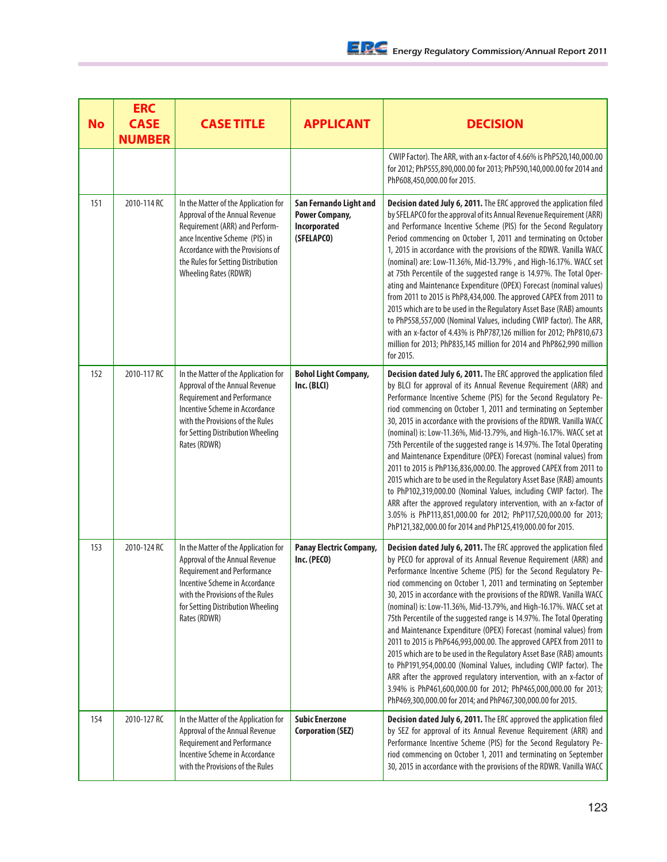| <b>No</b> | <b>ERC</b><br><b>CASE</b><br><b>NUMBER</b> | <b>CASE TITLE</b>                                                                                                                                                                                                                                     | <b>APPLICANT</b>                                                              | <b>DECISION</b>                                                                                                                                                                                                                                                                                                                                                                                                                                                                                                                                                                                                                                                                                                                                                                                                                                                                                                                                                                                         |
|-----------|--------------------------------------------|-------------------------------------------------------------------------------------------------------------------------------------------------------------------------------------------------------------------------------------------------------|-------------------------------------------------------------------------------|---------------------------------------------------------------------------------------------------------------------------------------------------------------------------------------------------------------------------------------------------------------------------------------------------------------------------------------------------------------------------------------------------------------------------------------------------------------------------------------------------------------------------------------------------------------------------------------------------------------------------------------------------------------------------------------------------------------------------------------------------------------------------------------------------------------------------------------------------------------------------------------------------------------------------------------------------------------------------------------------------------|
|           |                                            |                                                                                                                                                                                                                                                       |                                                                               | CWIP Factor). The ARR, with an x-factor of 4.66% is PhP520,140,000.00<br>for 2012; PhP555,890,000.00 for 2013; PhP590,140,000.00 for 2014 and<br>PhP608,450,000.00 for 2015.                                                                                                                                                                                                                                                                                                                                                                                                                                                                                                                                                                                                                                                                                                                                                                                                                            |
| 151       | 2010-114 RC                                | In the Matter of the Application for<br>Approval of the Annual Revenue<br>Requirement (ARR) and Perform-<br>ance Incentive Scheme (PIS) in<br>Accordance with the Provisions of<br>the Rules for Setting Distribution<br><b>Wheeling Rates (RDWR)</b> | San Fernando Light and<br><b>Power Company,</b><br>Incorporated<br>(SFELAPCO) | Decision dated July 6, 2011. The ERC approved the application filed<br>by SFELAPCO for the approval of its Annual Revenue Requirement (ARR)<br>and Performance Incentive Scheme (PIS) for the Second Regulatory<br>Period commencing on October 1, 2011 and terminating on October<br>1, 2015 in accordance with the provisions of the RDWR. Vanilla WACC<br>(nominal) are: Low-11.36%, Mid-13.79%, and High-16.17%. WACC set<br>at 75th Percentile of the suggested range is 14.97%. The Total Oper-<br>ating and Maintenance Expenditure (OPEX) Forecast (nominal values)<br>from 2011 to 2015 is PhP8,434,000. The approved CAPEX from 2011 to<br>2015 which are to be used in the Regulatory Asset Base (RAB) amounts<br>to PhP558,557,000 (Nominal Values, including CWIP factor). The ARR,<br>with an x-factor of 4.43% is PhP787,126 million for 2012; PhP810,673<br>million for 2013; PhP835,145 million for 2014 and PhP862,990 million<br>for 2015.                                           |
| 152       | 2010-117 RC                                | In the Matter of the Application for<br>Approval of the Annual Revenue<br><b>Requirement and Performance</b><br>Incentive Scheme in Accordance<br>with the Provisions of the Rules<br>for Setting Distribution Wheeling<br>Rates (RDWR)               | <b>Bohol Light Company,</b><br>Inc. (BLCI)                                    | Decision dated July 6, 2011. The ERC approved the application filed<br>by BLCI for approval of its Annual Revenue Requirement (ARR) and<br>Performance Incentive Scheme (PIS) for the Second Regulatory Pe-<br>riod commencing on October 1, 2011 and terminating on September<br>30, 2015 in accordance with the provisions of the RDWR. Vanilla WACC<br>(nominal) is: Low-11.36%, Mid-13.79%, and High-16.17%. WACC set at<br>75th Percentile of the suggested range is 14.97%. The Total Operating<br>and Maintenance Expenditure (OPEX) Forecast (nominal values) from<br>2011 to 2015 is PhP136,836,000.00. The approved CAPEX from 2011 to<br>2015 which are to be used in the Regulatory Asset Base (RAB) amounts<br>to PhP102,319,000.00 (Nominal Values, including CWIP factor). The<br>ARR after the approved regulatory intervention, with an x-factor of<br>3.05% is PhP113,851,000.00 for 2012; PhP117,520,000.00 for 2013;<br>PhP121,382,000.00 for 2014 and PhP125,419,000.00 for 2015.  |
| 153       | 2010-124 RC                                | In the Matter of the Application for<br>Approval of the Annual Revenue<br><b>Requirement and Performance</b><br>Incentive Scheme in Accordance<br>with the Provisions of the Rules<br>for Setting Distribution Wheeling<br>Rates (RDWR)               | <b>Panay Electric Company,</b><br>Inc. (PECO)                                 | Decision dated July 6, 2011. The ERC approved the application filed<br>by PECO for approval of its Annual Revenue Requirement (ARR) and<br>Performance Incentive Scheme (PIS) for the Second Regulatory Pe-<br>riod commencing on October 1, 2011 and terminating on September<br>30, 2015 in accordance with the provisions of the RDWR. Vanilla WACC<br>(nominal) is: Low-11.36%, Mid-13.79%, and High-16.17%. WACC set at<br>75th Percentile of the suggested range is 14.97%. The Total Operating<br>and Maintenance Expenditure (OPEX) Forecast (nominal values) from<br>2011 to 2015 is PhP646,993,000.00. The approved CAPEX from 2011 to<br>2015 which are to be used in the Regulatory Asset Base (RAB) amounts<br>to PhP191,954,000.00 (Nominal Values, including CWIP factor). The<br>ARR after the approved regulatory intervention, with an x-factor of<br>3.94% is PhP461,600,000.00 for 2012; PhP465,000,000.00 for 2013;<br>PhP469,300,000.00 for 2014; and PhP467,300,000.00 for 2015. |
| 154       | 2010-127 RC                                | In the Matter of the Application for<br>Approval of the Annual Revenue<br><b>Requirement and Performance</b><br>Incentive Scheme in Accordance<br>with the Provisions of the Rules                                                                    | <b>Subic Enerzone</b><br><b>Corporation (SEZ)</b>                             | Decision dated July 6, 2011. The ERC approved the application filed<br>by SEZ for approval of its Annual Revenue Requirement (ARR) and<br>Performance Incentive Scheme (PIS) for the Second Regulatory Pe-<br>riod commencing on October 1, 2011 and terminating on September<br>30, 2015 in accordance with the provisions of the RDWR. Vanilla WACC                                                                                                                                                                                                                                                                                                                                                                                                                                                                                                                                                                                                                                                   |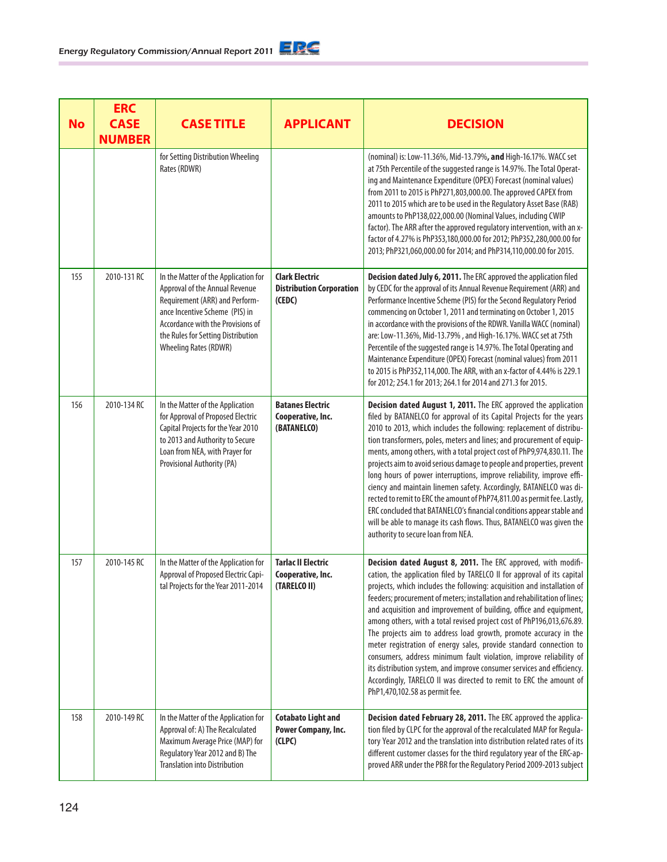| <b>No</b> | <b>ERC</b><br><b>CASE</b><br><b>NUMBER</b> | <b>CASE TITLE</b>                                                                                                                                                                                                                                     | <b>APPLICANT</b>                                                   | <b>DECISION</b>                                                                                                                                                                                                                                                                                                                                                                                                                                                                                                                                                                                                                                                                                                                                                                                                                                                 |
|-----------|--------------------------------------------|-------------------------------------------------------------------------------------------------------------------------------------------------------------------------------------------------------------------------------------------------------|--------------------------------------------------------------------|-----------------------------------------------------------------------------------------------------------------------------------------------------------------------------------------------------------------------------------------------------------------------------------------------------------------------------------------------------------------------------------------------------------------------------------------------------------------------------------------------------------------------------------------------------------------------------------------------------------------------------------------------------------------------------------------------------------------------------------------------------------------------------------------------------------------------------------------------------------------|
|           |                                            | for Setting Distribution Wheeling<br>Rates (RDWR)                                                                                                                                                                                                     |                                                                    | (nominal) is: Low-11.36%, Mid-13.79%, and High-16.17%. WACC set<br>at 75th Percentile of the suggested range is 14.97%. The Total Operat-<br>ing and Maintenance Expenditure (OPEX) Forecast (nominal values)<br>from 2011 to 2015 is PhP271,803,000.00. The approved CAPEX from<br>2011 to 2015 which are to be used in the Regulatory Asset Base (RAB)<br>amounts to PhP138,022,000.00 (Nominal Values, including CWIP<br>factor). The ARR after the approved regulatory intervention, with an x-<br>factor of 4.27% is PhP353,180,000.00 for 2012; PhP352,280,000.00 for<br>2013; PhP321,060,000.00 for 2014; and PhP314,110,000.00 for 2015.                                                                                                                                                                                                                |
| 155       | 2010-131 RC                                | In the Matter of the Application for<br>Approval of the Annual Revenue<br>Requirement (ARR) and Perform-<br>ance Incentive Scheme (PIS) in<br>Accordance with the Provisions of<br>the Rules for Setting Distribution<br><b>Wheeling Rates (RDWR)</b> | <b>Clark Electric</b><br><b>Distribution Corporation</b><br>(CEDC) | Decision dated July 6, 2011. The ERC approved the application filed<br>by CEDC for the approval of its Annual Revenue Requirement (ARR) and<br>Performance Incentive Scheme (PIS) for the Second Regulatory Period<br>commencing on October 1, 2011 and terminating on October 1, 2015<br>in accordance with the provisions of the RDWR. Vanilla WACC (nominal)<br>are: Low-11.36%, Mid-13.79%, and High-16.17%. WACC set at 75th<br>Percentile of the suggested range is 14.97%. The Total Operating and<br>Maintenance Expenditure (OPEX) Forecast (nominal values) from 2011<br>to 2015 is PhP352,114,000. The ARR, with an x-factor of 4.44% is 229.1<br>for 2012; 254.1 for 2013; 264.1 for 2014 and 271.3 for 2015.                                                                                                                                       |
| 156       | 2010-134 RC                                | In the Matter of the Application<br>for Approval of Proposed Electric<br>Capital Projects for the Year 2010<br>to 2013 and Authority to Secure<br>Loan from NEA, with Prayer for<br>Provisional Authority (PA)                                        | <b>Batanes Electric</b><br>Cooperative, Inc.<br>(BATANELCO)        | Decision dated August 1, 2011. The ERC approved the application<br>filed by BATANELCO for approval of its Capital Projects for the years<br>2010 to 2013, which includes the following: replacement of distribu-<br>tion transformers, poles, meters and lines; and procurement of equip-<br>ments, among others, with a total project cost of PhP9,974,830.11. The<br>projects aim to avoid serious damage to people and properties, prevent<br>long hours of power interruptions, improve reliability, improve effi-<br>ciency and maintain linemen safety. Accordingly, BATANELCO was di-<br>rected to remit to ERC the amount of PhP74,811.00 as permit fee. Lastly,<br>ERC concluded that BATANELCO's financial conditions appear stable and<br>will be able to manage its cash flows. Thus, BATANELCO was given the<br>authority to secure loan from NEA. |
| 157       | 2010-145 RC                                | In the Matter of the Application for<br>Approval of Proposed Electric Capi-<br>tal Projects for the Year 2011-2014                                                                                                                                    | <b>Tarlac II Electric</b><br>Cooperative, Inc.<br>(TARELCO II)     | Decision dated August 8, 2011. The ERC approved, with modifi-<br>cation, the application filed by TARELCO II for approval of its capital<br>projects, which includes the following: acquisition and installation of<br>feeders; procurement of meters; installation and rehabilitation of lines;<br>and acquisition and improvement of building, office and equipment,<br>among others, with a total revised project cost of PhP196,013,676.89.<br>The projects aim to address load growth, promote accuracy in the<br>meter registration of energy sales, provide standard connection to<br>consumers, address minimum fault violation, improve reliability of<br>its distribution system, and improve consumer services and efficiency.<br>Accordingly, TARELCO II was directed to remit to ERC the amount of<br>PhP1,470,102.58 as permit fee.               |
| 158       | 2010-149 RC                                | In the Matter of the Application for<br>Approval of: A) The Recalculated<br>Maximum Average Price (MAP) for<br>Regulatory Year 2012 and B) The<br><b>Translation into Distribution</b>                                                                | <b>Cotabato Light and</b><br>Power Company, Inc.<br>(CLPC)         | Decision dated February 28, 2011. The ERC approved the applica-<br>tion filed by CLPC for the approval of the recalculated MAP for Regula-<br>tory Year 2012 and the translation into distribution related rates of its<br>different customer classes for the third regulatory year of the ERC-ap-<br>proved ARR under the PBR for the Regulatory Period 2009-2013 subject                                                                                                                                                                                                                                                                                                                                                                                                                                                                                      |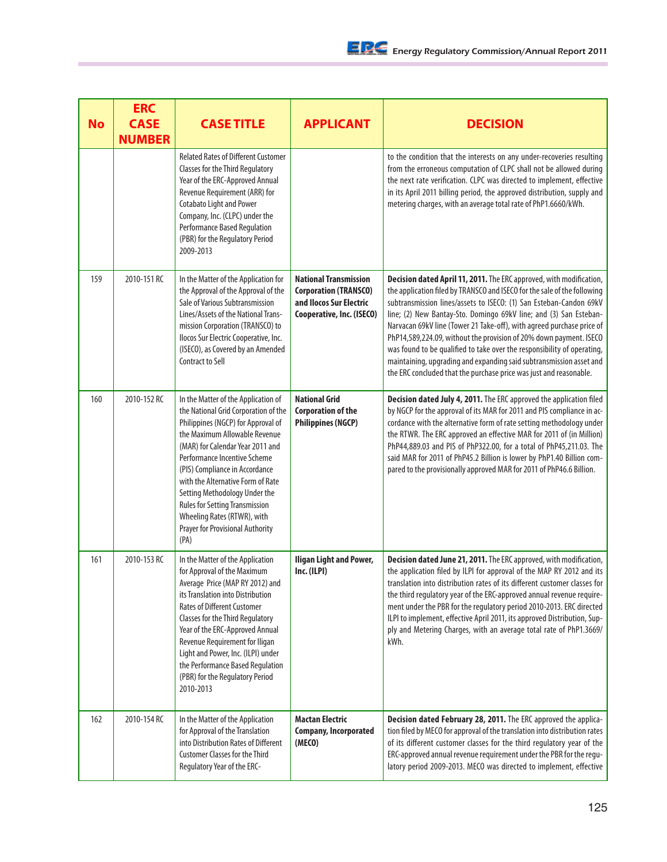| <b>No</b> | <b>ERC</b><br><b>CASE</b><br><b>NUMBER</b> | <b>CASE TITLE</b>                                                                                                                                                                                                                                                                                                                                                                                                                                         | <b>APPLICANT</b>                                                                                                     | <b>DECISION</b>                                                                                                                                                                                                                                                                                                                                                                                                                                                                                                                                                                                                                                                   |
|-----------|--------------------------------------------|-----------------------------------------------------------------------------------------------------------------------------------------------------------------------------------------------------------------------------------------------------------------------------------------------------------------------------------------------------------------------------------------------------------------------------------------------------------|----------------------------------------------------------------------------------------------------------------------|-------------------------------------------------------------------------------------------------------------------------------------------------------------------------------------------------------------------------------------------------------------------------------------------------------------------------------------------------------------------------------------------------------------------------------------------------------------------------------------------------------------------------------------------------------------------------------------------------------------------------------------------------------------------|
|           |                                            | <b>Related Rates of Different Customer</b><br><b>Classes for the Third Regulatory</b><br>Year of the ERC-Approved Annual<br>Revenue Requirement (ARR) for<br>Cotabato Light and Power<br>Company, Inc. (CLPC) under the<br><b>Performance Based Regulation</b><br>(PBR) for the Regulatory Period<br>2009-2013                                                                                                                                            |                                                                                                                      | to the condition that the interests on any under-recoveries resulting<br>from the erroneous computation of CLPC shall not be allowed during<br>the next rate verification. CLPC was directed to implement, effective<br>in its April 2011 billing period, the approved distribution, supply and<br>metering charges, with an average total rate of PhP1.6660/kWh.                                                                                                                                                                                                                                                                                                 |
| 159       | 2010-151 RC                                | In the Matter of the Application for<br>the Approval of the Approval of the<br>Sale of Various Subtransmission<br>Lines/Assets of the National Trans-<br>mission Corporation (TRANSCO) to<br>Ilocos Sur Electric Cooperative, Inc.<br>(ISECO), as Covered by an Amended<br><b>Contract to Sell</b>                                                                                                                                                        | <b>National Transmission</b><br><b>Corporation (TRANSCO)</b><br>and Ilocos Sur Electric<br>Cooperative, Inc. (ISECO) | Decision dated April 11, 2011. The ERC approved, with modification,<br>the application filed by TRANSCO and ISECO for the sale of the following<br>subtransmission lines/assets to ISECO: (1) San Esteban-Candon 69kV<br>line; (2) New Bantay-Sto. Domingo 69kV line; and (3) San Esteban-<br>Narvacan 69kV line (Tower 21 Take-off), with agreed purchase price of<br>PhP14,589,224.09, without the provision of 20% down payment. ISECO<br>was found to be qualified to take over the responsibility of operating,<br>maintaining, upgrading and expanding said subtransmission asset and<br>the ERC concluded that the purchase price was just and reasonable. |
| 160       | 2010-152 RC                                | In the Matter of the Application of<br>the National Grid Corporation of the<br>Philippines (NGCP) for Approval of<br>the Maximum Allowable Revenue<br>(MAR) for Calendar Year 2011 and<br>Performance Incentive Scheme<br>(PIS) Compliance in Accordance<br>with the Alternative Form of Rate<br>Setting Methodology Under the<br><b>Rules for Setting Transmission</b><br>Wheeling Rates (RTWR), with<br><b>Prayer for Provisional Authority</b><br>(PA) | <b>National Grid</b><br><b>Corporation of the</b><br><b>Philippines (NGCP)</b>                                       | Decision dated July 4, 2011. The ERC approved the application filed<br>by NGCP for the approval of its MAR for 2011 and PIS compliance in ac-<br>cordance with the alternative form of rate setting methodology under<br>the RTWR. The ERC approved an effective MAR for 2011 of (in Million)<br>PhP44,889.03 and PIS of PhP322.00, for a total of PhP45,211.03. The<br>said MAR for 2011 of PhP45.2 Billion is lower by PhP1.40 Billion com-<br>pared to the provisionally approved MAR for 2011 of PhP46.6 Billion.                                                                                                                                             |
| 161       | 2010-153 RC                                | In the Matter of the Application<br>for Approval of the Maximum<br>Average Price (MAP RY 2012) and<br>its Translation into Distribution<br><b>Rates of Different Customer</b><br><b>Classes for the Third Regulatory</b><br>Year of the ERC-Approved Annual<br>Revenue Requirement for Iligan<br>Light and Power, Inc. (ILPI) under<br>the Performance Based Regulation<br>(PBR) for the Regulatory Period<br>2010-2013                                   | <b>Iligan Light and Power,</b><br>Inc. (ILPI)                                                                        | Decision dated June 21, 2011. The ERC approved, with modification,<br>the application filed by ILPI for approval of the MAP RY 2012 and its<br>translation into distribution rates of its different customer classes for<br>the third regulatory year of the ERC-approved annual revenue require-<br>ment under the PBR for the regulatory period 2010-2013. ERC directed<br>ILPI to implement, effective April 2011, its approved Distribution, Sup-<br>ply and Metering Charges, with an average total rate of PhP1.3669/<br>kWh.                                                                                                                               |
| 162       | 2010-154 RC                                | In the Matter of the Application<br>for Approval of the Translation<br>into Distribution Rates of Different<br><b>Customer Classes for the Third</b><br>Regulatory Year of the ERC-                                                                                                                                                                                                                                                                       | <b>Mactan Electric</b><br><b>Company, Incorporated</b><br>(MECO)                                                     | Decision dated February 28, 2011. The ERC approved the applica-<br>tion filed by MECO for approval of the translation into distribution rates<br>of its different customer classes for the third regulatory year of the<br>ERC-approved annual revenue requirement under the PBR for the regu-<br>latory period 2009-2013. MECO was directed to implement, effective                                                                                                                                                                                                                                                                                              |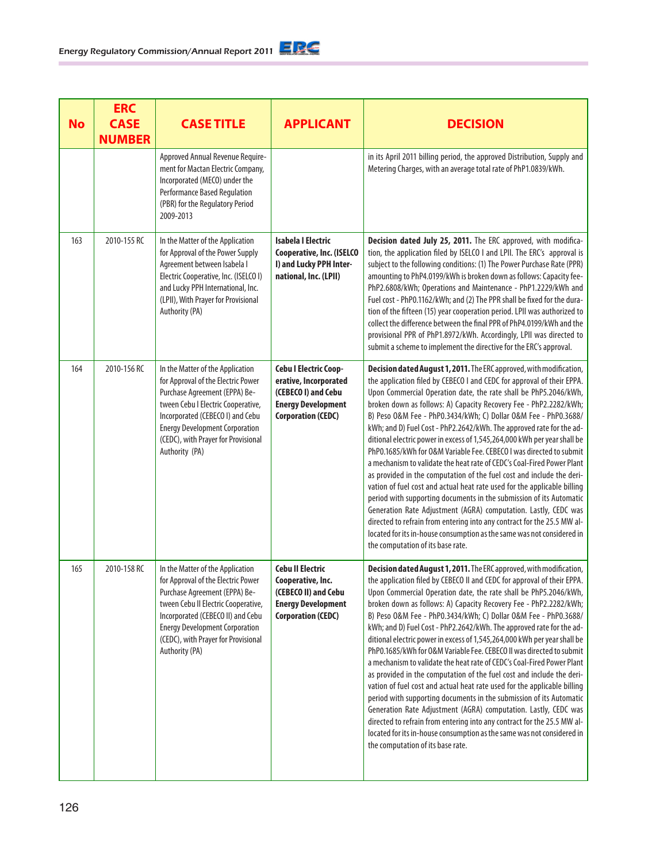| <b>No</b> | <b>ERC</b><br><b>CASE</b><br><b>NUMBER</b> | <b>CASE TITLE</b>                                                                                                                                                                                                                                                                     | <b>APPLICANT</b>                                                                                                                | <b>DECISION</b>                                                                                                                                                                                                                                                                                                                                                                                                                                                                                                                                                                                                                                                                                                                                                                                                                                                                                                                                                                                                                                                                                                                                           |
|-----------|--------------------------------------------|---------------------------------------------------------------------------------------------------------------------------------------------------------------------------------------------------------------------------------------------------------------------------------------|---------------------------------------------------------------------------------------------------------------------------------|-----------------------------------------------------------------------------------------------------------------------------------------------------------------------------------------------------------------------------------------------------------------------------------------------------------------------------------------------------------------------------------------------------------------------------------------------------------------------------------------------------------------------------------------------------------------------------------------------------------------------------------------------------------------------------------------------------------------------------------------------------------------------------------------------------------------------------------------------------------------------------------------------------------------------------------------------------------------------------------------------------------------------------------------------------------------------------------------------------------------------------------------------------------|
|           |                                            | Approved Annual Revenue Require-<br>ment for Mactan Electric Company,<br>Incorporated (MECO) under the<br>Performance Based Regulation<br>(PBR) for the Regulatory Period<br>2009-2013                                                                                                |                                                                                                                                 | in its April 2011 billing period, the approved Distribution, Supply and<br>Metering Charges, with an average total rate of PhP1.0839/kWh.                                                                                                                                                                                                                                                                                                                                                                                                                                                                                                                                                                                                                                                                                                                                                                                                                                                                                                                                                                                                                 |
| 163       | 2010-155 RC                                | In the Matter of the Application<br>for Approval of the Power Supply<br>Agreement between Isabela I<br>Electric Cooperative, Inc. (ISELCO I)<br>and Lucky PPH International, Inc.<br>(LPII), With Prayer for Provisional<br>Authority (PA)                                            | <b>Isabela I Electric</b><br><b>Cooperative, Inc. (ISELCO</b><br>I) and Lucky PPH Inter-<br>national, Inc. (LPII)               | Decision dated July 25, 2011. The ERC approved, with modifica-<br>tion, the application filed by ISELCO I and LPII. The ERC's approval is<br>subject to the following conditions: (1) The Power Purchase Rate (PPR)<br>amounting to PhP4.0199/kWh is broken down as follows: Capacity fee-<br>PhP2.6808/kWh; Operations and Maintenance - PhP1.2229/kWh and<br>Fuel cost - PhP0.1162/kWh; and (2) The PPR shall be fixed for the dura-<br>tion of the fifteen (15) year cooperation period. LPII was authorized to<br>collect the difference between the final PPR of PhP4.0199/kWh and the<br>provisional PPR of PhP1.8972/kWh. Accordingly, LPII was directed to<br>submit a scheme to implement the directive for the ERC's approval.                                                                                                                                                                                                                                                                                                                                                                                                                  |
| 164       | 2010-156 RC                                | In the Matter of the Application<br>for Approval of the Electric Power<br>Purchase Agreement (EPPA) Be-<br>tween Cebu I Electric Cooperative,<br>Incorporated (CEBECO I) and Cebu<br><b>Energy Development Corporation</b><br>(CEDC), with Prayer for Provisional<br>Authority (PA)   | Cebu I Electric Coop-<br>erative, Incorporated<br>(CEBECO I) and Cebu<br><b>Energy Development</b><br><b>Corporation (CEDC)</b> | Decision dated August 1, 2011. The ERC approved, with modification,<br>the application filed by CEBECO I and CEDC for approval of their EPPA.<br>Upon Commercial Operation date, the rate shall be PhP5.2046/kWh,<br>broken down as follows: A) Capacity Recovery Fee - PhP2.2282/kWh;<br>B) Peso O&M Fee - PhP0.3434/kWh; C) Dollar O&M Fee - PhP0.3688/<br>kWh; and D) Fuel Cost - PhP2.2642/kWh. The approved rate for the ad-<br>ditional electric power in excess of 1,545,264,000 kWh per year shall be<br>PhP0.1685/kWh for O&M Variable Fee. CEBECO I was directed to submit<br>a mechanism to validate the heat rate of CEDC's Coal-Fired Power Plant<br>as provided in the computation of the fuel cost and include the deri-<br>vation of fuel cost and actual heat rate used for the applicable billing<br>period with supporting documents in the submission of its Automatic<br>Generation Rate Adjustment (AGRA) computation. Lastly, CEDC was<br>directed to refrain from entering into any contract for the 25.5 MW al-<br>located for its in-house consumption as the same was not considered in<br>the computation of its base rate.   |
| 165       | 2010-158 RC                                | In the Matter of the Application<br>for Approval of the Electric Power<br>Purchase Agreement (EPPA) Be-<br>tween Cebu II Electric Cooperative,<br>Incorporated (CEBECO II) and Cebu<br><b>Energy Development Corporation</b><br>(CEDC), with Prayer for Provisional<br>Authority (PA) | <b>Cebu II Electric</b><br>Cooperative, Inc.<br>(CEBECO II) and Cebu<br><b>Energy Development</b><br><b>Corporation (CEDC)</b>  | Decision dated August 1, 2011. The ERC approved, with modification,<br>the application filed by CEBECO II and CEDC for approval of their EPPA.<br>Upon Commercial Operation date, the rate shall be PhP5.2046/kWh,<br>broken down as follows: A) Capacity Recovery Fee - PhP2.2282/kWh;<br>B) Peso O&M Fee - PhP0.3434/kWh; C) Dollar O&M Fee - PhP0.3688/<br>kWh; and D) Fuel Cost - PhP2.2642/kWh. The approved rate for the ad-<br>ditional electric power in excess of 1,545,264,000 kWh per year shall be<br>PhP0.1685/kWh for O&M Variable Fee. CEBECO II was directed to submit<br>a mechanism to validate the heat rate of CEDC's Coal-Fired Power Plant<br>as provided in the computation of the fuel cost and include the deri-<br>vation of fuel cost and actual heat rate used for the applicable billing<br>period with supporting documents in the submission of its Automatic<br>Generation Rate Adjustment (AGRA) computation. Lastly, CEDC was<br>directed to refrain from entering into any contract for the 25.5 MW al-<br>located for its in-house consumption as the same was not considered in<br>the computation of its base rate. |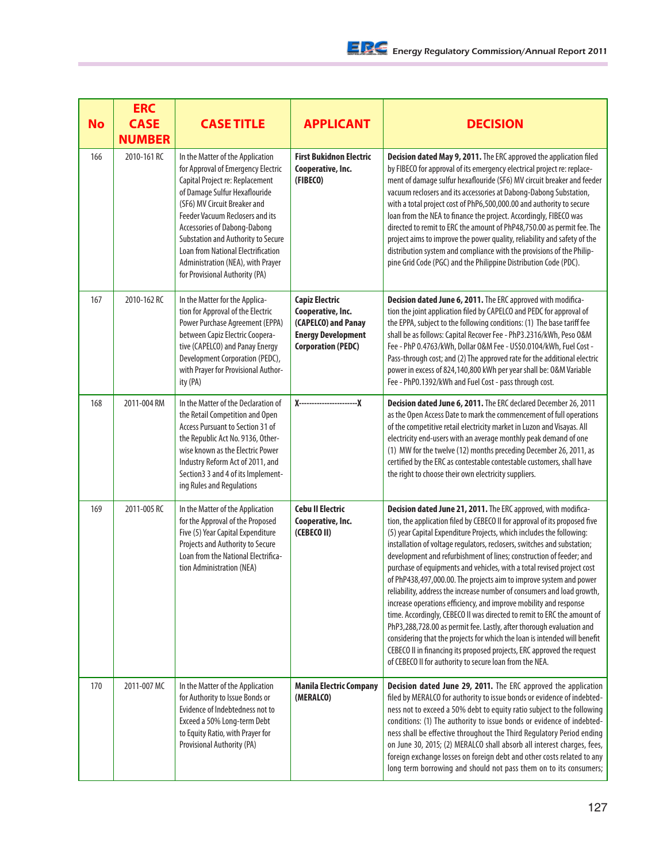| <b>No</b> | <b>ERC</b><br><b>CASE</b><br><b>NUMBER</b> | <b>CASE TITLE</b>                                                                                                                                                                                                                                                                                                                                                                                              | <b>APPLICANT</b>                                                                                                            | <b>DECISION</b>                                                                                                                                                                                                                                                                                                                                                                                                                                                                                                                                                                                                                                                                                                                                                                                                                                                                                                                                                                                                                            |
|-----------|--------------------------------------------|----------------------------------------------------------------------------------------------------------------------------------------------------------------------------------------------------------------------------------------------------------------------------------------------------------------------------------------------------------------------------------------------------------------|-----------------------------------------------------------------------------------------------------------------------------|--------------------------------------------------------------------------------------------------------------------------------------------------------------------------------------------------------------------------------------------------------------------------------------------------------------------------------------------------------------------------------------------------------------------------------------------------------------------------------------------------------------------------------------------------------------------------------------------------------------------------------------------------------------------------------------------------------------------------------------------------------------------------------------------------------------------------------------------------------------------------------------------------------------------------------------------------------------------------------------------------------------------------------------------|
| 166       | 2010-161 RC                                | In the Matter of the Application<br>for Approval of Emergency Electric<br>Capital Project re: Replacement<br>of Damage Sulfur Hexaflouride<br>(SF6) MV Circuit Breaker and<br><b>Feeder Vacuum Reclosers and its</b><br>Accessories of Dabong-Dabong<br>Substation and Authority to Secure<br><b>Loan from National Electrification</b><br>Administration (NEA), with Prayer<br>for Provisional Authority (PA) | <b>First Bukidnon Electric</b><br>Cooperative, Inc.<br>(FIBECO)                                                             | Decision dated May 9, 2011. The ERC approved the application filed<br>by FIBECO for approval of its emergency electrical project re: replace-<br>ment of damage sulfur hexaflouride (SF6) MV circuit breaker and feeder<br>vacuum reclosers and its accessories at Dabong-Dabong Substation,<br>with a total project cost of PhP6,500,000.00 and authority to secure<br>loan from the NEA to finance the project. Accordingly, FIBECO was<br>directed to remit to ERC the amount of PhP48,750.00 as permit fee. The<br>project aims to improve the power quality, reliability and safety of the<br>distribution system and compliance with the provisions of the Philip-<br>pine Grid Code (PGC) and the Philippine Distribution Code (PDC).                                                                                                                                                                                                                                                                                               |
| 167       | 2010-162 RC                                | In the Matter for the Applica-<br>tion for Approval of the Electric<br>Power Purchase Agreement (EPPA)<br>between Capiz Electric Coopera-<br>tive (CAPELCO) and Panay Energy<br>Development Corporation (PEDC),<br>with Prayer for Provisional Author-<br>ity (PA)                                                                                                                                             | <b>Capiz Electric</b><br>Cooperative, Inc.<br>(CAPELCO) and Panay<br><b>Energy Development</b><br><b>Corporation (PEDC)</b> | Decision dated June 6, 2011. The ERC approved with modifica-<br>tion the joint application filed by CAPELCO and PEDC for approval of<br>the EPPA, subject to the following conditions: (1) The base tariff fee<br>shall be as follows: Capital Recover Fee - PhP3.2316/kWh, Peso 0&M<br>Fee - PhP 0.4763/kWh, Dollar 0&M Fee - US\$0.0104/kWh, Fuel Cost -<br>Pass-through cost; and (2) The approved rate for the additional electric<br>power in excess of 824,140,800 kWh per year shall be: 0&M Variable<br>Fee - PhP0.1392/kWh and Fuel Cost - pass through cost.                                                                                                                                                                                                                                                                                                                                                                                                                                                                     |
| 168       | 2011-004 RM                                | In the Matter of the Declaration of<br>the Retail Competition and Open<br>Access Pursuant to Section 31 of<br>the Republic Act No. 9136, Other-<br>wise known as the Electric Power<br>Industry Reform Act of 2011, and<br>Section3 3 and 4 of its Implement-<br>ing Rules and Regulations                                                                                                                     | X----------------------------- X                                                                                            | Decision dated June 6, 2011. The ERC declared December 26, 2011<br>as the Open Access Date to mark the commencement of full operations<br>of the competitive retail electricity market in Luzon and Visayas. All<br>electricity end-users with an average monthly peak demand of one<br>(1) MW for the twelve (12) months preceding December 26, 2011, as<br>certified by the ERC as contestable contestable customers, shall have<br>the right to choose their own electricity suppliers.                                                                                                                                                                                                                                                                                                                                                                                                                                                                                                                                                 |
| 169       | 2011-005 RC                                | In the Matter of the Application<br>for the Approval of the Proposed<br>Five (5) Year Capital Expenditure<br>Projects and Authority to Secure<br>Loan from the National Electrifica-<br>tion Administration (NEA)                                                                                                                                                                                              | <b>Cebu II Electric</b><br>Cooperative, Inc.<br>(CEBECO II)                                                                 | Decision dated June 21, 2011. The ERC approved, with modifica-<br>tion, the application filed by CEBECO II for approval of its proposed five<br>(5) year Capital Expenditure Projects, which includes the following:<br>installation of voltage regulators, reclosers, switches and substation;<br>development and refurbishment of lines; construction of feeder; and<br>purchase of equipments and vehicles, with a total revised project cost<br>of PhP438,497,000.00. The projects aim to improve system and power<br>reliability, address the increase number of consumers and load growth,<br>increase operations efficiency, and improve mobility and response<br>time. Accordingly, CEBECO II was directed to remit to ERC the amount of<br>PhP3,288,728.00 as permit fee. Lastly, after thorough evaluation and<br>considering that the projects for which the loan is intended will benefit<br>CEBECO II in financing its proposed projects, ERC approved the request<br>of CEBECO II for authority to secure loan from the NEA. |
| 170       | 2011-007 MC                                | In the Matter of the Application<br>for Authority to Issue Bonds or<br>Evidence of Indebtedness not to<br>Exceed a 50% Long-term Debt<br>to Equity Ratio, with Prayer for<br>Provisional Authority (PA)                                                                                                                                                                                                        | <b>Manila Electric Company</b><br>(MERALCO)                                                                                 | Decision dated June 29, 2011. The ERC approved the application<br>filed by MERALCO for authority to issue bonds or evidence of indebted-<br>ness not to exceed a 50% debt to equity ratio subject to the following<br>conditions: (1) The authority to issue bonds or evidence of indebted-<br>ness shall be effective throughout the Third Regulatory Period ending<br>on June 30, 2015; (2) MERALCO shall absorb all interest charges, fees,<br>foreign exchange losses on foreign debt and other costs related to any<br>long term borrowing and should not pass them on to its consumers;                                                                                                                                                                                                                                                                                                                                                                                                                                              |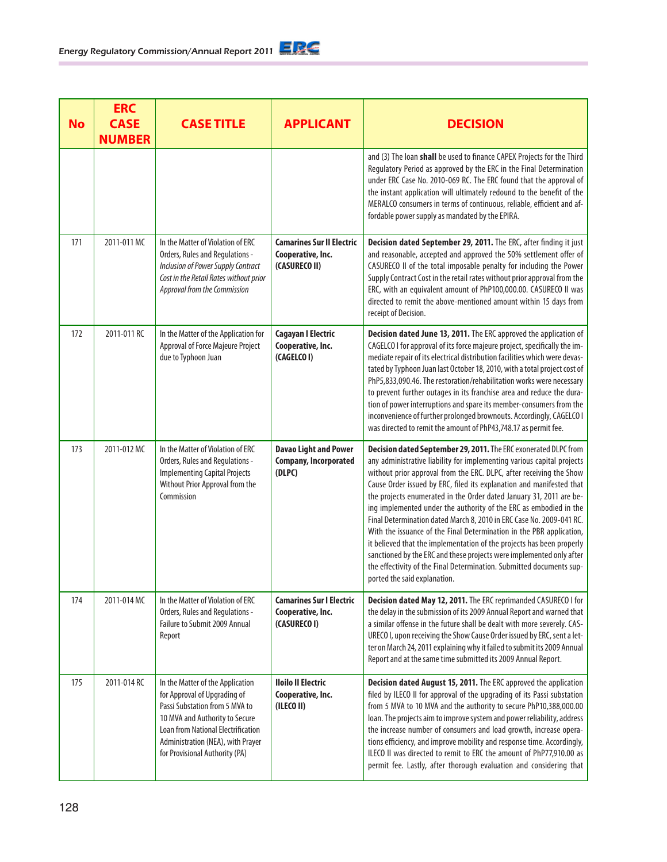| <b>No</b> | <b>ERC</b><br><b>CASE</b><br><b>NUMBER</b> | <b>CASE TITLE</b>                                                                                                                                                                                                                                 | <b>APPLICANT</b>                                                       | <b>DECISION</b>                                                                                                                                                                                                                                                                                                                                                                                                                                                                                                                                                                                                                                                                                                                                                                                                                               |
|-----------|--------------------------------------------|---------------------------------------------------------------------------------------------------------------------------------------------------------------------------------------------------------------------------------------------------|------------------------------------------------------------------------|-----------------------------------------------------------------------------------------------------------------------------------------------------------------------------------------------------------------------------------------------------------------------------------------------------------------------------------------------------------------------------------------------------------------------------------------------------------------------------------------------------------------------------------------------------------------------------------------------------------------------------------------------------------------------------------------------------------------------------------------------------------------------------------------------------------------------------------------------|
|           |                                            |                                                                                                                                                                                                                                                   |                                                                        | and (3) The loan shall be used to finance CAPEX Projects for the Third<br>Regulatory Period as approved by the ERC in the Final Determination<br>under ERC Case No. 2010-069 RC. The ERC found that the approval of<br>the instant application will ultimately redound to the benefit of the<br>MERALCO consumers in terms of continuous, reliable, efficient and af-<br>fordable power supply as mandated by the EPIRA.                                                                                                                                                                                                                                                                                                                                                                                                                      |
| 171       | 2011-011 MC                                | In the Matter of Violation of ERC<br>Orders, Rules and Regulations -<br>Inclusion of Power Supply Contract<br>Cost in the Retail Rates without prior<br>Approval from the Commission                                                              | <b>Camarines Sur II Electric</b><br>Cooperative, Inc.<br>(CASURECO II) | Decision dated September 29, 2011. The ERC, after finding it just<br>and reasonable, accepted and approved the 50% settlement offer of<br>CASURECO II of the total imposable penalty for including the Power<br>Supply Contract Cost in the retail rates without prior approval from the<br>ERC, with an equivalent amount of PhP100,000.00. CASURECO II was<br>directed to remit the above-mentioned amount within 15 days from<br>receipt of Decision.                                                                                                                                                                                                                                                                                                                                                                                      |
| 172       | 2011-011 RC                                | In the Matter of the Application for<br>Approval of Force Majeure Project<br>due to Typhoon Juan                                                                                                                                                  | <b>Cagayan I Electric</b><br>Cooperative, Inc.<br>(CAGELCO I)          | Decision dated June 13, 2011. The ERC approved the application of<br>CAGELCO I for approval of its force majeure project, specifically the im-<br>mediate repair of its electrical distribution facilities which were devas-<br>tated by Typhoon Juan last October 18, 2010, with a total project cost of<br>PhP5,833,090.46. The restoration/rehabilitation works were necessary<br>to prevent further outages in its franchise area and reduce the dura-<br>tion of power interruptions and spare its member-consumers from the<br>inconvenience of further prolonged brownouts. Accordingly, CAGELCO I<br>was directed to remit the amount of PhP43,748.17 as permit fee.                                                                                                                                                                  |
| 173       | 2011-012 MC                                | In the Matter of Violation of ERC<br>Orders, Rules and Regulations -<br><b>Implementing Capital Projects</b><br>Without Prior Approval from the<br>Commission                                                                                     | <b>Davao Light and Power</b><br><b>Company, Incorporated</b><br>(DLPC) | Decision dated September 29, 2011. The ERC exonerated DLPC from<br>any administrative liability for implementing various capital projects<br>without prior approval from the ERC. DLPC, after receiving the Show<br>Cause Order issued by ERC, filed its explanation and manifested that<br>the projects enumerated in the Order dated January 31, 2011 are be-<br>ing implemented under the authority of the ERC as embodied in the<br>Final Determination dated March 8, 2010 in ERC Case No. 2009-041 RC.<br>With the issuance of the Final Determination in the PBR application,<br>it believed that the implementation of the projects has been properly<br>sanctioned by the ERC and these projects were implemented only after<br>the effectivity of the Final Determination. Submitted documents sup-<br>ported the said explanation. |
| 174       | 2011-014 MC                                | In the Matter of Violation of ERC<br>Orders, Rules and Regulations -<br>Failure to Submit 2009 Annual<br>Report                                                                                                                                   | <b>Camarines Sur I Electric</b><br>Cooperative, Inc.<br>(CASURECO I)   | Decision dated May 12, 2011. The ERC reprimanded CASURECO I for<br>the delay in the submission of its 2009 Annual Report and warned that<br>a similar offense in the future shall be dealt with more severely. CAS-<br>URECO I, upon receiving the Show Cause Order issued by ERC, sent a let-<br>ter on March 24, 2011 explaining why it failed to submit its 2009 Annual<br>Report and at the same time submitted its 2009 Annual Report.                                                                                                                                                                                                                                                                                                                                                                                                   |
| 175       | 2011-014 RC                                | In the Matter of the Application<br>for Approval of Upgrading of<br>Passi Substation from 5 MVA to<br>10 MVA and Authority to Secure<br>Loan from National Electrification<br>Administration (NEA), with Prayer<br>for Provisional Authority (PA) | <b>Iloilo II Electric</b><br>Cooperative, Inc.<br>(ILECO II)           | Decision dated August 15, 2011. The ERC approved the application<br>filed by ILECO II for approval of the upgrading of its Passi substation<br>from 5 MVA to 10 MVA and the authority to secure PhP10,388,000.00<br>loan. The projects aim to improve system and power reliability, address<br>the increase number of consumers and load growth, increase opera-<br>tions efficiency, and improve mobility and response time. Accordingly,<br>ILECO II was directed to remit to ERC the amount of PhP77,910.00 as<br>permit fee. Lastly, after thorough evaluation and considering that                                                                                                                                                                                                                                                       |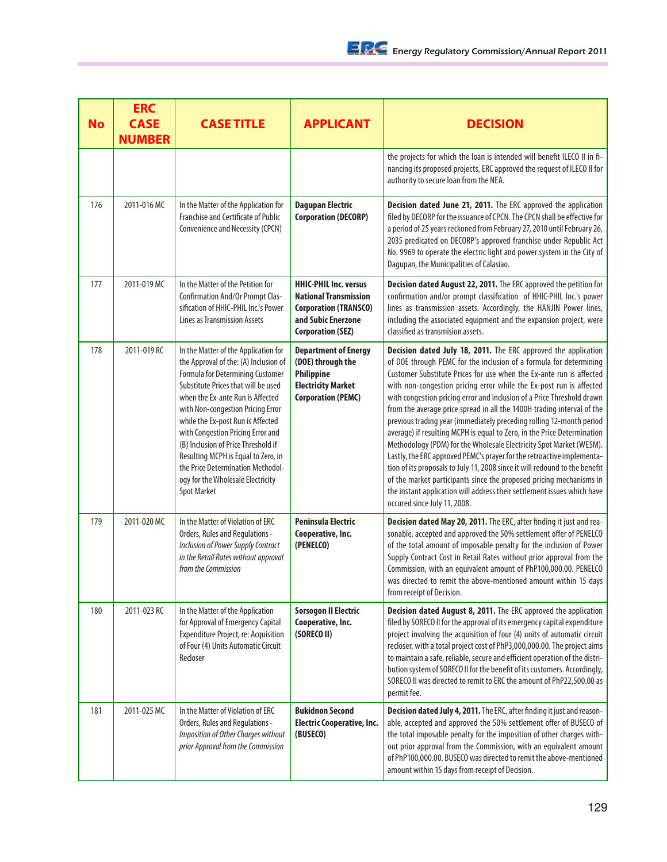| <b>No</b> | <b>ERC</b><br><b>CASE</b><br><b>NUMBER</b> | <b>CASE TITLE</b>                                                                                                                                                                                                                                                                                                                                                                                                                                                                         | <b>APPLICANT</b>                                                                                                                               | <b>DECISION</b>                                                                                                                                                                                                                                                                                                                                                                                                                                                                                                                                                                                                                                                                                                                                                                                                                                                                                                                                                                                             |
|-----------|--------------------------------------------|-------------------------------------------------------------------------------------------------------------------------------------------------------------------------------------------------------------------------------------------------------------------------------------------------------------------------------------------------------------------------------------------------------------------------------------------------------------------------------------------|------------------------------------------------------------------------------------------------------------------------------------------------|-------------------------------------------------------------------------------------------------------------------------------------------------------------------------------------------------------------------------------------------------------------------------------------------------------------------------------------------------------------------------------------------------------------------------------------------------------------------------------------------------------------------------------------------------------------------------------------------------------------------------------------------------------------------------------------------------------------------------------------------------------------------------------------------------------------------------------------------------------------------------------------------------------------------------------------------------------------------------------------------------------------|
|           |                                            |                                                                                                                                                                                                                                                                                                                                                                                                                                                                                           |                                                                                                                                                | the projects for which the loan is intended will benefit ILECO II in fi-<br>nancing its proposed projects, ERC approved the request of ILECO II for<br>authority to secure loan from the NEA.                                                                                                                                                                                                                                                                                                                                                                                                                                                                                                                                                                                                                                                                                                                                                                                                               |
| 176       | 2011-016 MC                                | In the Matter of the Application for<br>Franchise and Certificate of Public<br>Convenience and Necessity (CPCN)                                                                                                                                                                                                                                                                                                                                                                           | <b>Dagupan Electric</b><br><b>Corporation (DECORP)</b>                                                                                         | Decision dated June 21, 2011. The ERC approved the application<br>filed by DECORP for the issuance of CPCN. The CPCN shall be effective for<br>a period of 25 years reckoned from February 27, 2010 until February 26,<br>2035 predicated on DECORP's approved franchise under Republic Act<br>No. 9969 to operate the electric light and power system in the City of<br>Dagupan, the Municipalities of Calasiao.                                                                                                                                                                                                                                                                                                                                                                                                                                                                                                                                                                                           |
| 177       | 2011-019 MC                                | In the Matter of the Petition for<br>Confirmation And/Or Prompt Clas-<br>sification of HHIC-PHIL Inc.'s Power<br><b>Lines as Transmission Assets</b>                                                                                                                                                                                                                                                                                                                                      | <b>HHIC-PHIL Inc. versus</b><br><b>National Transmission</b><br><b>Corporation (TRANSCO)</b><br>and Subic Enerzone<br><b>Corporation (SEZ)</b> | Decision dated August 22, 2011. The ERC approved the petition for<br>confirmation and/or prompt classification of HHIC-PHIL Inc.'s power<br>lines as transmission assets. Accordingly, the HANJIN Power lines,<br>including the associated equipment and the expansion project, were<br>classified as transmision assets.                                                                                                                                                                                                                                                                                                                                                                                                                                                                                                                                                                                                                                                                                   |
| 178       | 2011-019 RC                                | In the Matter of the Application for<br>the Approval of the: (A) Inclusion of<br>Formula for Determining Customer<br>Substitute Prices that will be used<br>when the Ex-ante Run is Affected<br>with Non-congestion Pricing Error<br>while the Ex-post Run is Affected<br>with Congestion Pricing Error and<br>(B) Inclusion of Price Threshold if<br>Resulting MCPH is Equal to Zero, in<br>the Price Determination Methodol-<br>ogy for the Wholesale Electricity<br><b>Spot Market</b> | <b>Department of Energy</b><br>(DOE) through the<br><b>Philippine</b><br><b>Electricity Market</b><br><b>Corporation (PEMC)</b>                | Decision dated July 18, 2011. The ERC approved the application<br>of DOE through PEMC for the inclusion of a formula for determining<br>Customer Substitute Prices for use when the Ex-ante run is affected<br>with non-congestion pricing error while the Ex-post run is affected<br>with congestion pricing error and inclusion of a Price Threshold drawn<br>from the average price spread in all the 1400H trading interval of the<br>previous trading year (immediately preceding rolling 12-month period<br>average) if resulting MCPH is equal to Zero, in the Price Determination<br>Methodology (PDM) for the Wholesale Electricity Spot Market (WESM).<br>Lastly, the ERC approved PEMC's prayer for the retroactive implementa-<br>tion of its proposals to July 11, 2008 since it will redound to the benefit<br>of the market participants since the proposed pricing mechanisms in<br>the instant application will address their settlement issues which have<br>occured since July 11, 2008. |
| 179       | 2011-020 MC                                | In the Matter of Violation of ERC<br>Orders, Rules and Regulations -<br>Inclusion of Power Supply Contract<br>in the Retail Rates without approval<br>from the Commission                                                                                                                                                                                                                                                                                                                 | <b>Peninsula Electric</b><br>Cooperative, Inc.<br>(PENELCO)                                                                                    | Decision dated May 20, 2011. The ERC, after finding it just and rea-<br>sonable, accepted and approved the 50% settlement offer of PENELCO<br>of the total amount of imposable penalty for the inclusion of Power<br>Supply Contract Cost in Retail Rates without prior approval from the<br>Commission, with an equivalent amount of PhP100,000.00. PENELCO<br>was directed to remit the above-mentioned amount within 15 days<br>from receipt of Decision.                                                                                                                                                                                                                                                                                                                                                                                                                                                                                                                                                |
| 180       | 2011-023 RC                                | In the Matter of the Application<br>for Approval of Emergency Capital<br>Expenditure Project, re: Acquisition<br>of Four (4) Units Automatic Circuit<br>Recloser                                                                                                                                                                                                                                                                                                                          | <b>Sorsogon II Electric</b><br>Cooperative, Inc.<br>(SORECO II)                                                                                | Decision dated August 8, 2011. The ERC approved the application<br>filed by SORECO II for the approval of its emergency capital expenditure<br>project involving the acquisition of four (4) units of automatic circuit<br>recloser, with a total project cost of PhP3,000,000.00. The project aims<br>to maintain a safe, reliable, secure and efficient operation of the distri-<br>bution system of SORECO II for the benefit of its customers. Accordingly,<br>SORECO II was directed to remit to ERC the amount of PhP22,500.00 as<br>permit fee.                                                                                                                                                                                                                                                                                                                                                                                                                                                      |
| 181       | 2011-025 MC                                | In the Matter of Violation of ERC<br>Orders, Rules and Regulations -<br>Imposition of Other Charges without<br>prior Approval from the Commission                                                                                                                                                                                                                                                                                                                                         | <b>Bukidnon Second</b><br><b>Electric Cooperative, Inc.</b><br>(BUSECO)                                                                        | Decision dated July 4, 2011. The ERC, after finding it just and reason-<br>able, accepted and approved the 50% settlement offer of BUSECO of<br>the total imposable penalty for the imposition of other charges with-<br>out prior approval from the Commission, with an equivalent amount<br>of PhP100,000.00. BUSECO was directed to remit the above-mentioned<br>amount within 15 days from receipt of Decision.                                                                                                                                                                                                                                                                                                                                                                                                                                                                                                                                                                                         |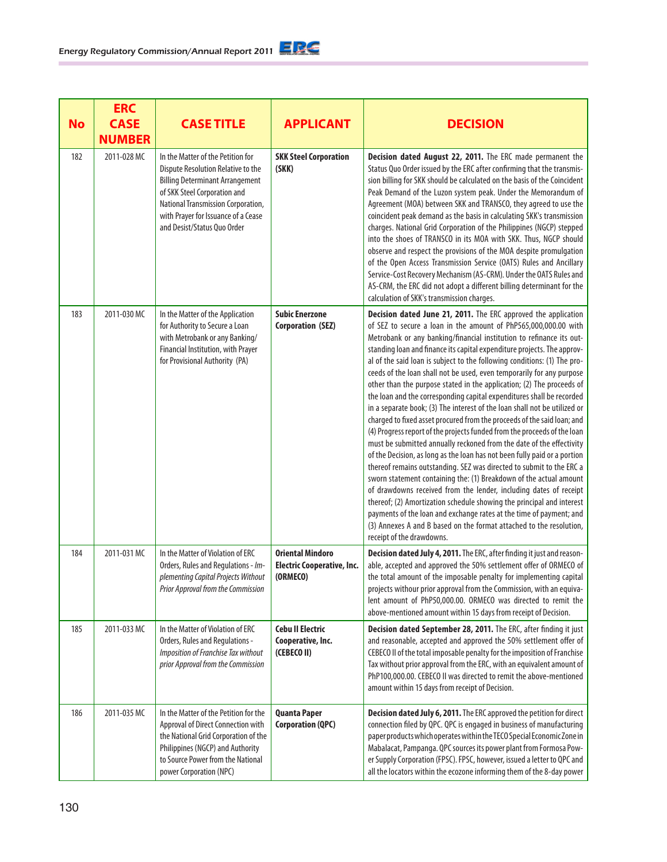|           | <b>ERC</b>                   |                                                                                                                                                                                                                                                               |                                                                          |                                                                                                                                                                                                                                                                                                                                                                                                                                                                                                                                                                                                                                                                                                                                                                                                                                                                                                                                                                                                                                                                                                                                                                                                                                                                                                                                                                                                                                                             |
|-----------|------------------------------|---------------------------------------------------------------------------------------------------------------------------------------------------------------------------------------------------------------------------------------------------------------|--------------------------------------------------------------------------|-------------------------------------------------------------------------------------------------------------------------------------------------------------------------------------------------------------------------------------------------------------------------------------------------------------------------------------------------------------------------------------------------------------------------------------------------------------------------------------------------------------------------------------------------------------------------------------------------------------------------------------------------------------------------------------------------------------------------------------------------------------------------------------------------------------------------------------------------------------------------------------------------------------------------------------------------------------------------------------------------------------------------------------------------------------------------------------------------------------------------------------------------------------------------------------------------------------------------------------------------------------------------------------------------------------------------------------------------------------------------------------------------------------------------------------------------------------|
| <b>No</b> | <b>CASE</b><br><b>NUMBER</b> | <b>CASE TITLE</b>                                                                                                                                                                                                                                             | <b>APPLICANT</b>                                                         | <b>DECISION</b>                                                                                                                                                                                                                                                                                                                                                                                                                                                                                                                                                                                                                                                                                                                                                                                                                                                                                                                                                                                                                                                                                                                                                                                                                                                                                                                                                                                                                                             |
| 182       | 2011-028 MC                  | In the Matter of the Petition for<br>Dispute Resolution Relative to the<br><b>Billing Determinant Arrangement</b><br>of SKK Steel Corporation and<br>National Transmission Corporation,<br>with Prayer for Issuance of a Cease<br>and Desist/Status Quo Order | <b>SKK Steel Corporation</b><br>(SKK)                                    | Decision dated August 22, 2011. The ERC made permanent the<br>Status Quo Order issued by the ERC after confirming that the transmis-<br>sion billing for SKK should be calculated on the basis of the Coincident<br>Peak Demand of the Luzon system peak. Under the Memorandum of<br>Agreement (MOA) between SKK and TRANSCO, they agreed to use the<br>coincident peak demand as the basis in calculating SKK's transmission<br>charges. National Grid Corporation of the Philippines (NGCP) stepped<br>into the shoes of TRANSCO in its MOA with SKK. Thus, NGCP should<br>observe and respect the provisions of the MOA despite promulgation<br>of the Open Access Transmission Service (OATS) Rules and Ancillary<br>Service-Cost Recovery Mechanism (AS-CRM). Under the OATS Rules and<br>AS-CRM, the ERC did not adopt a different billing determinant for the<br>calculation of SKK's transmission charges.                                                                                                                                                                                                                                                                                                                                                                                                                                                                                                                                          |
| 183       | 2011-030 MC                  | In the Matter of the Application<br>for Authority to Secure a Loan<br>with Metrobank or any Banking/<br>Financial Institution, with Prayer<br>for Provisional Authority (PA)                                                                                  | <b>Subic Enerzone</b><br><b>Corporation (SEZ)</b>                        | Decision dated June 21, 2011. The ERC approved the application<br>of SEZ to secure a loan in the amount of PhP565,000,000.00 with<br>Metrobank or any banking/financial institution to refinance its out-<br>standing loan and finance its capital expenditure projects. The approv-<br>al of the said loan is subject to the following conditions: (1) The pro-<br>ceeds of the loan shall not be used, even temporarily for any purpose<br>other than the purpose stated in the application; (2) The proceeds of<br>the loan and the corresponding capital expenditures shall be recorded<br>in a separate book; (3) The interest of the loan shall not be utilized or<br>charged to fixed asset procured from the proceeds of the said loan; and<br>(4) Progress report of the projects funded from the proceeds of the loan<br>must be submitted annually reckoned from the date of the effectivity<br>of the Decision, as long as the loan has not been fully paid or a portion<br>thereof remains outstanding. SEZ was directed to submit to the ERC a<br>sworn statement containing the: (1) Breakdown of the actual amount<br>of drawdowns received from the lender, including dates of receipt<br>thereof; (2) Amortization schedule showing the principal and interest<br>payments of the loan and exchange rates at the time of payment; and<br>(3) Annexes A and B based on the format attached to the resolution,<br>receipt of the drawdowns. |
| 184       | 2011-031 MC                  | In the Matter of Violation of ERC<br>Orders, Rules and Regulations - Im-<br>plementing Capital Projects Without<br>Prior Approval from the Commission                                                                                                         | <b>Oriental Mindoro</b><br><b>Electric Cooperative, Inc.</b><br>(ORMECO) | Decision dated July 4, 2011. The ERC, after finding it just and reason-<br>able, accepted and approved the 50% settlement offer of ORMECO of<br>the total amount of the imposable penalty for implementing capital<br>projects withour prior approval from the Commission, with an equiva-<br>lent amount of PhP50,000.00. ORMECO was directed to remit the<br>above-mentioned amount within 15 days from receipt of Decision.                                                                                                                                                                                                                                                                                                                                                                                                                                                                                                                                                                                                                                                                                                                                                                                                                                                                                                                                                                                                                              |
| 185       | 2011-033 MC                  | In the Matter of Violation of ERC<br>Orders, Rules and Regulations -<br>Imposition of Franchise Tax without<br>prior Approval from the Commission                                                                                                             | <b>Cebu II Electric</b><br>Cooperative, Inc.<br>(CEBECO II)              | Decision dated September 28, 2011. The ERC, after finding it just<br>and reasonable, accepted and approved the 50% settlement offer of<br>CEBECO II of the total imposable penalty for the imposition of Franchise<br>Tax without prior approval from the ERC, with an equivalent amount of<br>PhP100,000.00. CEBECO II was directed to remit the above-mentioned<br>amount within 15 days from receipt of Decision.                                                                                                                                                                                                                                                                                                                                                                                                                                                                                                                                                                                                                                                                                                                                                                                                                                                                                                                                                                                                                                        |
| 186       | 2011-035 MC                  | In the Matter of the Petition for the<br>Approval of Direct Connection with<br>the National Grid Corporation of the<br>Philippines (NGCP) and Authority<br>to Source Power from the National<br>power Corporation (NPC)                                       | <b>Quanta Paper</b><br><b>Corporation (QPC)</b>                          | Decision dated July 6, 2011. The ERC approved the petition for direct<br>connection filed by QPC. QPC is engaged in business of manufacturing<br>paper products which operates within the TECO Special Economic Zone in<br>Mabalacat, Pampanga. QPC sources its power plant from Formosa Pow-<br>er Supply Corporation (FPSC). FPSC, however, issued a letter to QPC and<br>all the locators within the ecozone informing them of the 8-day power                                                                                                                                                                                                                                                                                                                                                                                                                                                                                                                                                                                                                                                                                                                                                                                                                                                                                                                                                                                                           |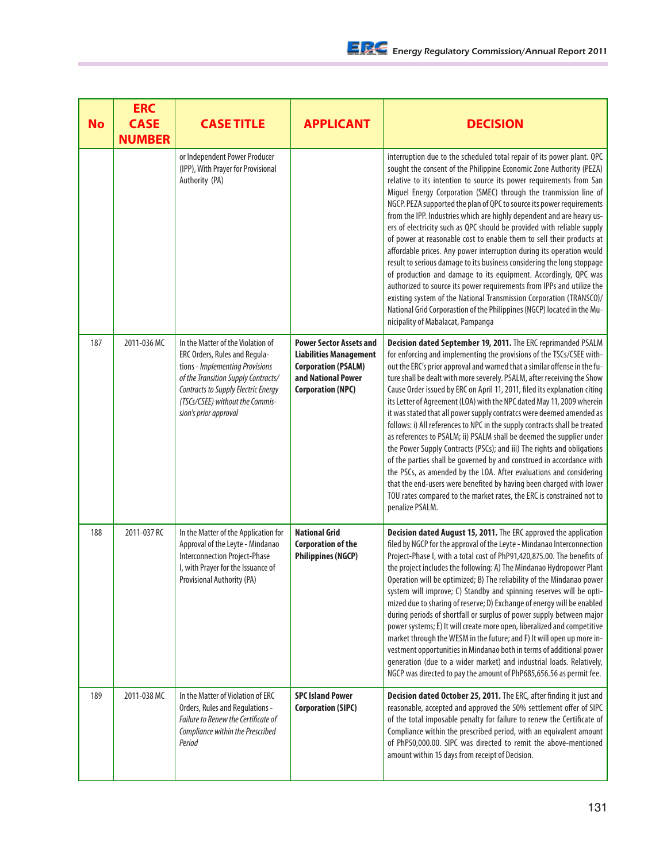| <b>No</b> | <b>ERC</b><br><b>CASE</b><br><b>NUMBER</b> | <b>CASE TITLE</b>                                                                                                                                                                                                                               | <b>APPLICANT</b>                                                                                                                                | <b>DECISION</b>                                                                                                                                                                                                                                                                                                                                                                                                                                                                                                                                                                                                                                                                                                                                                                                                                                                                                                                                                                                                                                                                   |
|-----------|--------------------------------------------|-------------------------------------------------------------------------------------------------------------------------------------------------------------------------------------------------------------------------------------------------|-------------------------------------------------------------------------------------------------------------------------------------------------|-----------------------------------------------------------------------------------------------------------------------------------------------------------------------------------------------------------------------------------------------------------------------------------------------------------------------------------------------------------------------------------------------------------------------------------------------------------------------------------------------------------------------------------------------------------------------------------------------------------------------------------------------------------------------------------------------------------------------------------------------------------------------------------------------------------------------------------------------------------------------------------------------------------------------------------------------------------------------------------------------------------------------------------------------------------------------------------|
|           |                                            | or Independent Power Producer<br>(IPP), With Prayer for Provisional<br>Authority (PA)                                                                                                                                                           |                                                                                                                                                 | interruption due to the scheduled total repair of its power plant. QPC<br>sought the consent of the Philippine Economic Zone Authority (PEZA)<br>relative to its intention to source its power requirements from San<br>Miguel Energy Corporation (SMEC) through the tranmission line of<br>NGCP. PEZA supported the plan of QPC to source its power requirements<br>from the IPP. Industries which are highly dependent and are heavy us-<br>ers of electricity such as QPC should be provided with reliable supply<br>of power at reasonable cost to enable them to sell their products at<br>affordable prices. Any power interruption during its operation would<br>result to serious damage to its business considering the long stoppage<br>of production and damage to its equipment. Accordingly, QPC was<br>authorized to source its power requirements from IPPs and utilize the<br>existing system of the National Transmission Corporation (TRANSCO)/<br>National Grid Corporastion of the Philippines (NGCP) located in the Mu-<br>nicipality of Mabalacat, Pampanga |
| 187       | 2011-036 MC                                | In the Matter of the Violation of<br>ERC Orders, Rules and Regula-<br>tions - Implementing Provisions<br>of the Transition Supply Contracts/<br>Contracts to Supply Electric Energy<br>(TSCs/CSEE) without the Commis-<br>sion's prior approval | <b>Power Sector Assets and</b><br><b>Liabilities Management</b><br><b>Corporation (PSALM)</b><br>and National Power<br><b>Corporation (NPC)</b> | Decision dated September 19, 2011. The ERC reprimanded PSALM<br>for enforcing and implementing the provisions of the TSCs/CSEE with-<br>out the ERC's prior approval and warned that a similar offense in the fu-<br>ture shall be dealt with more severely. PSALM, after receiving the Show<br>Cause Order issued by ERC on April 11, 2011, filed its explanation citing<br>its Letter of Agreement (LOA) with the NPC dated May 11, 2009 wherein<br>it was stated that all power supply contratcs were deemed amended as<br>follows: i) All references to NPC in the supply contracts shall be treated<br>as references to PSALM; ii) PSALM shall be deemed the supplier under<br>the Power Supply Contracts (PSCs); and iii) The rights and obligations<br>of the parties shall be governed by and construed in accordance with<br>the PSCs, as amended by the LOA. After evaluations and considering<br>that the end-users were benefited by having been charged with lower<br>TOU rates compared to the market rates, the ERC is constrained not to<br>penalize PSALM.       |
| 188       | 2011-037 RC                                | In the Matter of the Application for<br>Approval of the Leyte - Mindanao<br>Interconnection Project-Phase<br>I, with Prayer for the Issuance of<br>Provisional Authority (PA)                                                                   | <b>National Grid</b><br><b>Corporation of the</b><br><b>Philippines (NGCP)</b>                                                                  | Decision dated August 15, 2011. The ERC approved the application<br>filed by NGCP for the approval of the Leyte - Mindanao Interconnection<br>Project-Phase I, with a total cost of PhP91,420,875.00. The benefits of<br>the project includes the following: A) The Mindanao Hydropower Plant<br>Operation will be optimized; B) The reliability of the Mindanao power<br>system will improve; C) Standby and spinning reserves will be opti-<br>mized due to sharing of reserve; D) Exchange of energy will be enabled<br>during periods of shortfall or surplus of power supply between major<br>power systems; E) It will create more open, liberalized and competitive<br>market through the WESM in the future; and F) It will open up more in-<br>vestment opportunities in Mindanao both in terms of additional power<br>generation (due to a wider market) and industrial loads. Relatively,<br>NGCP was directed to pay the amount of PhP685,656.56 as permit fee.                                                                                                       |
| 189       | 2011-038 MC                                | In the Matter of Violation of ERC<br>Orders, Rules and Regulations -<br><b>Failure to Renew the Certificate of</b><br>Compliance within the Prescribed<br>Period                                                                                | <b>SPC Island Power</b><br><b>Corporation (SIPC)</b>                                                                                            | Decision dated October 25, 2011. The ERC, after finding it just and<br>reasonable, accepted and approved the 50% settlement offer of SIPC<br>of the total imposable penalty for failure to renew the Certificate of<br>Compliance within the prescribed period, with an equivalent amount<br>of PhP50,000.00. SIPC was directed to remit the above-mentioned<br>amount within 15 days from receipt of Decision.                                                                                                                                                                                                                                                                                                                                                                                                                                                                                                                                                                                                                                                                   |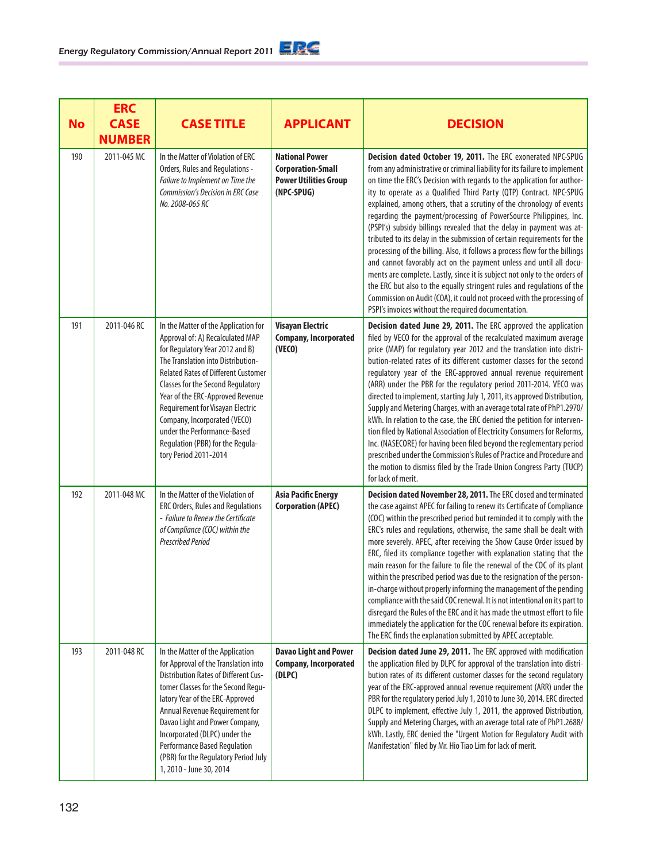|           | <b>ERC</b>    |                                                                                                                                                                                                                                                                                                                                                                                                                                                 |                                                                                                 |                                                                                                                                                                                                                                                                                                                                                                                                                                                                                                                                                                                                                                                                                                                                                                                                                                                                                                                                                                                                                                         |
|-----------|---------------|-------------------------------------------------------------------------------------------------------------------------------------------------------------------------------------------------------------------------------------------------------------------------------------------------------------------------------------------------------------------------------------------------------------------------------------------------|-------------------------------------------------------------------------------------------------|-----------------------------------------------------------------------------------------------------------------------------------------------------------------------------------------------------------------------------------------------------------------------------------------------------------------------------------------------------------------------------------------------------------------------------------------------------------------------------------------------------------------------------------------------------------------------------------------------------------------------------------------------------------------------------------------------------------------------------------------------------------------------------------------------------------------------------------------------------------------------------------------------------------------------------------------------------------------------------------------------------------------------------------------|
| <b>No</b> | <b>CASE</b>   | <b>CASE TITLE</b>                                                                                                                                                                                                                                                                                                                                                                                                                               | <b>APPLICANT</b>                                                                                | <b>DECISION</b>                                                                                                                                                                                                                                                                                                                                                                                                                                                                                                                                                                                                                                                                                                                                                                                                                                                                                                                                                                                                                         |
|           | <b>NUMBER</b> |                                                                                                                                                                                                                                                                                                                                                                                                                                                 |                                                                                                 |                                                                                                                                                                                                                                                                                                                                                                                                                                                                                                                                                                                                                                                                                                                                                                                                                                                                                                                                                                                                                                         |
| 190       | 2011-045 MC   | In the Matter of Violation of ERC<br>Orders, Rules and Regulations -<br>Failure to Implement on Time the<br><b>Commission's Decision in ERC Case</b><br>No. 2008-065 RC                                                                                                                                                                                                                                                                         | <b>National Power</b><br><b>Corporation-Small</b><br><b>Power Utilities Group</b><br>(NPC-SPUG) | Decision dated October 19, 2011. The ERC exonerated NPC-SPUG<br>from any administrative or criminal liability for its failure to implement<br>on time the ERC's Decision with regards to the application for author-<br>ity to operate as a Qualified Third Party (QTP) Contract. NPC-SPUG<br>explained, among others, that a scrutiny of the chronology of events<br>regarding the payment/processing of PowerSource Philippines, Inc.<br>(PSPI's) subsidy billings revealed that the delay in payment was at-<br>tributed to its delay in the submission of certain requirements for the<br>processing of the billing. Also, it follows a process flow for the billings<br>and cannot favorably act on the payment unless and until all docu-<br>ments are complete. Lastly, since it is subject not only to the orders of<br>the ERC but also to the equally stringent rules and regulations of the<br>Commission on Audit (COA), it could not proceed with the processing of<br>PSPI's invoices without the required documentation. |
| 191       | 2011-046 RC   | In the Matter of the Application for<br>Approval of: A) Recalculated MAP<br>for Regulatory Year 2012 and B)<br>The Translation into Distribution-<br><b>Related Rates of Different Customer</b><br><b>Classes for the Second Regulatory</b><br>Year of the ERC-Approved Revenue<br>Requirement for Visayan Electric<br>Company, Incorporated (VECO)<br>under the Performance-Based<br>Regulation (PBR) for the Regula-<br>tory Period 2011-2014 | <b>Visayan Electric</b><br><b>Company, Incorporated</b><br>(VECO)                               | Decision dated June 29, 2011. The ERC approved the application<br>filed by VECO for the approval of the recalculated maximum average<br>price (MAP) for regulatory year 2012 and the translation into distri-<br>bution-related rates of its different customer classes for the second<br>regulatory year of the ERC-approved annual revenue requirement<br>(ARR) under the PBR for the regulatory period 2011-2014. VECO was<br>directed to implement, starting July 1, 2011, its approved Distribution,<br>Supply and Metering Charges, with an average total rate of PhP1.2970/<br>kWh. In relation to the case, the ERC denied the petition for interven-<br>tion filed by National Association of Electricity Consumers for Reforms,<br>Inc. (NASECORE) for having been filed beyond the reglementary period<br>prescribed under the Commission's Rules of Practice and Procedure and<br>the motion to dismiss filed by the Trade Union Congress Party (TUCP)<br>for lack of merit.                                                |
| 192       | 2011-048 MC   | In the Matter of the Violation of<br>ERC Orders, Rules and Regulations<br>- Failure to Renew the Certificate<br>of Compliance (COC) within the<br><b>Prescribed Period</b>                                                                                                                                                                                                                                                                      | <b>Asia Pacific Energy</b><br><b>Corporation (APEC)</b>                                         | Decision dated November 28, 2011. The ERC closed and terminated<br>the case against APEC for failing to renew its Certificate of Compliance<br>(COC) within the prescribed period but reminded it to comply with the<br>ERC's rules and regulations, otherwise, the same shall be dealt with<br>more severely. APEC, after receiving the Show Cause Order issued by<br>ERC, filed its compliance together with explanation stating that the<br>main reason for the failure to file the renewal of the COC of its plant<br>within the prescribed period was due to the resignation of the person-<br>in-charge without properly informing the management of the pending<br>compliance with the said COC renewal. It is not intentional on its part to<br>disregard the Rules of the ERC and it has made the utmost effort to file<br>immediately the application for the COC renewal before its expiration.<br>The ERC finds the explanation submitted by APEC acceptable.                                                               |
| 193       | 2011-048 RC   | In the Matter of the Application<br>for Approval of the Translation into<br><b>Distribution Rates of Different Cus-</b><br>tomer Classes for the Second Regu-<br>latory Year of the ERC-Approved<br>Annual Revenue Requirement for<br>Davao Light and Power Company,<br>Incorporated (DLPC) under the<br>Performance Based Regulation<br>(PBR) for the Regulatory Period July<br>1, 2010 - June 30, 2014                                        | <b>Davao Light and Power</b><br><b>Company, Incorporated</b><br>(DLPC)                          | Decision dated June 29, 2011. The ERC approved with modification<br>the application filed by DLPC for approval of the translation into distri-<br>bution rates of its different customer classes for the second regulatory<br>year of the ERC-approved annual revenue requirement (ARR) under the<br>PBR for the regulatory period July 1, 2010 to June 30, 2014. ERC directed<br>DLPC to implement, effective July 1, 2011, the approved Distribution,<br>Supply and Metering Charges, with an average total rate of PhP1.2688/<br>kWh. Lastly, ERC denied the "Urgent Motion for Regulatory Audit with<br>Manifestation" filed by Mr. Hio Tiao Lim for lack of merit.                                                                                                                                                                                                                                                                                                                                                                 |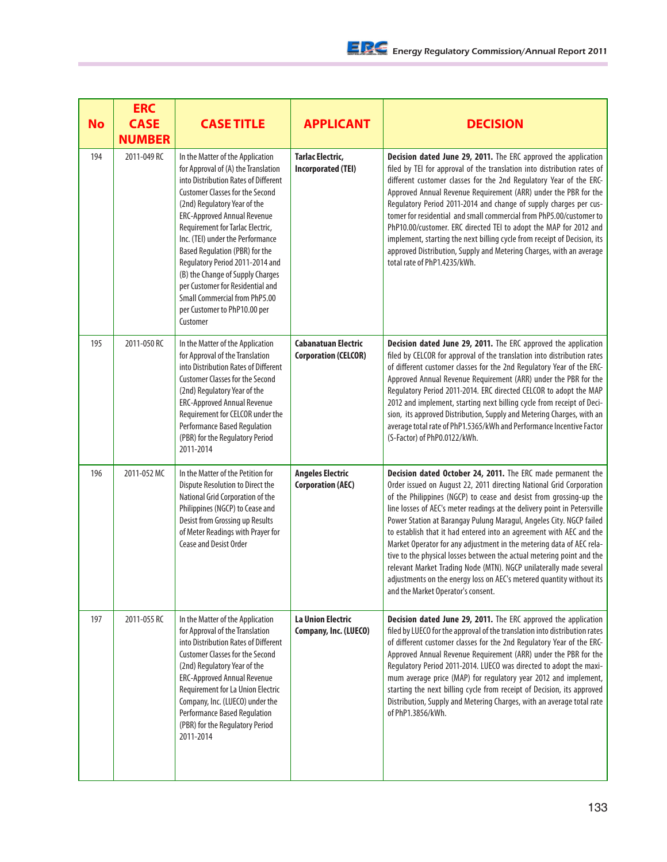| <b>No</b> | <b>ERC</b><br><b>CASE</b><br><b>NUMBER</b> | <b>CASE TITLE</b>                                                                                                                                                                                                                                                                                                                                                                                                                                                                                                                        | <b>APPLICANT</b>                                          | <b>DECISION</b>                                                                                                                                                                                                                                                                                                                                                                                                                                                                                                                                                                                                                                                                                                                                                         |
|-----------|--------------------------------------------|------------------------------------------------------------------------------------------------------------------------------------------------------------------------------------------------------------------------------------------------------------------------------------------------------------------------------------------------------------------------------------------------------------------------------------------------------------------------------------------------------------------------------------------|-----------------------------------------------------------|-------------------------------------------------------------------------------------------------------------------------------------------------------------------------------------------------------------------------------------------------------------------------------------------------------------------------------------------------------------------------------------------------------------------------------------------------------------------------------------------------------------------------------------------------------------------------------------------------------------------------------------------------------------------------------------------------------------------------------------------------------------------------|
| 194       | 2011-049 RC                                | In the Matter of the Application<br>for Approval of (A) the Translation<br>into Distribution Rates of Different<br><b>Customer Classes for the Second</b><br>(2nd) Regulatory Year of the<br><b>ERC-Approved Annual Revenue</b><br>Requirement for Tarlac Electric,<br>Inc. (TEI) under the Performance<br>Based Regulation (PBR) for the<br>Regulatory Period 2011-2014 and<br>(B) the Change of Supply Charges<br>per Customer for Residential and<br><b>Small Commercial from PhP5.00</b><br>per Customer to PhP10.00 per<br>Customer | <b>Tarlac Electric,</b><br><b>Incorporated (TEI)</b>      | Decision dated June 29, 2011. The ERC approved the application<br>filed by TEI for approval of the translation into distribution rates of<br>different customer classes for the 2nd Regulatory Year of the ERC-<br>Approved Annual Revenue Requirement (ARR) under the PBR for the<br>Regulatory Period 2011-2014 and change of supply charges per cus-<br>tomer for residential and small commercial from PhP5.00/customer to<br>PhP10.00/customer. ERC directed TEI to adopt the MAP for 2012 and<br>implement, starting the next billing cycle from receipt of Decision, its<br>approved Distribution, Supply and Metering Charges, with an average<br>total rate of PhP1.4235/kWh.                                                                                  |
| 195       | 2011-050 RC                                | In the Matter of the Application<br>for Approval of the Translation<br>into Distribution Rates of Different<br><b>Customer Classes for the Second</b><br>(2nd) Regulatory Year of the<br><b>ERC-Approved Annual Revenue</b><br>Requirement for CELCOR under the<br><b>Performance Based Regulation</b><br>(PBR) for the Regulatory Period<br>2011-2014                                                                                                                                                                                   | <b>Cabanatuan Electric</b><br><b>Corporation (CELCOR)</b> | Decision dated June 29, 2011. The ERC approved the application<br>filed by CELCOR for approval of the translation into distribution rates<br>of different customer classes for the 2nd Regulatory Year of the ERC-<br>Approved Annual Revenue Requirement (ARR) under the PBR for the<br>Regulatory Period 2011-2014. ERC directed CELCOR to adopt the MAP<br>2012 and implement, starting next billing cycle from receipt of Deci-<br>sion, its approved Distribution, Supply and Metering Charges, with an<br>average total rate of PhP1.5365/kWh and Performance Incentive Factor<br>(S-Factor) of PhP0.0122/kWh.                                                                                                                                                    |
| 196       | 2011-052 MC                                | In the Matter of the Petition for<br>Dispute Resolution to Direct the<br>National Grid Corporation of the<br>Philippines (NGCP) to Cease and<br>Desist from Grossing up Results<br>of Meter Readings with Prayer for<br>Cease and Desist Order                                                                                                                                                                                                                                                                                           | <b>Angeles Electric</b><br><b>Corporation (AEC)</b>       | Decision dated October 24, 2011. The ERC made permanent the<br>Order issued on August 22, 2011 directing National Grid Corporation<br>of the Philippines (NGCP) to cease and desist from grossing-up the<br>line losses of AEC's meter readings at the delivery point in Petersville<br>Power Station at Barangay Pulung Maragul, Angeles City. NGCP failed<br>to establish that it had entered into an agreement with AEC and the<br>Market Operator for any adjustment in the metering data of AEC rela-<br>tive to the physical losses between the actual metering point and the<br>relevant Market Trading Node (MTN). NGCP unilaterally made several<br>adjustments on the energy loss on AEC's metered quantity without its<br>and the Market Operator's consent. |
| 197       | 2011-055 RC                                | In the Matter of the Application<br>for Approval of the Translation<br>into Distribution Rates of Different<br><b>Customer Classes for the Second</b><br>(2nd) Regulatory Year of the<br>ERC-Approved Annual Revenue<br><b>Requirement for La Union Electric</b><br>Company, Inc. (LUECO) under the<br><b>Performance Based Regulation</b><br>(PBR) for the Regulatory Period<br>2011-2014                                                                                                                                               | <b>La Union Electric</b><br>Company, Inc. (LUECO)         | Decision dated June 29, 2011. The ERC approved the application<br>filed by LUECO for the approval of the translation into distribution rates<br>of different customer classes for the 2nd Regulatory Year of the ERC-<br>Approved Annual Revenue Requirement (ARR) under the PBR for the<br>Regulatory Period 2011-2014. LUECO was directed to adopt the maxi-<br>mum average price (MAP) for regulatory year 2012 and implement,<br>starting the next billing cycle from receipt of Decision, its approved<br>Distribution, Supply and Metering Charges, with an average total rate<br>of PhP1.3856/kWh.                                                                                                                                                               |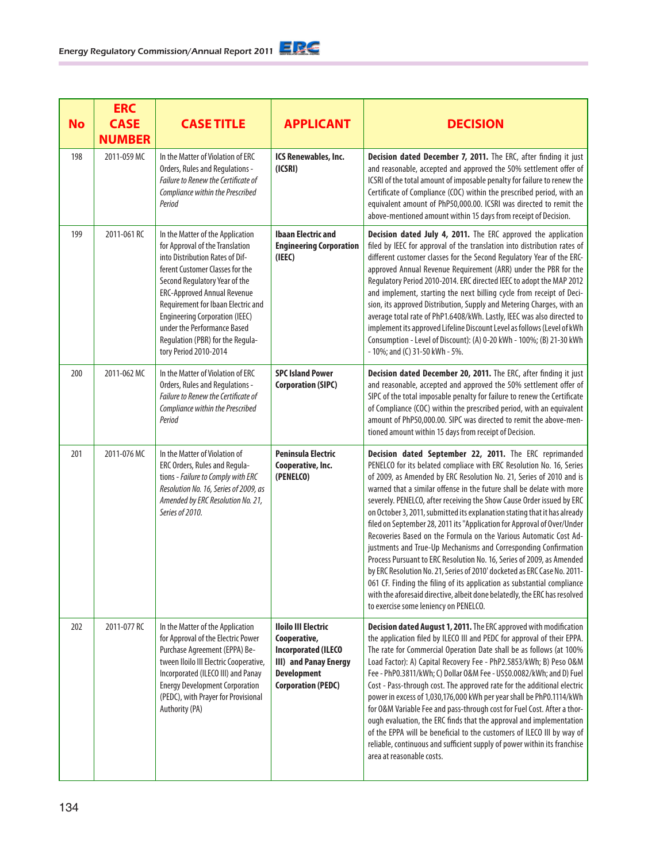| <b>No</b> | <b>ERC</b><br><b>CASE</b><br><b>NUMBER</b> | <b>CASE TITLE</b>                                                                                                                                                                                                                                                                                                                                                                           | <b>APPLICANT</b>                                                                                                                                     | <b>DECISION</b>                                                                                                                                                                                                                                                                                                                                                                                                                                                                                                                                                                                                                                                                                                                                                                                                                                                                                                                                                                                               |
|-----------|--------------------------------------------|---------------------------------------------------------------------------------------------------------------------------------------------------------------------------------------------------------------------------------------------------------------------------------------------------------------------------------------------------------------------------------------------|------------------------------------------------------------------------------------------------------------------------------------------------------|---------------------------------------------------------------------------------------------------------------------------------------------------------------------------------------------------------------------------------------------------------------------------------------------------------------------------------------------------------------------------------------------------------------------------------------------------------------------------------------------------------------------------------------------------------------------------------------------------------------------------------------------------------------------------------------------------------------------------------------------------------------------------------------------------------------------------------------------------------------------------------------------------------------------------------------------------------------------------------------------------------------|
| 198       | 2011-059 MC                                | In the Matter of Violation of ERC<br>Orders, Rules and Regulations -<br>Failure to Renew the Certificate of<br>Compliance within the Prescribed<br>Period                                                                                                                                                                                                                                   | ICS Renewables, Inc.<br>(ICSRI)                                                                                                                      | Decision dated December 7, 2011. The ERC, after finding it just<br>and reasonable, accepted and approved the 50% settlement offer of<br>ICSRI of the total amount of imposable penalty for failure to renew the<br>Certificate of Compliance (COC) within the prescribed period, with an<br>equivalent amount of PhP50,000.00. ICSRI was directed to remit the<br>above-mentioned amount within 15 days from receipt of Decision.                                                                                                                                                                                                                                                                                                                                                                                                                                                                                                                                                                             |
| 199       | 2011-061 RC                                | In the Matter of the Application<br>for Approval of the Translation<br>into Distribution Rates of Dif-<br>ferent Customer Classes for the<br>Second Regulatory Year of the<br><b>ERC-Approved Annual Revenue</b><br>Requirement for Ibaan Electric and<br><b>Engineering Corporation (IEEC)</b><br>under the Performance Based<br>Regulation (PBR) for the Regula-<br>tory Period 2010-2014 | <b>Ibaan Electric and</b><br><b>Engineering Corporation</b><br>(IEEE)                                                                                | Decision dated July 4, 2011. The ERC approved the application<br>filed by IEEC for approval of the translation into distribution rates of<br>different customer classes for the Second Regulatory Year of the ERC-<br>approved Annual Revenue Requirement (ARR) under the PBR for the<br>Regulatory Period 2010-2014. ERC directed IEEC to adopt the MAP 2012<br>and implement, starting the next billing cycle from receipt of Deci-<br>sion, its approved Distribution, Supply and Metering Charges, with an<br>average total rate of PhP1.6408/kWh. Lastly, IEEC was also directed to<br>implement its approved Lifeline Discount Level as follows (Level of kWh<br>Consumption - Level of Discount): (A) 0-20 kWh - 100%; (B) 21-30 kWh<br>- 10%; and (C) 31-50 kWh - 5%.                                                                                                                                                                                                                                 |
| 200       | 2011-062 MC                                | In the Matter of Violation of ERC<br>Orders, Rules and Regulations -<br>Failure to Renew the Certificate of<br>Compliance within the Prescribed<br>Period                                                                                                                                                                                                                                   | <b>SPC Island Power</b><br><b>Corporation (SIPC)</b>                                                                                                 | Decision dated December 20, 2011. The ERC, after finding it just<br>and reasonable, accepted and approved the 50% settlement offer of<br>SIPC of the total imposable penalty for failure to renew the Certificate<br>of Compliance (COC) within the prescribed period, with an equivalent<br>amount of PhP50,000.00. SIPC was directed to remit the above-men-<br>tioned amount within 15 days from receipt of Decision.                                                                                                                                                                                                                                                                                                                                                                                                                                                                                                                                                                                      |
| 201       | 2011-076 MC                                | In the Matter of Violation of<br>ERC Orders, Rules and Regula-<br>tions - Failure to Comply with ERC<br>Resolution No. 16, Series of 2009, as<br>Amended by ERC Resolution No. 21,<br>Series of 2010.                                                                                                                                                                                       | <b>Peninsula Electric</b><br>Cooperative, Inc.<br>(PENELCO)                                                                                          | Decision dated September 22, 2011. The ERC reprimanded<br>PENELCO for its belated compliace with ERC Resolution No. 16, Series<br>of 2009, as Amended by ERC Resolution No. 21, Series of 2010 and is<br>warned that a similar offense in the future shall be delate with more<br>severely. PENELCO, after receiving the Show Cause Order issued by ERC<br>on October 3, 2011, submitted its explanation stating that it has already<br>filed on September 28, 2011 its "Application for Approval of Over/Under<br>Recoveries Based on the Formula on the Various Automatic Cost Ad-<br>justments and True-Up Mechanisms and Corresponding Confirmation<br>Process Pursuant to ERC Resolution No. 16, Series of 2009, as Amended<br>by ERC Resolution No. 21, Series of 2010' docketed as ERC Case No. 2011-<br>061 CF. Finding the filing of its application as substantial compliance<br>with the aforesaid directive, albeit done belatedly, the ERC has resolved<br>to exercise some leniency on PENELCO. |
| 202       | 2011-077 RC                                | In the Matter of the Application<br>for Approval of the Electric Power<br>Purchase Agreement (EPPA) Be-<br>tween Iloilo III Electric Cooperative,<br>Incorporated (ILECO III) and Panay<br><b>Energy Development Corporation</b><br>(PEDC), with Prayer for Provisional<br>Authority (PA)                                                                                                   | <b>Iloilo III Electric</b><br>Cooperative,<br><b>Incorporated (ILECO</b><br>III) and Panay Energy<br><b>Development</b><br><b>Corporation (PEDC)</b> | Decision dated August 1, 2011. The ERC approved with modification<br>the application filed by ILECO III and PEDC for approval of their EPPA.<br>The rate for Commercial Operation Date shall be as follows (at 100%<br>Load Factor): A) Capital Recovery Fee - PhP2.5853/kWh; B) Peso 0&M<br>Fee - PhP0.3811/kWh; C) Dollar 0&M Fee - US\$0.0082/kWh; and D) Fuel<br>Cost - Pass-through cost. The approved rate for the additional electric<br>power in excess of 1,030,176,000 kWh per year shall be PhP0.1114/kWh<br>for O&M Variable Fee and pass-through cost for Fuel Cost. After a thor-<br>ough evaluation, the ERC finds that the approval and implementation<br>of the EPPA will be beneficial to the customers of ILECO III by way of<br>reliable, continuous and sufficient supply of power within its franchise<br>area at reasonable costs.                                                                                                                                                     |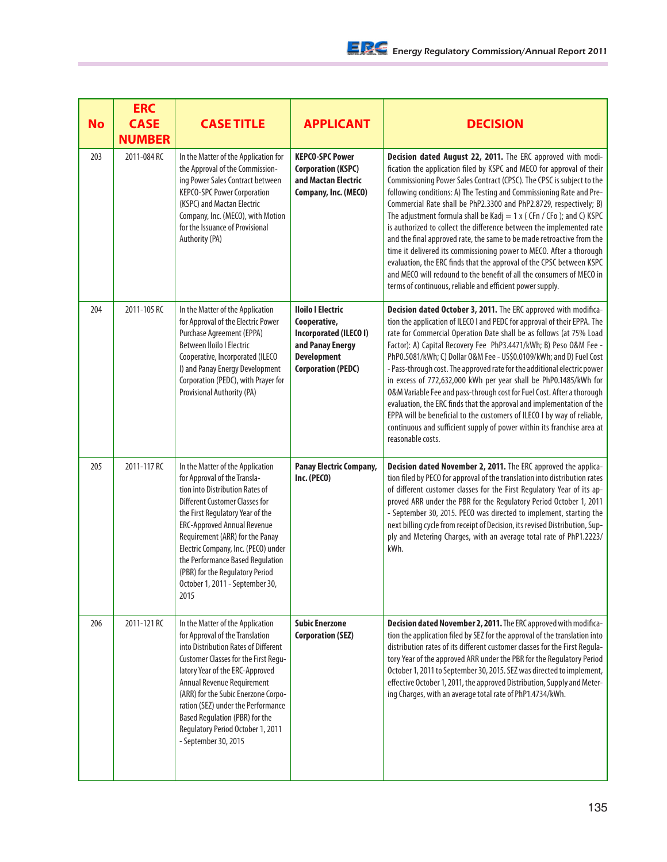| <b>No</b> | <b>ERC</b><br><b>CASE</b><br><b>NUMBER</b> | <b>CASE TITLE</b>                                                                                                                                                                                                                                                                                                                                                                                                  | <b>APPLICANT</b>                                                                                                                          | <b>DECISION</b>                                                                                                                                                                                                                                                                                                                                                                                                                                                                                                                                                                                                                                                                                                                                                                                                                                                            |
|-----------|--------------------------------------------|--------------------------------------------------------------------------------------------------------------------------------------------------------------------------------------------------------------------------------------------------------------------------------------------------------------------------------------------------------------------------------------------------------------------|-------------------------------------------------------------------------------------------------------------------------------------------|----------------------------------------------------------------------------------------------------------------------------------------------------------------------------------------------------------------------------------------------------------------------------------------------------------------------------------------------------------------------------------------------------------------------------------------------------------------------------------------------------------------------------------------------------------------------------------------------------------------------------------------------------------------------------------------------------------------------------------------------------------------------------------------------------------------------------------------------------------------------------|
| 203       | 2011-084 RC                                | In the Matter of the Application for<br>the Approval of the Commission-<br>ing Power Sales Contract between<br><b>KEPCO-SPC Power Corporation</b><br>(KSPC) and Mactan Electric<br>Company, Inc. (MECO), with Motion<br>for the Issuance of Provisional<br>Authority (PA)                                                                                                                                          | <b>KEPCO-SPC Power</b><br><b>Corporation (KSPC)</b><br>and Mactan Electric<br>Company, Inc. (MECO)                                        | Decision dated August 22, 2011. The ERC approved with modi-<br>fication the application filed by KSPC and MECO for approval of their<br>Commissioning Power Sales Contract (CPSC). The CPSC is subject to the<br>following conditions: A) The Testing and Commissioning Rate and Pre-<br>Commercial Rate shall be PhP2.3300 and PhP2.8729, respectively; B)<br>The adjustment formula shall be Kadj = $1 x$ (CFn / CFo ); and C) KSPC<br>is authorized to collect the difference between the implemented rate<br>and the final approved rate, the same to be made retroactive from the<br>time it delivered its commissioning power to MECO. After a thorough<br>evaluation, the ERC finds that the approval of the CPSC between KSPC<br>and MECO will redound to the benefit of all the consumers of MECO in<br>terms of continuous, reliable and efficient power supply. |
| 204       | 2011-105 RC                                | In the Matter of the Application<br>for Approval of the Electric Power<br>Purchase Agreement (EPPA)<br>Between Iloilo I Electric<br>Cooperative, Incorporated (ILECO<br>I) and Panay Energy Development<br>Corporation (PEDC), with Prayer for<br>Provisional Authority (PA)                                                                                                                                       | <b>Iloilo I Electric</b><br>Cooperative,<br>Incorporated (ILECO I)<br>and Panay Energy<br><b>Development</b><br><b>Corporation (PEDC)</b> | Decision dated October 3, 2011. The ERC approved with modifica-<br>tion the application of ILECO I and PEDC for approval of their EPPA. The<br>rate for Commercial Operation Date shall be as follows (at 75% Load<br>Factor): A) Capital Recovery Fee PhP3.4471/kWh; B) Peso 0&M Fee -<br>PhP0.5081/kWh; C) Dollar 0&M Fee - US\$0.0109/kWh; and D) Fuel Cost<br>- Pass-through cost. The approved rate for the additional electric power<br>in excess of 772,632,000 kWh per year shall be PhP0.1485/kWh for<br>O&M Variable Fee and pass-through cost for Fuel Cost. After a thorough<br>evaluation, the ERC finds that the approval and implementation of the<br>EPPA will be beneficial to the customers of ILECO I by way of reliable,<br>continuous and sufficient supply of power within its franchise area at<br>reasonable costs.                                |
| 205       | 2011-117 RC                                | In the Matter of the Application<br>for Approval of the Transla-<br>tion into Distribution Rates of<br><b>Different Customer Classes for</b><br>the First Regulatory Year of the<br><b>ERC-Approved Annual Revenue</b><br>Requirement (ARR) for the Panay<br>Electric Company, Inc. (PECO) under<br>the Performance Based Regulation<br>(PBR) for the Regulatory Period<br>October 1, 2011 - September 30,<br>2015 | <b>Panay Electric Company,</b><br>Inc. (PECO)                                                                                             | Decision dated November 2, 2011. The ERC approved the applica-<br>tion filed by PECO for approval of the translation into distribution rates<br>of different customer classes for the First Regulatory Year of its ap-<br>proved ARR under the PBR for the Regulatory Period October 1, 2011<br>- September 30, 2015. PECO was directed to implement, starting the<br>next billing cycle from receipt of Decision, its revised Distribution, Sup-<br>ply and Metering Charges, with an average total rate of PhP1.2223/<br>kWh.                                                                                                                                                                                                                                                                                                                                            |
| 206       | 2011-121 RC                                | In the Matter of the Application<br>for Approval of the Translation<br>into Distribution Rates of Different<br>Customer Classes for the First Regu-<br>latory Year of the ERC-Approved<br>Annual Revenue Requirement<br>(ARR) for the Subic Enerzone Corpo-<br>ration (SEZ) under the Performance<br>Based Regulation (PBR) for the<br>Regulatory Period October 1, 2011<br>- September 30, 2015                   | <b>Subic Enerzone</b><br><b>Corporation (SEZ)</b>                                                                                         | Decision dated November 2, 2011. The ERC approved with modifica-<br>tion the application filed by SEZ for the approval of the translation into<br>distribution rates of its different customer classes for the First Regula-<br>tory Year of the approved ARR under the PBR for the Regulatory Period<br>October 1, 2011 to September 30, 2015. SEZ was directed to implement,<br>effective October 1, 2011, the approved Distribution, Supply and Meter-<br>ing Charges, with an average total rate of PhP1.4734/kWh.                                                                                                                                                                                                                                                                                                                                                     |